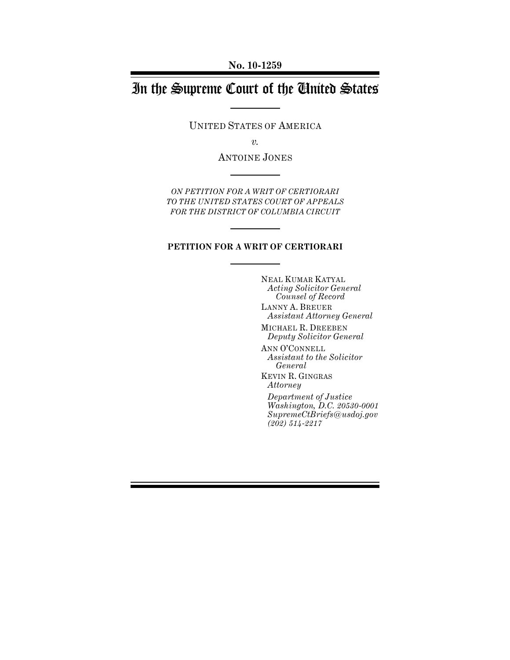# In the Supreme Court of the United States

UNITED STATES OF AMERICA

*v.* 

ANTOINE JONES

*ON PETITION FOR A WRIT OF CERTIORARI TO THE UNITED STATES COURT OF APPEALS FOR THE DISTRICT OF COLUMBIA CIRCUIT*

#### **PETITION FOR A WRIT OF CERTIORARI**

NEAL KUMAR KATYAL *Acting Solicitor General Counsel of Record*  LANNY A. BREUER *Assistant Attorney General* 

MICHAEL R. DREEBEN *Deputy Solicitor General* 

ANN O'CONNELL *Assistant to the Solicitor General* 

KEVIN R. GINGRAS *Attorney* 

*Department of Justice Washington, D.C. 20530-0001 SupremeCtBriefs@usdoj.gov (202) 514-2217*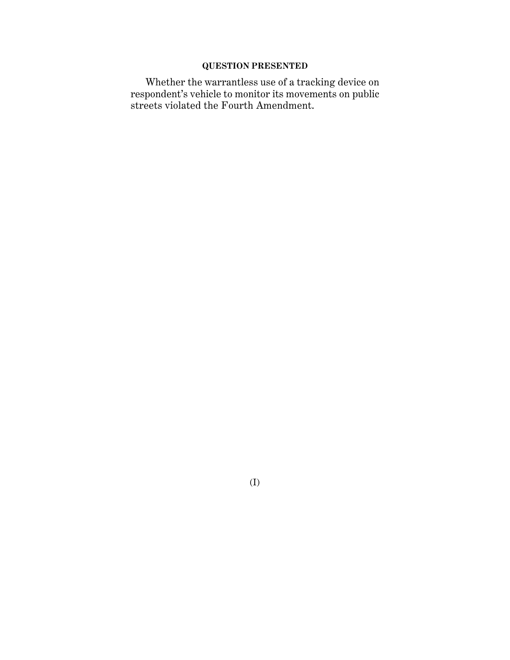# **QUESTION PRESENTED**

Whether the warrantless use of a tracking device on respondent's vehicle to monitor its movements on public streets violated the Fourth Amendment.

(I)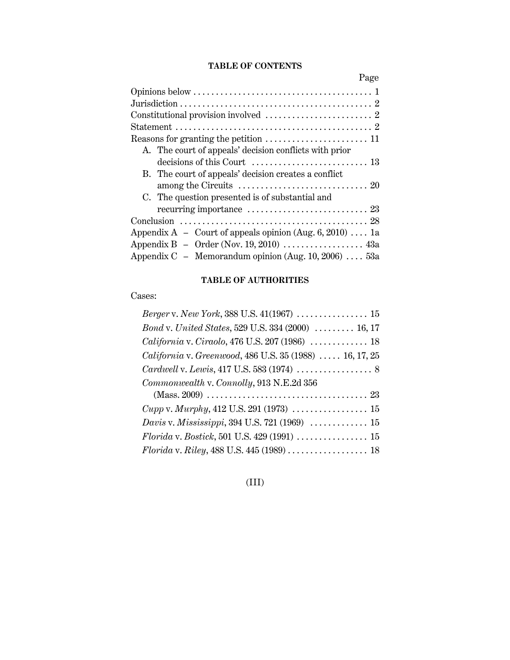## **TABLE OF CONTENTS**

| Page                                                                     |
|--------------------------------------------------------------------------|
|                                                                          |
|                                                                          |
|                                                                          |
|                                                                          |
|                                                                          |
| A. The court of appeals' decision conflicts with prior                   |
|                                                                          |
| B. The court of appeals' decision creates a conflict                     |
|                                                                          |
| C. The question presented is of substantial and                          |
| recurring importance $\dots\dots\dots\dots\dots\dots\dots\dots$ 23       |
|                                                                          |
| Appendix $A -$ Court of appeals opinion (Aug. 6, 2010)  1a               |
| Appendix B - Order (Nov. 19, 2010) $\dots$ $\dots$ $\dots$ $\dots$ $43a$ |
| Appendix $C - M$ emorandum opinion (Aug. 10, 2006)  53a                  |

# **TABLE OF AUTHORITIES**

Cases:

| Bond v. United States, 529 U.S. 334 (2000)  16, 17                                            |
|-----------------------------------------------------------------------------------------------|
| California v. Ciraolo, 476 U.S. 207 (1986)  18                                                |
| California v. Greenwood, 486 U.S. 35 (1988)  16, 17, 25                                       |
|                                                                                               |
| Commonwealth v. Connolly, 913 N.E.2d 356                                                      |
|                                                                                               |
| $Cupp \, v. \, Murphy, 412 \, U.S. 291 \, (1973) \, \ldots \ldots \ldots \ldots \ldots \, 15$ |
| Davis v. Mississippi, 394 U.S. 721 (1969)  15                                                 |
|                                                                                               |
|                                                                                               |

# (III)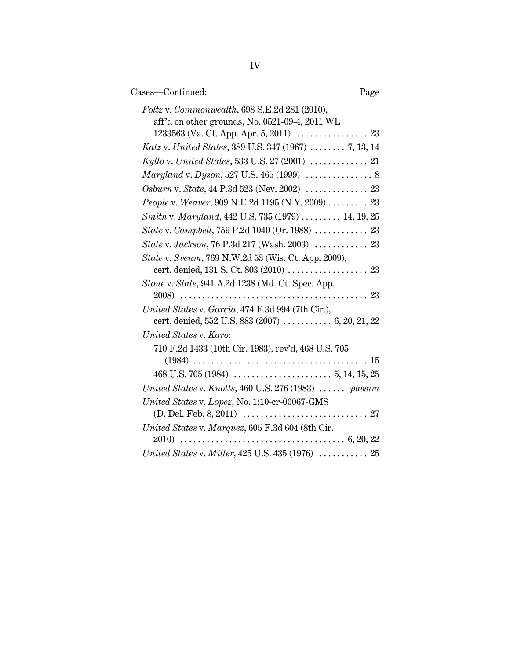| Cases-Continued:<br>Page                                                                        |
|-------------------------------------------------------------------------------------------------|
| Foltz v. Commonwealth, 698 S.E.2d 281 (2010),<br>aff'd on other grounds, No. 0521-09-4, 2011 WL |
| Katz v. United States, 389 U.S. 347 (1967)  7, 13, 14                                           |
|                                                                                                 |
|                                                                                                 |
|                                                                                                 |
| People v. Weaver, 909 N.E.2d 1195 (N.Y. 2009)  23                                               |
| Smith v. Maryland, 442 U.S. 735 (1979)  14, 19, 25                                              |
| State v. Campbell, 759 P.2d 1040 (Or. 1988)  23                                                 |
| State v. Jackson, 76 P.3d 217 (Wash. 2003)  23                                                  |
| State v. Sveum, 769 N.W.2d 53 (Wis. Ct. App. 2009),                                             |
| Stone v. State, 941 A.2d 1238 (Md. Ct. Spec. App.                                               |
| United States v. Garcia, 474 F.3d 994 (7th Cir.),                                               |
| cert. denied, 552 U.S. 883 (2007) $\ldots$ 6, 20, 21, 22                                        |
| United States v. Karo:                                                                          |
| 710 F.2d 1433 (10th Cir. 1983), rev'd, 468 U.S. 705                                             |
|                                                                                                 |
|                                                                                                 |
| United States v. Knotts, 460 U.S. 276 (1983) $\ldots$ passim                                    |
| United States v. Lopez, No. 1:10-cr-00067-GMS                                                   |
| United States v. Marquez, 605 F.3d 604 (8th Cir.                                                |
| United States v. Miller, $425$ U.S. $435$ (1976) $\ldots$ 25                                    |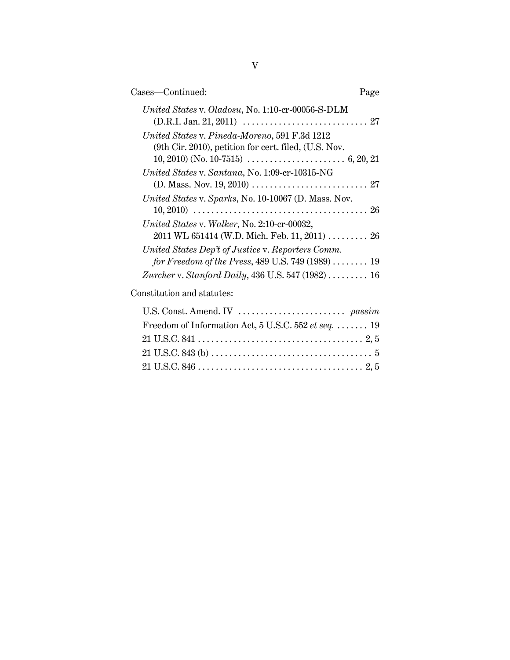| Cases—Continued:                                                                                                                                    | Page |
|-----------------------------------------------------------------------------------------------------------------------------------------------------|------|
| United States v. Oladosu, No. 1:10-cr-00056-S-DLM                                                                                                   |      |
| United States v. Pineda-Moreno, 591 F.3d 1212<br>(9th Cir. 2010), petition for cert. filed, (U.S. Nov.                                              |      |
| United States v. Santana, No. 1:09-cr-10315-NG                                                                                                      |      |
| United States v. Sparks, No. 10-10067 (D. Mass. Nov.                                                                                                |      |
| United States v. Walker, No. 2:10-cr-00032,<br>$2011$ WL 651414 (W.D. Mich. Feb. 11, 2011)  26<br>United States Dep't of Justice v. Reporters Comm. |      |
| for Freedom of the Press, 489 U.S. 749 $(1989)$ 19                                                                                                  |      |
| Zurcher v. Stanford Daily, 436 U.S. 547 (1982)  16                                                                                                  |      |
| Constitution and statutes:                                                                                                                          |      |

| Freedom of Information Act, 5 U.S.C. 552 et seq.  19 |
|------------------------------------------------------|
|                                                      |
|                                                      |
|                                                      |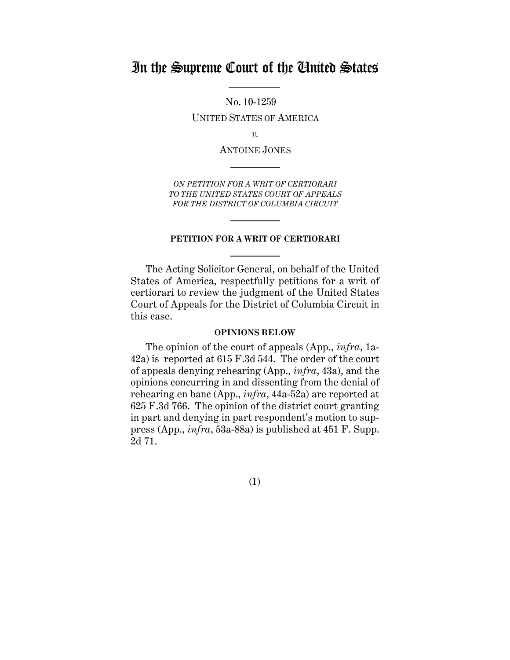# In the Supreme Court of the United States

No. 10-1259 UNITED STATES OF AMERICA

*v.* 

ANTOINE JONES

*ON PETITION FOR A WRIT OF CERTIORARI TO THE UNITED STATES COURT OF APPEALS FOR THE DISTRICT OF COLUMBIA CIRCUIT*

### **PETITION FOR A WRIT OF CERTIORARI**

The Acting Solicitor General, on behalf of the United States of America, respectfully petitions for a writ of certiorari to review the judgment of the United States Court of Appeals for the District of Columbia Circuit in this case.

#### **OPINIONS BELOW**

The opinion of the court of appeals (App., *infra*, 1a-42a) is reported at 615 F.3d 544. The order of the court of appeals denying rehearing (App., *infra*, 43a), and the opinions concurring in and dissenting from the denial of rehearing en banc (App., *infra*, 44a-52a) are reported at 625 F.3d 766. The opinion of the district court granting in part and denying in part respondent's motion to suppress (App., *infra*, 53a-88a) is published at 451 F. Supp. 2d 71.

(1)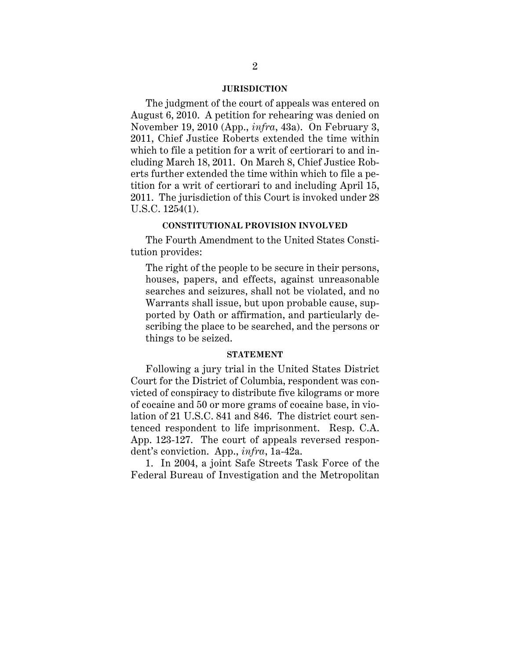#### **JURISDICTION**

<span id="page-6-0"></span>The judgment of the court of appeals was entered on August 6, 2010. A petition for rehearing was denied on November 19, 2010 (App., *infra*, 43a). On February 3, 2011, Chief Justice Roberts extended the time within which to file a petition for a writ of certiorari to and including March 18, 2011. On March 8, Chief Justice Roberts further extended the time within which to file a petition for a writ of certiorari to and including April 15, 2011. The jurisdiction of this Court is invoked under 28 U.S.C. 1254(1).

#### **CONSTITUTIONAL PROVISION INVOLVED**

The Fourth Amendment to the United States Constitution provides:

The right of the people to be secure in their persons, houses, papers, and effects, against unreasonable searches and seizures, shall not be violated, and no Warrants shall issue, but upon probable cause, supported by Oath or affirmation, and particularly describing the place to be searched, and the persons or things to be seized.

#### **STATEMENT**

Following a jury trial in the United States District Court for the District of Columbia, respondent was convicted of conspiracy to distribute five kilograms or more of cocaine and 50 or more grams of cocaine base, in violation of 21 U.S.C. 841 and 846. The district court sentenced respondent to life imprisonment. Resp. C.A. App. 123-127. The court of appeals reversed respondent's conviction. App., *infra*, 1a-42a.

1. In 2004, a joint Safe Streets Task Force of the Federal Bureau of Investigation and the Metropolitan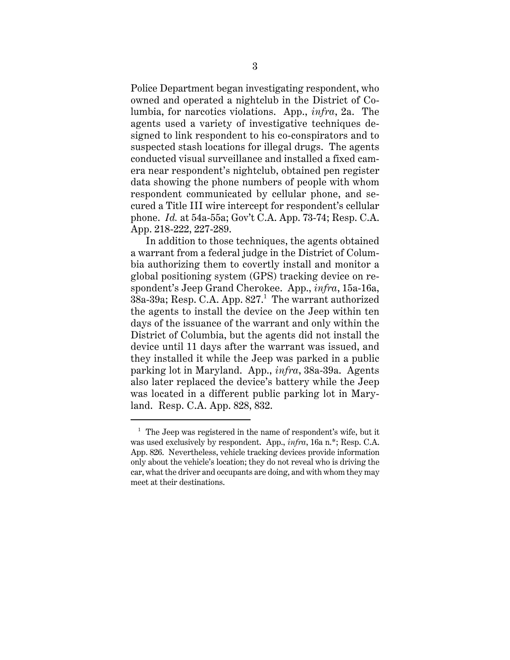Police Department began investigating respondent, who owned and operated a nightclub in the District of Columbia, for narcotics violations. App., *infra*, 2a. The agents used a variety of investigative techniques designed to link respondent to his co-conspirators and to suspected stash locations for illegal drugs. The agents conducted visual surveillance and installed a fixed camera near respondent's nightclub, obtained pen register data showing the phone numbers of people with whom respondent communicated by cellular phone, and secured a Title III wire intercept for respondent's cellular phone. *Id.* at 54a-55a; Gov't C.A. App. 73-74; Resp. C.A. App. 218-222, 227-289.

In addition to those techniques, the agents obtained a warrant from a federal judge in the District of Columbia authorizing them to covertly install and monitor a global positioning system (GPS) tracking device on respondent's Jeep Grand Cherokee. App., *infra*, 15a-16a, 38a-39a; Resp. C.A. App. 827.<sup>1</sup> The warrant authorized the agents to install the device on the Jeep within ten days of the issuance of the warrant and only within the District of Columbia, but the agents did not install the device until 11 days after the warrant was issued, and they installed it while the Jeep was parked in a public parking lot in Maryland. App., *infra*, 38a-39a. Agents also later replaced the device's battery while the Jeep was located in a different public parking lot in Maryland. Resp. C.A. App. 828, 832.

 $1$  The Jeep was registered in the name of respondent's wife, but it was used exclusively by respondent. App., *infra*, 16a n.\*; Resp. C.A. App. 826. Nevertheless, vehicle tracking devices provide information only about the vehicle's location; they do not reveal who is driving the car, what the driver and occupants are doing, and with whom they may meet at their destinations.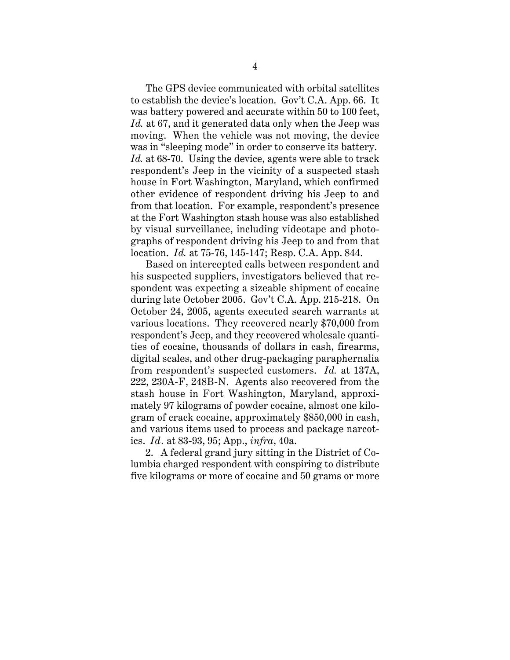The GPS device communicated with orbital satellites to establish the device's location. Gov't C.A. App. 66. It was battery powered and accurate within 50 to 100 feet, *Id.* at 67, and it generated data only when the Jeep was moving. When the vehicle was not moving, the device was in "sleeping mode" in order to conserve its battery. *Id.* at 68-70. Using the device, agents were able to track respondent's Jeep in the vicinity of a suspected stash house in Fort Washington, Maryland, which confirmed other evidence of respondent driving his Jeep to and from that location. For example, respondent's presence at the Fort Washington stash house was also established by visual surveillance, including videotape and photographs of respondent driving his Jeep to and from that location. *Id.* at 75-76, 145-147; Resp. C.A. App. 844.

Based on intercepted calls between respondent and his suspected suppliers, investigators believed that respondent was expecting a sizeable shipment of cocaine during late October 2005. Gov't C.A. App. 215-218. On October 24, 2005, agents executed search warrants at various locations. They recovered nearly \$70,000 from respondent's Jeep, and they recovered wholesale quantities of cocaine, thousands of dollars in cash, firearms, digital scales, and other drug-packaging paraphernalia from respondent's suspected customers. *Id.* at 137A, 222, 230A-F, 248B-N. Agents also recovered from the stash house in Fort Washington, Maryland, approximately 97 kilograms of powder cocaine, almost one kilogram of crack cocaine, approximately \$850,000 in cash, and various items used to process and package narcotics. *Id.* at 83-93, 95; App., *infra*, 40a.

2. A federal grand jury sitting in the District of Columbia charged respondent with conspiring to distribute five kilograms or more of cocaine and 50 grams or more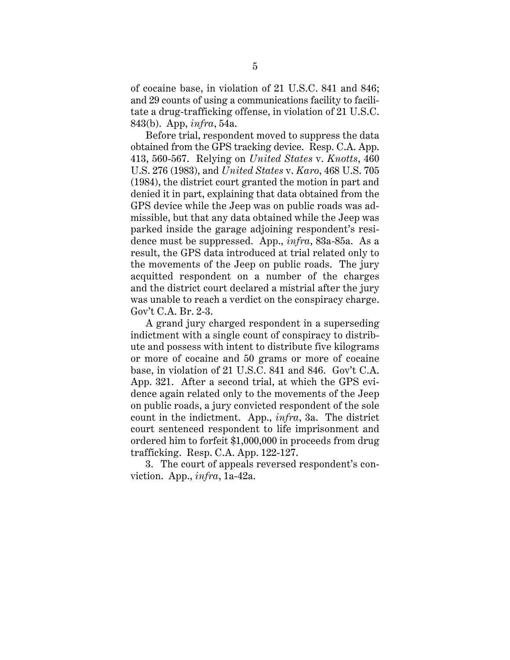<span id="page-9-0"></span>of cocaine base, in violation of 21 U.S.C. 841 and 846; and 29 counts of using a communications facility to facilitate a drug-trafficking offense, in violation of 21 U.S.C. 843(b). App, *infra*, 54a.

Before trial, respondent moved to suppress the data obtained from the GPS tracking device. Resp. C.A. App. 413, 560-567. Relying on *United States* v. *Knotts*, 460 U.S. 276 (1983), and *United States* v. *Karo*, 468 U.S. 705 (1984), the district court granted the motion in part and denied it in part, explaining that data obtained from the GPS device while the Jeep was on public roads was admissible, but that any data obtained while the Jeep was parked inside the garage adjoining respondent's residence must be suppressed. App., *infra*, 83a-85a. As a result, the GPS data introduced at trial related only to the movements of the Jeep on public roads. The jury acquitted respondent on a number of the charges and the district court declared a mistrial after the jury was unable to reach a verdict on the conspiracy charge. Gov't C.A. Br. 2-3.

A grand jury charged respondent in a superseding indictment with a single count of conspiracy to distribute and possess with intent to distribute five kilograms or more of cocaine and 50 grams or more of cocaine base, in violation of 21 U.S.C. 841 and 846. Gov't C.A. App. 321. After a second trial, at which the GPS evidence again related only to the movements of the Jeep on public roads, a jury convicted respondent of the sole count in the indictment. App., *infra*, 3a. The district court sentenced respondent to life imprisonment and ordered him to forfeit \$1,000,000 in proceeds from drug trafficking. Resp. C.A. App. 122-127.

3. The court of appeals reversed respondent's conviction. App., *infra*, 1a-42a.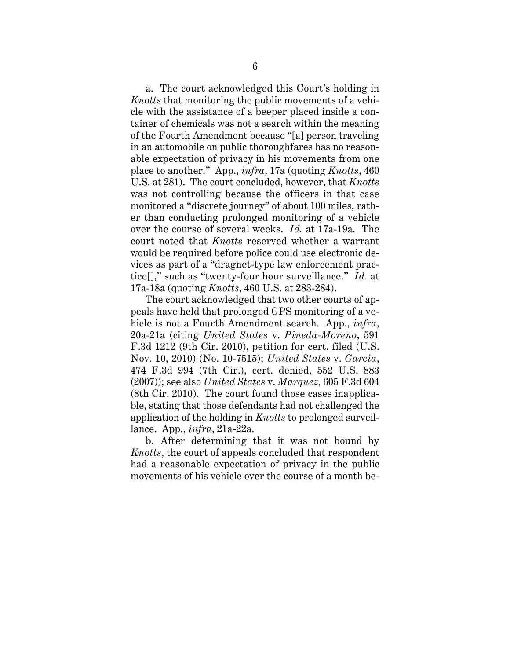a. The court acknowledged this Court's holding in *Knotts* that monitoring the public movements of a vehicle with the assistance of a beeper placed inside a container of chemicals was not a search within the meaning of the Fourth Amendment because "[a] person traveling in an automobile on public thoroughfares has no reasonable expectation of privacy in his movements from one place to another." App., *infra*, 17a (quoting *Knotts*, 460 U.S. at 281). The court concluded, however, that *Knotts*  was not controlling because the officers in that case monitored a "discrete journey" of about 100 miles, rather than conducting prolonged monitoring of a vehicle over the course of several weeks. *Id.* at 17a-19a. The court noted that *Knotts* reserved whether a warrant would be required before police could use electronic devices as part of a "dragnet-type law enforcement practice[]," such as "twenty-four hour surveillance." *Id.* at 17a-18a (quoting *Knotts*, 460 U.S. at 283-284).

The court acknowledged that two other courts of appeals have held that prolonged GPS monitoring of a vehicle is not a Fourth Amendment search. App., *infra*, 20a-21a (citing *United States* v. *Pineda-Moreno*, 591 F.3d 1212 (9th Cir. 2010), petition for cert. filed (U.S. Nov. 10, 2010) (No. 10-7515); *United States* v. *Garcia*, 474 F.3d 994 (7th Cir.), cert. denied, 552 U.S. 883 (2007)); see also *United States* v. *Marquez*, 605 F.3d 604 (8th Cir. 2010). The court found those cases inapplicable, stating that those defendants had not challenged the application of the holding in *Knotts* to prolonged surveillance. App., *infra*, 21a-22a.

b. After determining that it was not bound by *Knotts*, the court of appeals concluded that respondent had a reasonable expectation of privacy in the public movements of his vehicle over the course of a month be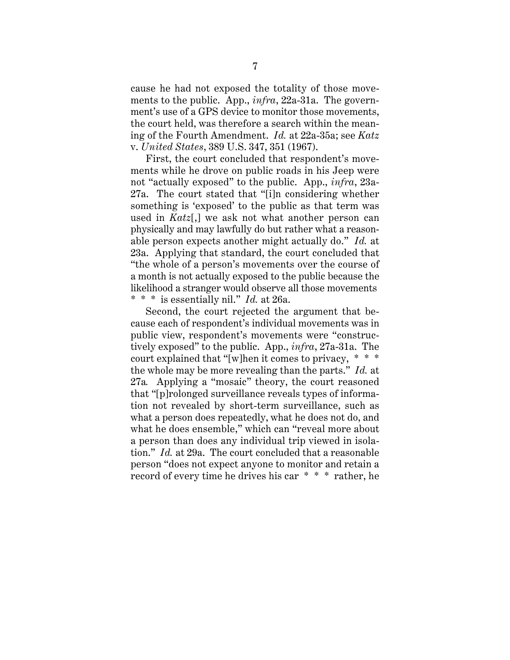cause he had not exposed the totality of those movements to the public. App., *infra*, 22a-31a. The government's use of a GPS device to monitor those movements, the court held, was therefore a search within the meaning of the Fourth Amendment. *Id.* at 22a-35a; see *Katz*  v. *United States*, 389 U.S. 347, 351 (1967).

First, the court concluded that respondent's movements while he drove on public roads in his Jeep were not "actually exposed" to the public. App., *infra*, 23a-27a. The court stated that "[i]n considering whether something is 'exposed' to the public as that term was used in *Katz*[,] we ask not what another person can physically and may lawfully do but rather what a reasonable person expects another might actually do." *Id.* at 23a. Applying that standard, the court concluded that "the whole of a person's movements over the course of a month is not actually exposed to the public because the likelihood a stranger would observe all those movements \* \* \* is essentially nil." *Id.* at 26a.

Second, the court rejected the argument that because each of respondent's individual movements was in public view, respondent's movements were "constructively exposed" to the public. App., *infra*, 27a-31a. The court explained that "[w]hen it comes to privacy, \* \* \* the whole may be more revealing than the parts." *Id.* at 27a*.* Applying a "mosaic" theory, the court reasoned that "[p]rolonged surveillance reveals types of information not revealed by short-term surveillance, such as what a person does repeatedly, what he does not do, and what he does ensemble," which can "reveal more about a person than does any individual trip viewed in isolation." *Id.* at 29a. The court concluded that a reasonable person "does not expect anyone to monitor and retain a record of every time he drives his car \* \* \* rather, he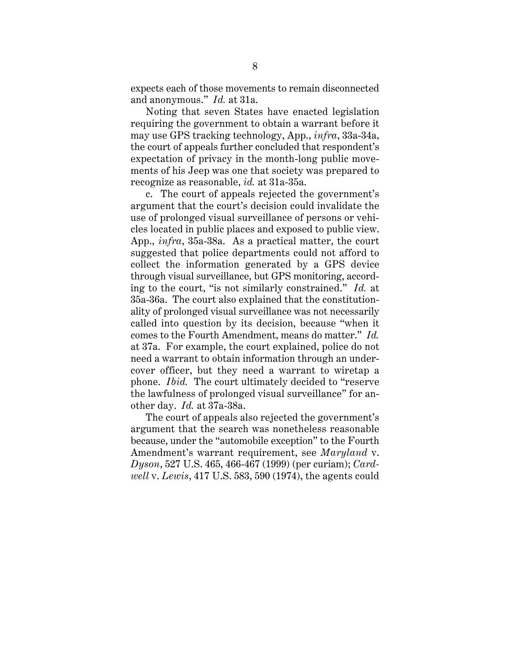<span id="page-12-0"></span>expects each of those movements to remain disconnected and anonymous." *Id.* at 31a.

Noting that seven States have enacted legislation requiring the government to obtain a warrant before it may use GPS tracking technology, App., *infra*, 33a-34a, the court of appeals further concluded that respondent's expectation of privacy in the month-long public movements of his Jeep was one that society was prepared to recognize as reasonable, *id.* at 31a-35a.

c. The court of appeals rejected the government's argument that the court's decision could invalidate the use of prolonged visual surveillance of persons or vehicles located in public places and exposed to public view. App., *infra*, 35a-38a. As a practical matter, the court suggested that police departments could not afford to collect the information generated by a GPS device through visual surveillance, but GPS monitoring, according to the court, "is not similarly constrained." *Id.* at 35a-36a. The court also explained that the constitutionality of prolonged visual surveillance was not necessarily called into question by its decision, because "when it comes to the Fourth Amendment, means do matter." *Id.*  at 37a. For example, the court explained, police do not need a warrant to obtain information through an undercover officer, but they need a warrant to wiretap a phone. *Ibid.* The court ultimately decided to "reserve the lawfulness of prolonged visual surveillance" for another day. *Id.* at 37a-38a.

The court of appeals also rejected the government's argument that the search was nonetheless reasonable because, under the "automobile exception" to the Fourth Amendment's warrant requirement, see *Maryland* v. *Dyson*, 527 U.S. 465, 466-467 (1999) (per curiam); *Cardwell* v. *Lewis*, 417 U.S. 583, 590 (1974), the agents could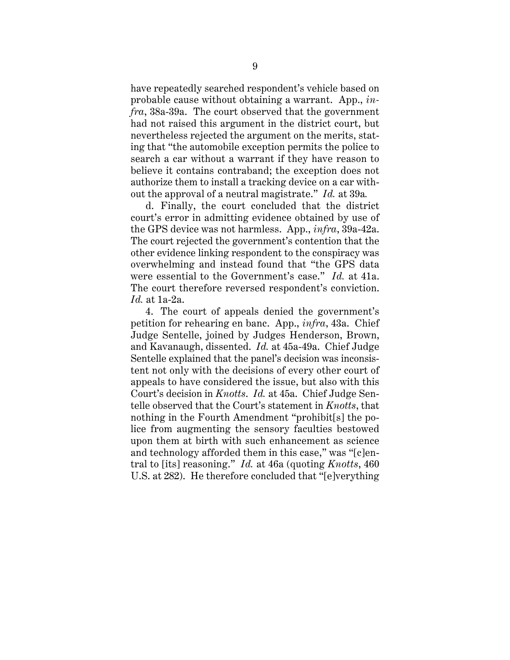have repeatedly searched respondent's vehicle based on probable cause without obtaining a warrant. App., *infra*, 38a-39a. The court observed that the government had not raised this argument in the district court, but nevertheless rejected the argument on the merits, stating that "the automobile exception permits the police to search a car without a warrant if they have reason to believe it contains contraband; the exception does not authorize them to install a tracking device on a car without the approval of a neutral magistrate." *Id.* at 39a*.* 

d. Finally, the court concluded that the district court's error in admitting evidence obtained by use of the GPS device was not harmless. App., *infra*, 39a-42a. The court rejected the government's contention that the other evidence linking respondent to the conspiracy was overwhelming and instead found that "the GPS data were essential to the Government's case." *Id.* at 41a. The court therefore reversed respondent's conviction. *Id.* at 1a-2a.

4. The court of appeals denied the government's petition for rehearing en banc. App., *infra*, 43a. Chief Judge Sentelle, joined by Judges Henderson, Brown, and Kavanaugh, dissented. *Id.* at 45a-49a. Chief Judge Sentelle explained that the panel's decision was inconsistent not only with the decisions of every other court of appeals to have considered the issue, but also with this Court's decision in *Knotts*. *Id.* at 45a. Chief Judge Sentelle observed that the Court's statement in *Knotts*, that nothing in the Fourth Amendment "prohibit[s] the police from augmenting the sensory faculties bestowed upon them at birth with such enhancement as science and technology afforded them in this case," was "[c]entral to [its] reasoning." *Id.* at 46a (quoting *Knotts*, 460 U.S. at 282). He therefore concluded that "[e]verything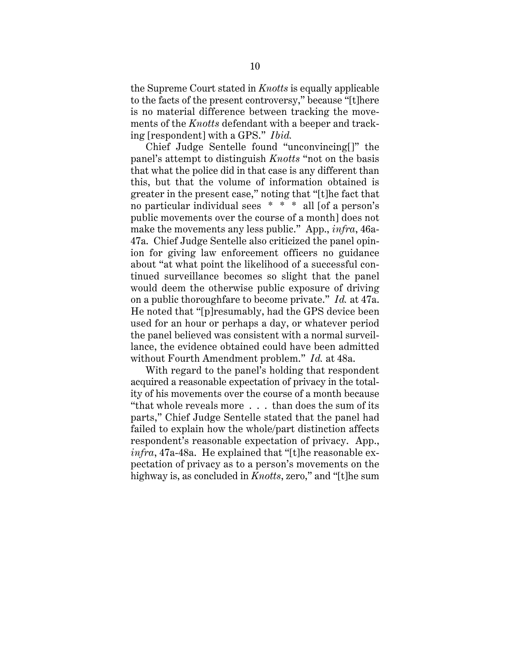the Supreme Court stated in *Knotts* is equally applicable to the facts of the present controversy," because "[t]here is no material difference between tracking the movements of the *Knotts* defendant with a beeper and tracking [respondent] with a GPS." *Ibid.* 

Chief Judge Sentelle found "unconvincing[]" the panel's attempt to distinguish *Knotts* "not on the basis that what the police did in that case is any different than this, but that the volume of information obtained is greater in the present case," noting that "[t]he fact that no particular individual sees \* \* \* all [of a person's public movements over the course of a month] does not make the movements any less public." App., *infra*, 46a-47a. Chief Judge Sentelle also criticized the panel opinion for giving law enforcement officers no guidance about "at what point the likelihood of a successful continued surveillance becomes so slight that the panel would deem the otherwise public exposure of driving on a public thoroughfare to become private." *Id.* at 47a. He noted that "[p]resumably, had the GPS device been used for an hour or perhaps a day, or whatever period the panel believed was consistent with a normal surveillance, the evidence obtained could have been admitted without Fourth Amendment problem." *Id.* at 48a.

With regard to the panel's holding that respondent acquired a reasonable expectation of privacy in the totality of his movements over the course of a month because "that whole reveals more . . . than does the sum of its parts," Chief Judge Sentelle stated that the panel had failed to explain how the whole/part distinction affects respondent's reasonable expectation of privacy. App., *infra*, 47a-48a. He explained that "[t]he reasonable expectation of privacy as to a person's movements on the highway is, as concluded in *Knotts*, zero," and "[t]he sum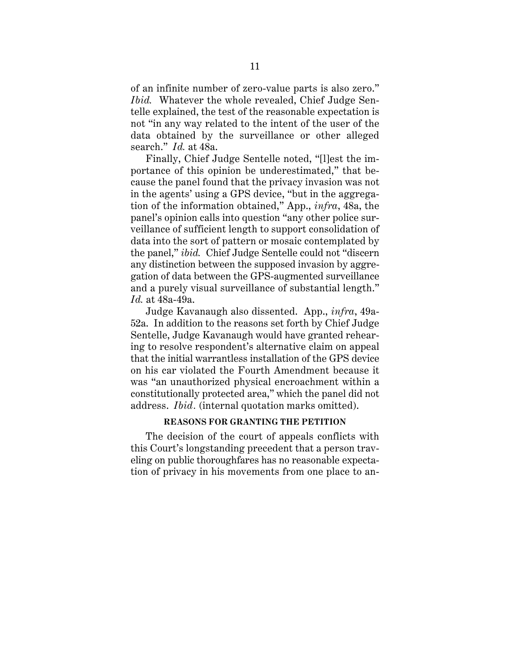<span id="page-15-0"></span>of an infinite number of zero-value parts is also zero." *Ibid.* Whatever the whole revealed, Chief Judge Sentelle explained, the test of the reasonable expectation is not "in any way related to the intent of the user of the data obtained by the surveillance or other alleged search." *Id.* at 48a.

Finally, Chief Judge Sentelle noted, "[l]est the importance of this opinion be underestimated," that because the panel found that the privacy invasion was not in the agents' using a GPS device, "but in the aggregation of the information obtained," App., *infra*, 48a, the panel's opinion calls into question "any other police surveillance of sufficient length to support consolidation of data into the sort of pattern or mosaic contemplated by the panel," *ibid.* Chief Judge Sentelle could not "discern any distinction between the supposed invasion by aggregation of data between the GPS-augmented surveillance and a purely visual surveillance of substantial length." *Id.* at 48a-49a.

Judge Kavanaugh also dissented. App., *infra*, 49a-52a. In addition to the reasons set forth by Chief Judge Sentelle, Judge Kavanaugh would have granted rehearing to resolve respondent's alternative claim on appeal that the initial warrantless installation of the GPS device on his car violated the Fourth Amendment because it was "an unauthorized physical encroachment within a constitutionally protected area," which the panel did not address. *Ibid.* (internal quotation marks omitted).

## **REASONS FOR GRANTING THE PETITION**

The decision of the court of appeals conflicts with this Court's longstanding precedent that a person traveling on public thoroughfares has no reasonable expectation of privacy in his movements from one place to an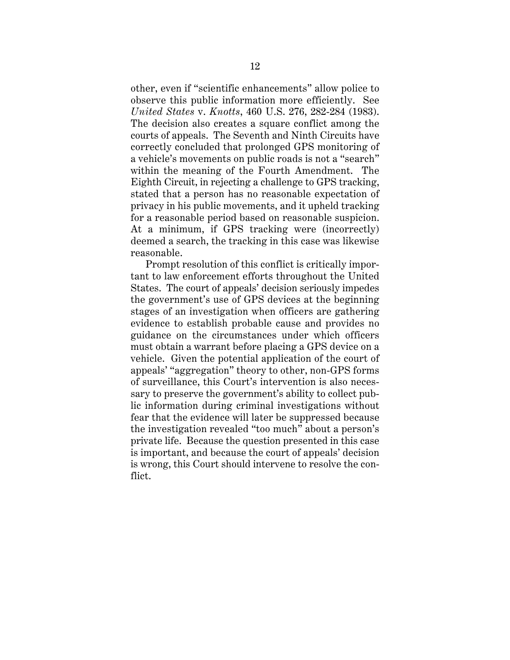other, even if "scientific enhancements" allow police to observe this public information more efficiently. See *United States* v. *Knotts*, 460 U.S. 276, 282-284 (1983). The decision also creates a square conflict among the courts of appeals. The Seventh and Ninth Circuits have correctly concluded that prolonged GPS monitoring of a vehicle's movements on public roads is not a "search" within the meaning of the Fourth Amendment. The Eighth Circuit, in rejecting a challenge to GPS tracking, stated that a person has no reasonable expectation of privacy in his public movements, and it upheld tracking for a reasonable period based on reasonable suspicion. At a minimum, if GPS tracking were (incorrectly) deemed a search, the tracking in this case was likewise reasonable.

Prompt resolution of this conflict is critically important to law enforcement efforts throughout the United States. The court of appeals' decision seriously impedes the government's use of GPS devices at the beginning stages of an investigation when officers are gathering evidence to establish probable cause and provides no guidance on the circumstances under which officers must obtain a warrant before placing a GPS device on a vehicle. Given the potential application of the court of appeals' "aggregation" theory to other, non-GPS forms of surveillance, this Court's intervention is also necessary to preserve the government's ability to collect public information during criminal investigations without fear that the evidence will later be suppressed because the investigation revealed "too much" about a person's private life. Because the question presented in this case is important, and because the court of appeals' decision is wrong, this Court should intervene to resolve the conflict.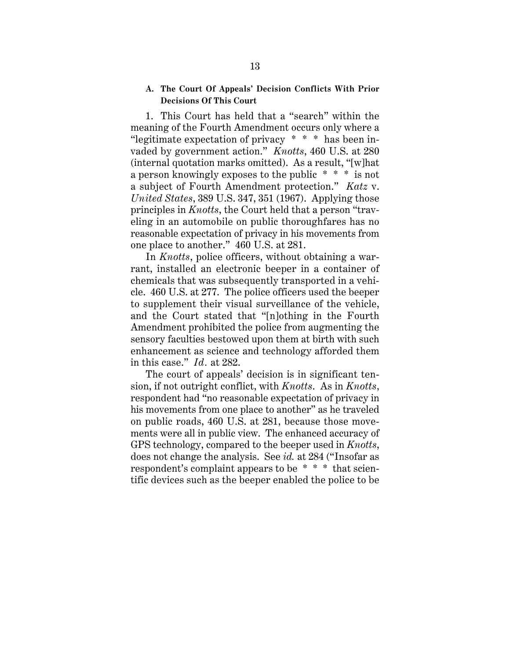#### <span id="page-17-0"></span>**A. The Court Of Appeals' Decision Conflicts With Prior Decisions Of This Court**

 a subject of Fourth Amendment protection." *Katz* v. 1. This Court has held that a "search" within the meaning of the Fourth Amendment occurs only where a "legitimate expectation of privacy \* \* \* has been invaded by government action." *Knotts*, 460 U.S. at 280 (internal quotation marks omitted). As a result, "[w]hat a person knowingly exposes to the public \* \* \* is not *United States*, 389 U.S. 347, 351 (1967). Applying those principles in *Knotts*, the Court held that a person "traveling in an automobile on public thoroughfares has no reasonable expectation of privacy in his movements from one place to another." 460 U.S. at 281.

In *Knotts*, police officers, without obtaining a warrant, installed an electronic beeper in a container of chemicals that was subsequently transported in a vehicle. 460 U.S. at 277. The police officers used the beeper to supplement their visual surveillance of the vehicle, and the Court stated that "[n]othing in the Fourth Amendment prohibited the police from augmenting the sensory faculties bestowed upon them at birth with such enhancement as science and technology afforded them in this case." *Id .* at 282.

The court of appeals' decision is in significant tension, if not outright conflict, with *Knotts*. As in *Knotts*, respondent had "no reasonable expectation of privacy in his movements from one place to another" as he traveled on public roads, 460 U.S. at 281, because those movements were all in public view. The enhanced accuracy of GPS technology, compared to the beeper used in *Knotts*, does not change the analysis. See *id.* at 284 ("Insofar as respondent's complaint appears to be \* \* \* that scientific devices such as the beeper enabled the police to be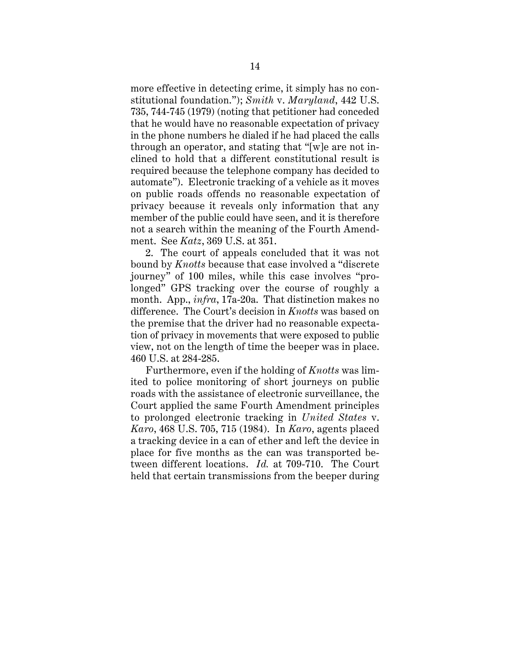<span id="page-18-0"></span>more effective in detecting crime, it simply has no constitutional foundation."); *Smith* v. *Maryland*, 442 U.S. 735, 744-745 (1979) (noting that petitioner had conceded that he would have no reasonable expectation of privacy in the phone numbers he dialed if he had placed the calls through an operator, and stating that "[w]e are not inclined to hold that a different constitutional result is required because the telephone company has decided to automate"). Electronic tracking of a vehicle as it moves on public roads offends no reasonable expectation of privacy because it reveals only information that any member of the public could have seen, and it is therefore not a search within the meaning of the Fourth Amendment. See *Katz*, 369 U.S. at 351.

2. The court of appeals concluded that it was not bound by *Knotts* because that case involved a "discrete journey" of 100 miles, while this case involves "prolonged" GPS tracking over the course of roughly a month. App., *infra*, 17a-20a. That distinction makes no difference. The Court's decision in *Knotts* was based on the premise that the driver had no reasonable expectation of privacy in movements that were exposed to public view, not on the length of time the beeper was in place. 460 U.S. at 284-285.

Furthermore, even if the holding of *Knotts* was limited to police monitoring of short journeys on public roads with the assistance of electronic surveillance, the Court applied the same Fourth Amendment principles to prolonged electronic tracking in *United States* v. *Karo*, 468 U.S. 705, 715 (1984). In *Karo*, agents placed a tracking device in a can of ether and left the device in place for five months as the can was transported between different locations. *Id.* at 709-710. The Court held that certain transmissions from the beeper during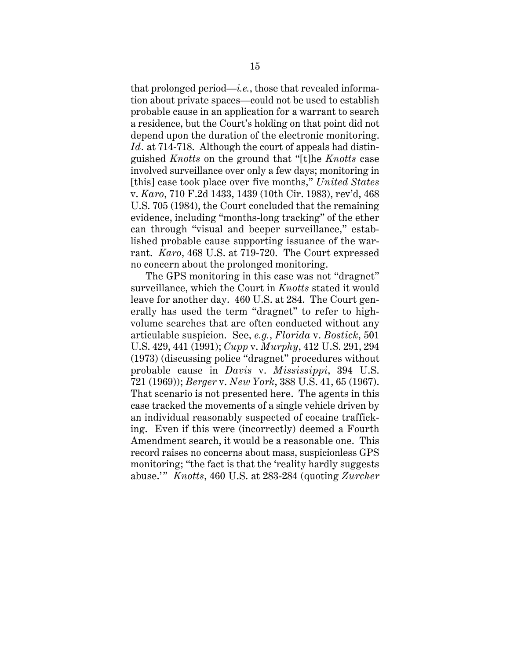<span id="page-19-0"></span>that prolonged period—*i.e.*, those that revealed information about private spaces—could not be used to establish probable cause in an application for a warrant to search a residence, but the Court's holding on that point did not depend upon the duration of the electronic monitoring. *Id.* at 714-718. Although the court of appeals had distinguished *Knotts* on the ground that "[t]he *Knotts* case involved surveillance over only a few days; monitoring in [this] case took place over five months," *United States*  v. *Karo*, 710 F.2d 1433, 1439 (10th Cir. 1983), rev'd, 468 U.S. 705 (1984), the Court concluded that the remaining evidence, including "months-long tracking" of the ether can through "visual and beeper surveillance," established probable cause supporting issuance of the warrant. *Karo*, 468 U.S. at 719-720. The Court expressed no concern about the prolonged monitoring.

 abuse.'" *Knotts*, 460 U.S. at 283-284 (quoting *Zurcher* The GPS monitoring in this case was not "dragnet" surveillance, which the Court in *Knotts* stated it would leave for another day. 460 U.S. at 284. The Court generally has used the term "dragnet" to refer to highvolume searches that are often conducted without any articulable suspicion. See, *e.g.*, *Florida* v. *Bostick*, 501 U.S. 429, 441 (1991); *Cupp* v. *Murphy*, 412 U.S. 291, 294 (1973) (discussing police "dragnet" procedures without probable cause in *Davis* v. *Mississippi*, 394 U.S. 721 (1969)); *Berger* v. *New York*, 388 U.S. 41, 65 (1967). That scenario is not presented here. The agents in this case tracked the movements of a single vehicle driven by an individual reasonably suspected of cocaine trafficking. Even if this were (incorrectly) deemed a Fourth Amendment search, it would be a reasonable one. This record raises no concerns about mass, suspicionless GPS monitoring; "the fact is that the 'reality hardly suggests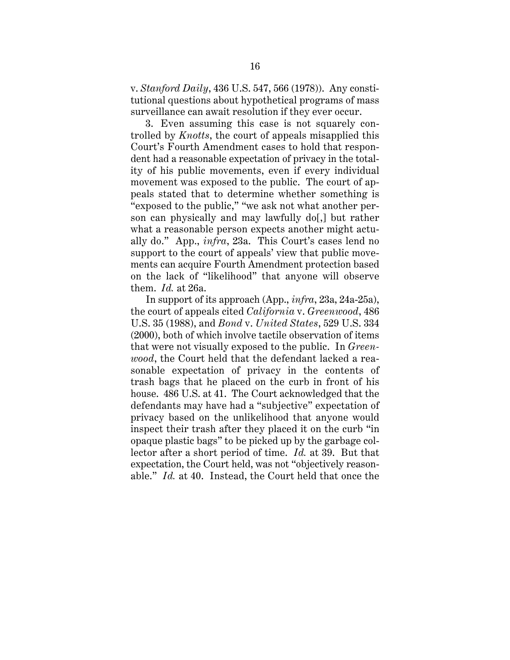<span id="page-20-0"></span>v. *Stanford Daily*, 436 U.S. 547, 566 (1978)). Any constitutional questions about hypothetical programs of mass surveillance can await resolution if they ever occur.

3. Even assuming this case is not squarely controlled by *Knotts*, the court of appeals misapplied this Court's Fourth Amendment cases to hold that respondent had a reasonable expectation of privacy in the totality of his public movements, even if every individual movement was exposed to the public. The court of appeals stated that to determine whether something is "exposed to the public," "we ask not what another person can physically and may lawfully do[,] but rather what a reasonable person expects another might actually do." App., *infra*, 23a. This Court's cases lend no support to the court of appeals' view that public movements can acquire Fourth Amendment protection based on the lack of "likelihood" that anyone will observe them. *Id.* at 26a.

In support of its approach (App., *infra*, 23a, 24a-25a), the court of appeals cited *California* v. *Greenwood*, 486 U.S. 35 (1988), and *Bond* v. *United States*, 529 U.S. 334 (2000), both of which involve tactile observation of items that were not visually exposed to the public. In *Greenwood*, the Court held that the defendant lacked a reasonable expectation of privacy in the contents of trash bags that he placed on the curb in front of his house. 486 U.S. at 41. The Court acknowledged that the defendants may have had a "subjective" expectation of privacy based on the unlikelihood that anyone would inspect their trash after they placed it on the curb "in opaque plastic bags" to be picked up by the garbage collector after a short period of time. *Id.* at 39. But that expectation, the Court held, was not "objectively reasonable." *Id.* at 40. Instead, the Court held that once the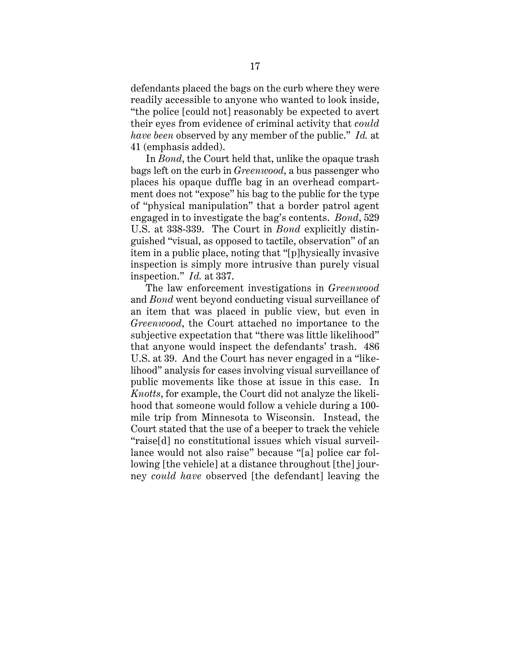<span id="page-21-0"></span>defendants placed the bags on the curb where they were readily accessible to anyone who wanted to look inside, "the police [could not] reasonably be expected to avert their eyes from evidence of criminal activity that *could have been* observed by any member of the public." *Id.* at 41 (emphasis added).

In *Bond*, the Court held that, unlike the opaque trash bags left on the curb in *Greenwood*, a bus passenger who places his opaque duffle bag in an overhead compartment does not "expose" his bag to the public for the type of "physical manipulation" that a border patrol agent engaged in to investigate the bag's contents. *Bond*, 529 U.S. at 338-339. The Court in *Bond* explicitly distinguished "visual, as opposed to tactile, observation" of an item in a public place, noting that "[p]hysically invasive inspection is simply more intrusive than purely visual inspection." *Id.* at 337.

The law enforcement investigations in *Greenwood*  and *Bond* went beyond conducting visual surveillance of an item that was placed in public view, but even in *Greenwood*, the Court attached no importance to the subjective expectation that "there was little likelihood" that anyone would inspect the defendants' trash. 486 U.S. at 39. And the Court has never engaged in a "likelihood" analysis for cases involving visual surveillance of public movements like those at issue in this case. In *Knotts*, for example, the Court did not analyze the likelihood that someone would follow a vehicle during a 100 mile trip from Minnesota to Wisconsin. Instead, the Court stated that the use of a beeper to track the vehicle "raise[d] no constitutional issues which visual surveillance would not also raise" because "[a] police car following [the vehicle] at a distance throughout [the] journey *could have* observed [the defendant] leaving the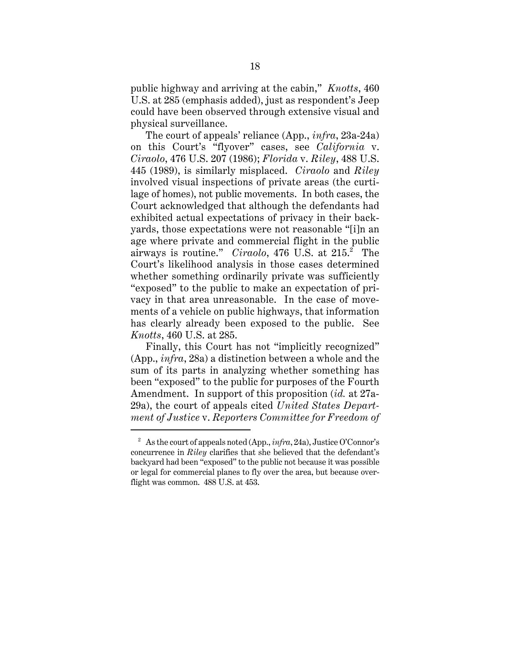<span id="page-22-0"></span>public highway and arriving at the cabin," *Knotts*, 460 U.S. at 285 (emphasis added), just as respondent's Jeep could have been observed through extensive visual and physical surveillance.

The court of appeals' reliance (App., *infra*, 23a-24a) on this Court's "flyover" cases, see *California* v. *Ciraolo*, 476 U.S. 207 (1986); *Florida* v. *Riley*, 488 U.S. 445 (1989), is similarly misplaced. *Ciraolo* and *Riley*  involved visual inspections of private areas (the curtilage of homes), not public movements. In both cases, the Court acknowledged that although the defendants had exhibited actual expectations of privacy in their backyards, those expectations were not reasonable "[i]n an age where private and commercial flight in the public airways is routine." *Ciraolo*, 476 U.S. at 215.<sup>2</sup> The Court's likelihood analysis in those cases determined whether something ordinarily private was sufficiently "exposed" to the public to make an expectation of privacy in that area unreasonable. In the case of movements of a vehicle on public highways, that information has clearly already been exposed to the public. See *Knotts*, 460 U.S. at 285.

Finally, this Court has not "implicitly recognized" (App., *infra*, 28a) a distinction between a whole and the sum of its parts in analyzing whether something has been "exposed" to the public for purposes of the Fourth Amendment. In support of this proposition (*id.* at 27a-29a), the court of appeals cited *United States Department of Justice* v. *Reporters Committee for Freedom of* 

<sup>2</sup>  As the court of appeals noted (App., *infra*, 24a), Justice O'Connor's concurrence in *Riley* clarifies that she believed that the defendant's backyard had been "exposed" to the public not because it was possible or legal for commercial planes to fly over the area, but because overflight was common. 488 U.S. at 453.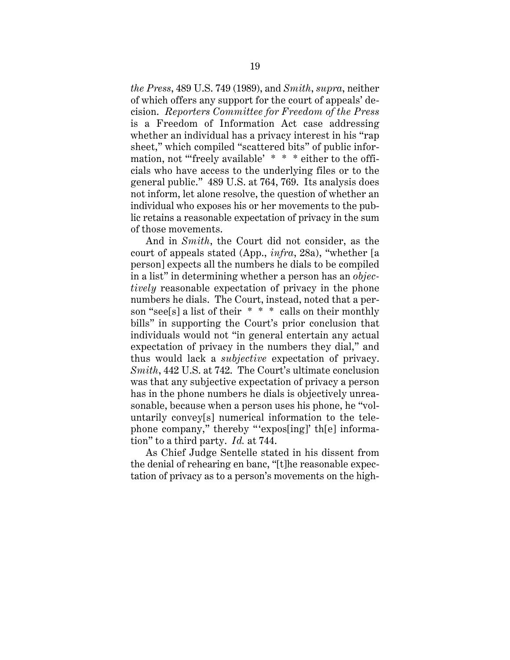<span id="page-23-0"></span>*the Press*, 489 U.S. 749 (1989), and *Smith*, *supra*, neither of which offers any support for the court of appeals' decision. *Reporters Committee for Freedom of the Press*  is a Freedom of Information Act case addressing whether an individual has a privacy interest in his "rap sheet," which compiled "scattered bits" of public information, not "freely available' \* \* \* either to the officials who have access to the underlying files or to the general public." 489 U.S. at 764, 769. Its analysis does not inform, let alone resolve, the question of whether an individual who exposes his or her movements to the public retains a reasonable expectation of privacy in the sum of those movements.

And in *Smith*, the Court did not consider, as the court of appeals stated (App., *infra*, 28a), "whether [a person] expects all the numbers he dials to be compiled in a list" in determining whether a person has an *objectively* reasonable expectation of privacy in the phone numbers he dials. The Court, instead, noted that a person "see[s] a list of their \* \* \* calls on their monthly bills" in supporting the Court's prior conclusion that individuals would not "in general entertain any actual expectation of privacy in the numbers they dial," and thus would lack a *subjective* expectation of privacy. *Smith*, 442 U.S. at 742. The Court's ultimate conclusion was that any subjective expectation of privacy a person has in the phone numbers he dials is objectively unreasonable, because when a person uses his phone, he "voluntarily convey[s] numerical information to the telephone company," thereby "'expos[ing]' th[e] information" to a third party. *Id.* at 744.

As Chief Judge Sentelle stated in his dissent from the denial of rehearing en banc, "[t]he reasonable expectation of privacy as to a person's movements on the high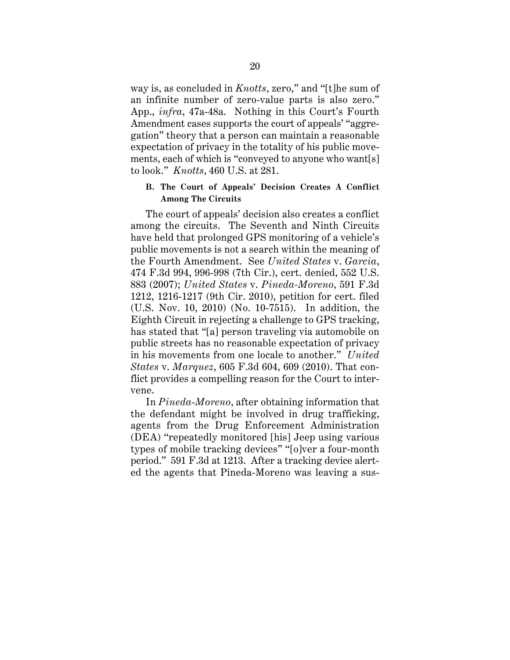<span id="page-24-0"></span>way is, as concluded in *Knotts*, zero," and "[t]he sum of an infinite number of zero-value parts is also zero." App., *infra*, 47a-48a. Nothing in this Court's Fourth Amendment cases supports the court of appeals' "aggregation" theory that a person can maintain a reasonable expectation of privacy in the totality of his public movements, each of which is "conveyed to anyone who want[s] to look." *Knotts*, 460 U.S. at 281.

#### **B. The Court of Appeals' Decision Creates A Conflict Among The Circuits**

The court of appeals' decision also creates a conflict among the circuits. The Seventh and Ninth Circuits have held that prolonged GPS monitoring of a vehicle's public movements is not a search within the meaning of the Fourth Amendment. See *United States* v. *Garcia*, 474 F.3d 994, 996-998 (7th Cir.), cert. denied, 552 U.S. 883 (2007); *United States* v. *Pineda-Moreno*, 591 F.3d 1212, 1216-1217 (9th Cir. 2010), petition for cert. filed (U.S. Nov. 10, 2010) (No. 10-7515). In addition, the Eighth Circuit in rejecting a challenge to GPS tracking, has stated that "[a] person traveling via automobile on public streets has no reasonable expectation of privacy in his movements from one locale to another." *United States* v. *Marquez*, 605 F.3d 604, 609 (2010). That conflict provides a compelling reason for the Court to intervene.

In *Pineda*-*Moreno*, after obtaining information that the defendant might be involved in drug trafficking, agents from the Drug Enforcement Administration (DEA) "repeatedly monitored [his] Jeep using various types of mobile tracking devices" "[o]ver a four-month period." 591 F.3d at 1213. After a tracking device alerted the agents that Pineda-Moreno was leaving a sus-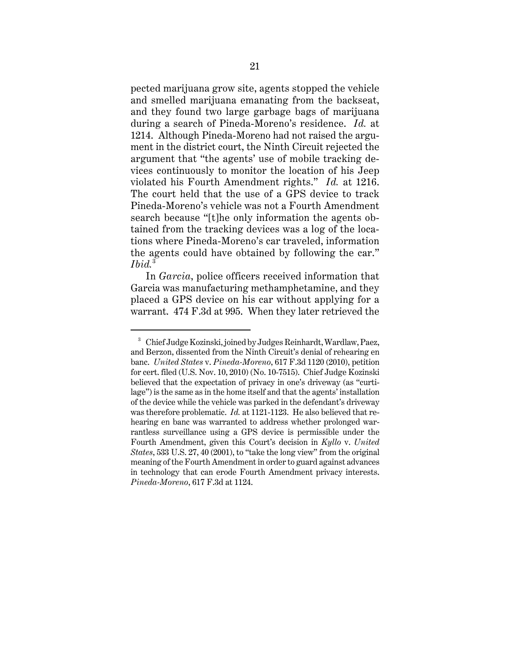<span id="page-25-0"></span> violated his Fourth Amendment rights." *Id.* at 1216. pected marijuana grow site, agents stopped the vehicle and smelled marijuana emanating from the backseat, and they found two large garbage bags of marijuana during a search of Pineda-Moreno's residence. *Id.* at 1214. Although Pineda-Moreno had not raised the argument in the district court, the Ninth Circuit rejected the argument that "the agents' use of mobile tracking devices continuously to monitor the location of his Jeep The court held that the use of a GPS device to track Pineda-Moreno's vehicle was not a Fourth Amendment search because "[t]he only information the agents obtained from the tracking devices was a log of the locations where Pineda-Moreno's car traveled, information the agents could have obtained by following the car." *Ibid.*<sup>3</sup>

In *Garcia*, police officers received information that Garcia was manufacturing methamphetamine, and they placed a GPS device on his car without applying for a warrant. 474 F.3d at 995. When they later retrieved the

<sup>&</sup>lt;sup>3</sup> Chief Judge Kozinski, joined by Judges Reinhardt, Wardlaw, Paez, and Berzon, dissented from the Ninth Circuit's denial of rehearing en banc. *United States* v. *Pineda-Moreno*, 617 F.3d 1120 (2010), petition for cert. filed (U.S. Nov. 10, 2010) (No. 10-7515). Chief Judge Kozinski believed that the expectation of privacy in one's driveway (as "curtilage") is the same as in the home itself and that the agents' installation of the device while the vehicle was parked in the defendant's driveway was therefore problematic. *Id.* at 1121-1123. He also believed that rehearing en banc was warranted to address whether prolonged warrantless surveillance using a GPS device is permissible under the Fourth Amendment, given this Court's decision in *Kyllo* v. *United States*, 533 U.S. 27, 40 (2001), to "take the long view" from the original meaning of the Fourth Amendment in order to guard against advances in technology that can erode Fourth Amendment privacy interests. *Pineda-Moreno*, 617 F.3d at 1124.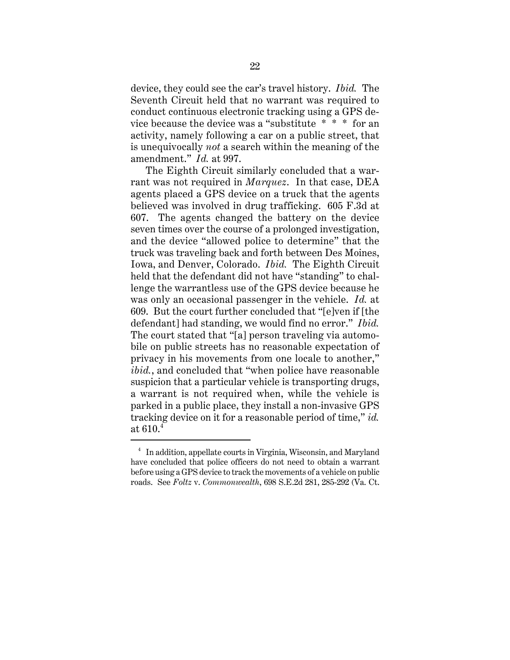<span id="page-26-0"></span>device, they could see the car's travel history. *Ibid.* The Seventh Circuit held that no warrant was required to conduct continuous electronic tracking using a GPS device because the device was a "substitute \* \* \* for an activity, namely following a car on a public street, that is unequivocally *not* a search within the meaning of the amendment." *Id.* at 997.

The Eighth Circuit similarly concluded that a warrant was not required in *Marquez*. In that case, DEA agents placed a GPS device on a truck that the agents believed was involved in drug trafficking. 605 F.3d at 607. The agents changed the battery on the device seven times over the course of a prolonged investigation, and the device "allowed police to determine" that the truck was traveling back and forth between Des Moines, Iowa, and Denver, Colorado. *Ibid.* The Eighth Circuit held that the defendant did not have "standing" to challenge the warrantless use of the GPS device because he was only an occasional passenger in the vehicle. *Id.* at 609. But the court further concluded that "[e]ven if [the defendant] had standing, we would find no error." *Ibid.*  The court stated that "[a] person traveling via automobile on public streets has no reasonable expectation of privacy in his movements from one locale to another," *ibid.*, and concluded that "when police have reasonable suspicion that a particular vehicle is transporting drugs, a warrant is not required when, while the vehicle is parked in a public place, they install a non-invasive GPS tracking device on it for a reasonable period of time," *id.*  at  $610.<sup>4</sup>$ 

<sup>&</sup>lt;sup>4</sup> In addition, appellate courts in Virginia, Wisconsin, and Maryland have concluded that police officers do not need to obtain a warrant before using a GPS device to track the movements of a vehicle on public roads. See *Foltz* v. *Commonwealth*, 698 S.E.2d 281, 285-292 (Va. Ct.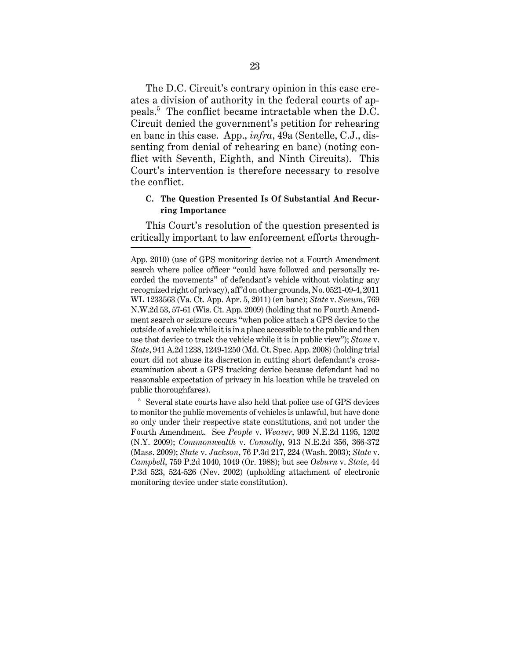<span id="page-27-0"></span>The D.C. Circuit's contrary opinion in this case creates a division of authority in the federal courts of appeals.<sup>5</sup> The conflict became intractable when the D.C. Circuit denied the government's petition for rehearing en banc in this case. App., *infra*, 49a (Sentelle, C.J., dissenting from denial of rehearing en banc) (noting conflict with Seventh, Eighth, and Ninth Circuits). This Court's intervention is therefore necessary to resolve the conflict.

## **C. The Question Presented Is Of Substantial And Recurring Importance**

This Court's resolution of the question presented is critically important to law enforcement efforts through-

App. 2010) (use of GPS monitoring device not a Fourth Amendment search where police officer "could have followed and personally recorded the movements" of defendant's vehicle without violating any recognized right of privacy), aff'd on other grounds, No. 0521-09-4, 2011 WL 1233563 (Va. Ct. App. Apr. 5, 2011) (en banc); *State* v. *Sveum*, 769 N.W.2d 53, 57-61 (Wis. Ct. App. 2009) (holding that no Fourth Amendment search or seizure occurs "when police attach a GPS device to the outside of a vehicle while it is in a place accessible to the public and then use that device to track the vehicle while it is in public view"); *Stone* v. *State*, 941 A.2d 1238, 1249-1250 (Md. Ct. Spec. App. 2008) (holding trial court did not abuse its discretion in cutting short defendant's crossexamination about a GPS tracking device because defendant had no reasonable expectation of privacy in his location while he traveled on public thoroughfares).

<sup>&</sup>lt;sup>5</sup> Several state courts have also held that police use of GPS devices to monitor the public movements of vehicles is unlawful, but have done so only under their respective state constitutions, and not under the Fourth Amendment. See *People* v. *Weaver*, 909 N.E.2d 1195, 1202 (N.Y. 2009); *Commonwealth* v. *Connolly*, 913 N.E.2d 356, 366-372 (Mass. 2009); *State* v. *Jackson*, 76 P.3d 217, 224 (Wash. 2003); *State* v. *Campbell*, 759 P.2d 1040, 1049 (Or. 1988); but see *Osburn* v. *State*, 44 P.3d 523, 524-526 (Nev. 2002) (upholding attachment of electronic monitoring device under state constitution).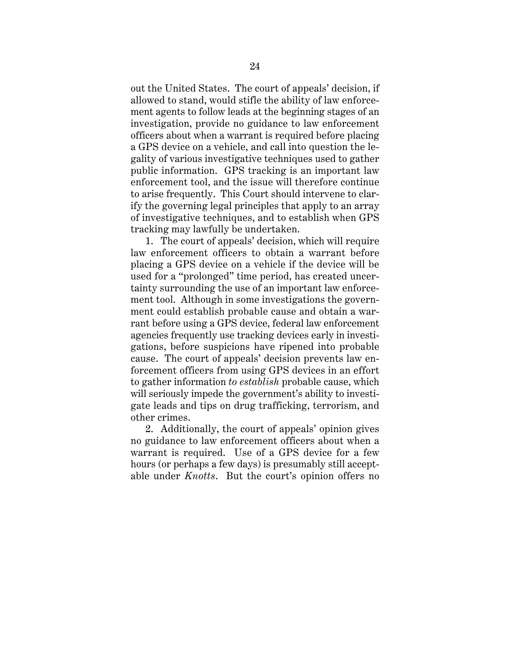out the United States. The court of appeals' decision, if allowed to stand, would stifle the ability of law enforcement agents to follow leads at the beginning stages of an investigation, provide no guidance to law enforcement officers about when a warrant is required before placing a GPS device on a vehicle, and call into question the legality of various investigative techniques used to gather public information. GPS tracking is an important law enforcement tool, and the issue will therefore continue to arise frequently. This Court should intervene to clarify the governing legal principles that apply to an array of investigative techniques, and to establish when GPS tracking may lawfully be undertaken.

1. The court of appeals' decision, which will require law enforcement officers to obtain a warrant before placing a GPS device on a vehicle if the device will be used for a "prolonged" time period, has created uncertainty surrounding the use of an important law enforcement tool. Although in some investigations the government could establish probable cause and obtain a warrant before using a GPS device, federal law enforcement agencies frequently use tracking devices early in investigations, before suspicions have ripened into probable cause. The court of appeals' decision prevents law enforcement officers from using GPS devices in an effort to gather information *to establish* probable cause, which will seriously impede the government's ability to investigate leads and tips on drug trafficking, terrorism, and other crimes.

2. Additionally, the court of appeals' opinion gives no guidance to law enforcement officers about when a warrant is required. Use of a GPS device for a few hours (or perhaps a few days) is presumably still acceptable under *Knotts*. But the court's opinion offers no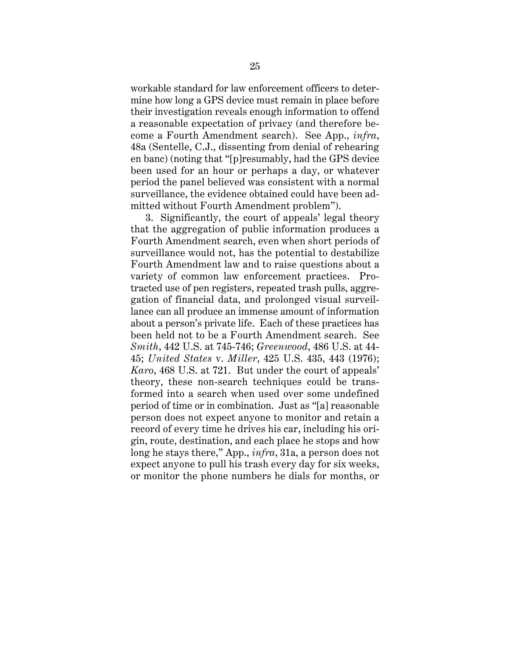<span id="page-29-0"></span>workable standard for law enforcement officers to determine how long a GPS device must remain in place before their investigation reveals enough information to offend a reasonable expectation of privacy (and therefore become a Fourth Amendment search). See App., *infra*, 48a (Sentelle, C.J., dissenting from denial of rehearing en banc) (noting that "[p]resumably, had the GPS device been used for an hour or perhaps a day, or whatever period the panel believed was consistent with a normal surveillance, the evidence obtained could have been admitted without Fourth Amendment problem").

 *Karo*, 468 U.S. at 721. But under the court of appeals' 3. Significantly, the court of appeals' legal theory that the aggregation of public information produces a Fourth Amendment search, even when short periods of surveillance would not, has the potential to destabilize Fourth Amendment law and to raise questions about a variety of common law enforcement practices. Protracted use of pen registers, repeated trash pulls, aggregation of financial data, and prolonged visual surveillance can all produce an immense amount of information about a person's private life. Each of these practices has been held not to be a Fourth Amendment search. See *Smith*, 442 U.S. at 745-746; *Greenwood*, 486 U.S. at 44- 45; *United States* v. *Miller*, 425 U.S. 435, 443 (1976); theory, these non-search techniques could be transformed into a search when used over some undefined period of time or in combination. Just as "[a] reasonable person does not expect anyone to monitor and retain a record of every time he drives his car, including his origin, route, destination, and each place he stops and how long he stays there," App., *infra*, 31a, a person does not expect anyone to pull his trash every day for six weeks, or monitor the phone numbers he dials for months, or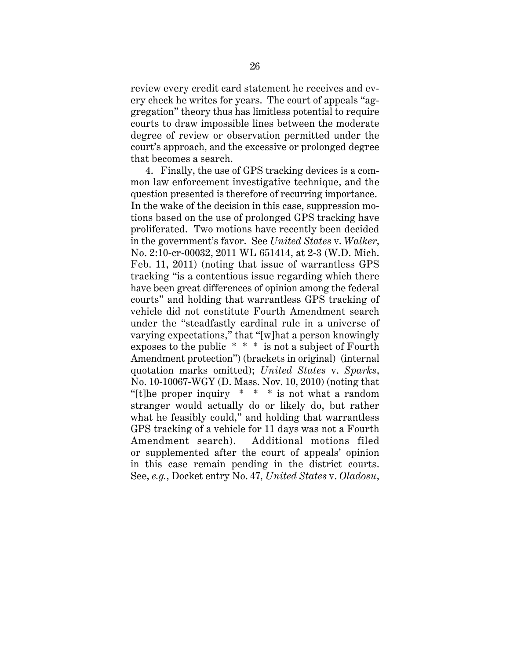<span id="page-30-0"></span>review every credit card statement he receives and every check he writes for years. The court of appeals "aggregation" theory thus has limitless potential to require courts to draw impossible lines between the moderate degree of review or observation permitted under the court's approach, and the excessive or prolonged degree that becomes a search.

4. Finally, the use of GPS tracking devices is a common law enforcement investigative technique, and the question presented is therefore of recurring importance. In the wake of the decision in this case, suppression motions based on the use of prolonged GPS tracking have proliferated. Two motions have recently been decided in the government's favor. See *United States* v. *Walker*, No. 2:10-cr-00032, 2011 WL 651414, at 2-3 (W.D. Mich. Feb. 11, 2011) (noting that issue of warrantless GPS tracking "is a contentious issue regarding which there have been great differences of opinion among the federal courts" and holding that warrantless GPS tracking of vehicle did not constitute Fourth Amendment search under the "steadfastly cardinal rule in a universe of varying expectations," that "[w]hat a person knowingly exposes to the public \* \* \* is not a subject of Fourth Amendment protection") (brackets in original) (internal quotation marks omitted); *United States* v. *Sparks*, No. 10-10067-WGY (D. Mass. Nov. 10, 2010) (noting that "[t]he proper inquiry \* \* \* is not what a random stranger would actually do or likely do, but rather what he feasibly could," and holding that warrantless GPS tracking of a vehicle for 11 days was not a Fourth Amendment search). Additional motions filed or supplemented after the court of appeals' opinion in this case remain pending in the district courts. See, *e.g.*, Docket entry No. 47, *United States* v. *Oladosu*,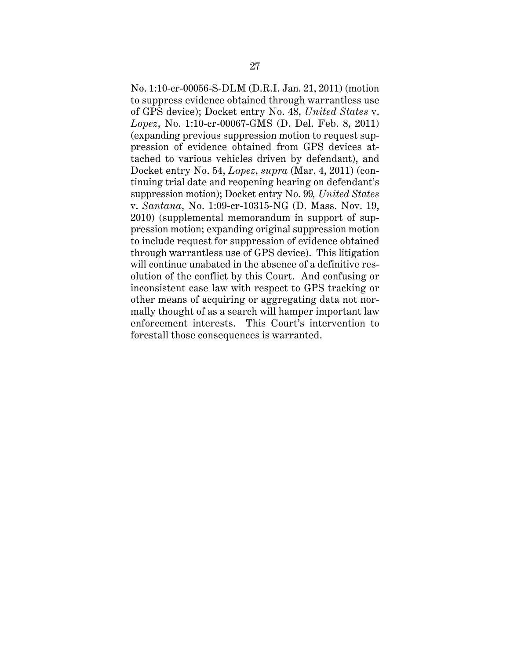<span id="page-31-0"></span>No. 1:10-cr-00056-S-DLM (D.R.I. Jan. 21, 2011) (motion to suppress evidence obtained through warrantless use of GPS device); Docket entry No. 48, *United States* v. *Lopez*, No. 1:10-cr-00067-GMS (D. Del. Feb. 8, 2011) (expanding previous suppression motion to request suppression of evidence obtained from GPS devices attached to various vehicles driven by defendant), and Docket entry No. 54, *Lopez*, *supra* (Mar. 4, 2011) (continuing trial date and reopening hearing on defendant's suppression motion); Docket entry No. 99*, United States*  v. *Santana*, No. 1:09-cr-10315-NG (D. Mass. Nov. 19, 2010) (supplemental memorandum in support of suppression motion; expanding original suppression motion to include request for suppression of evidence obtained through warrantless use of GPS device). This litigation will continue unabated in the absence of a definitive resolution of the conflict by this Court. And confusing or inconsistent case law with respect to GPS tracking or other means of acquiring or aggregating data not normally thought of as a search will hamper important law enforcement interests. This Court's intervention to forestall those consequences is warranted.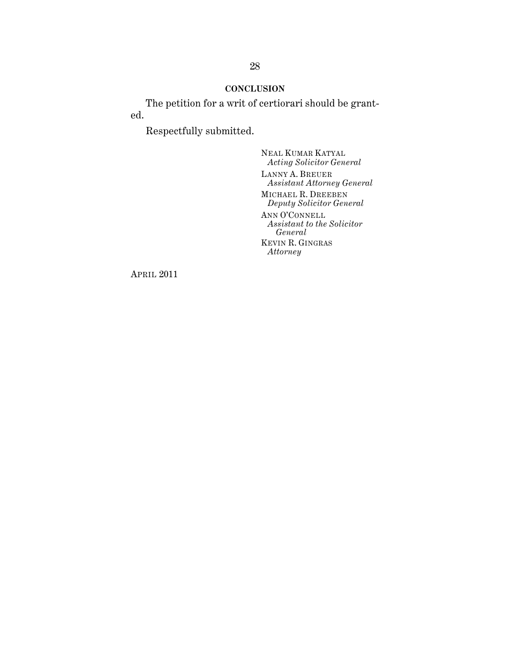## **CONCLUSION**

<span id="page-32-0"></span>The petition for a writ of certiorari should be granted.

Respectfully submitted.

NEAL KUMAR KATYAL *Acting Solicitor General*  LANNY A. BREUER *Assistant Attorney General*  MICHAEL R. DREEBEN *Deputy Solicitor General*  ANN O'CONNELL *Assistant to the Solicitor General*  KEVIN R. GINGRAS *Attorney* 

APRIL 2011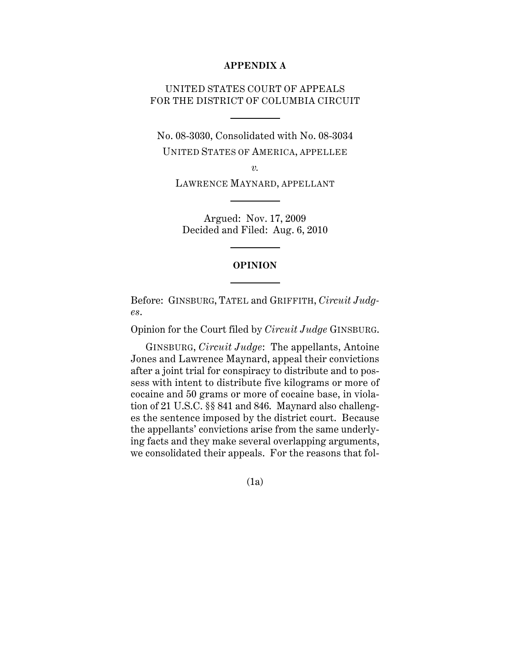#### **APPENDIX A**

# UNITED STATES COURT OF APPEALS FOR THE DISTRICT OF COLUMBIA CIRCUIT

No. 08-3030, Consolidated with No. 08-3034 UNITED STATES OF AMERICA, APPELLEE

*v.* 

LAWRENCE MAYNARD, APPELLANT

Argued: Nov. 17, 2009 Decided and Filed: Aug. 6, 2010

### **OPINION**

Before: GINSBURG, TATEL and GRIFFITH, *Circuit Judges*.

Opinion for the Court filed by *Circuit Judge* GINSBURG.

GINSBURG, *Circuit Judge*: The appellants, Antoine Jones and Lawrence Maynard, appeal their convictions after a joint trial for conspiracy to distribute and to possess with intent to distribute five kilograms or more of cocaine and 50 grams or more of cocaine base, in violation of 21 U.S.C. §§ 841 and 846. Maynard also challenges the sentence imposed by the district court. Because the appellants' convictions arise from the same underlying facts and they make several overlapping arguments, we consolidated their appeals. For the reasons that fol

(1a)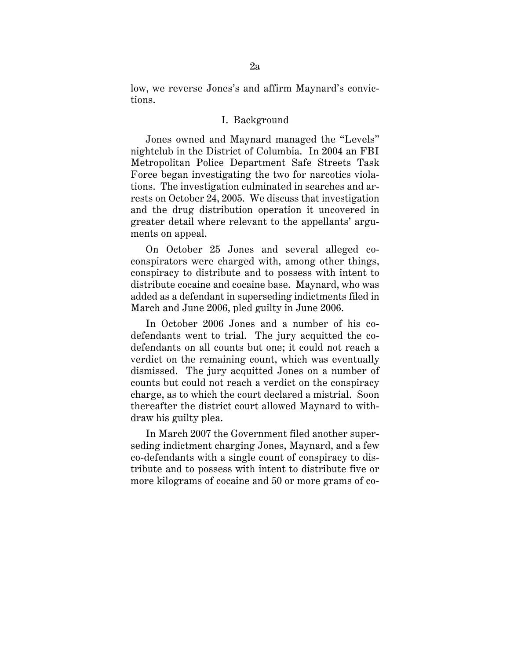low, we reverse Jones's and affirm Maynard's convictions.

### I. Background

Jones owned and Maynard managed the "Levels" nightclub in the District of Columbia. In 2004 an FBI Metropolitan Police Department Safe Streets Task Force began investigating the two for narcotics violations. The investigation culminated in searches and arrests on October 24, 2005. We discuss that investigation and the drug distribution operation it uncovered in greater detail where relevant to the appellants' arguments on appeal.

On October 25 Jones and several alleged coconspirators were charged with, among other things, conspiracy to distribute and to possess with intent to distribute cocaine and cocaine base. Maynard, who was added as a defendant in superseding indictments filed in March and June 2006, pled guilty in June 2006.

In October 2006 Jones and a number of his codefendants went to trial. The jury acquitted the codefendants on all counts but one; it could not reach a verdict on the remaining count, which was eventually dismissed. The jury acquitted Jones on a number of counts but could not reach a verdict on the conspiracy charge, as to which the court declared a mistrial. Soon thereafter the district court allowed Maynard to withdraw his guilty plea.

In March 2007 the Government filed another superseding indictment charging Jones, Maynard, and a few co-defendants with a single count of conspiracy to distribute and to possess with intent to distribute five or more kilograms of cocaine and 50 or more grams of co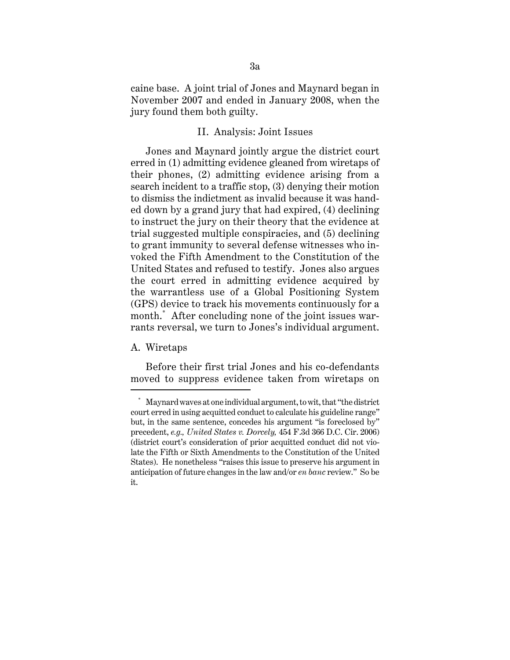caine base. A joint trial of Jones and Maynard began in November 2007 and ended in January 2008, when the jury found them both guilty.

### II. Analysis: Joint Issues

Jones and Maynard jointly argue the district court erred in (1) admitting evidence gleaned from wiretaps of their phones, (2) admitting evidence arising from a search incident to a traffic stop, (3) denying their motion to dismiss the indictment as invalid because it was handed down by a grand jury that had expired, (4) declining to instruct the jury on their theory that the evidence at trial suggested multiple conspiracies, and (5) declining to grant immunity to several defense witnesses who invoked the Fifth Amendment to the Constitution of the United States and refused to testify. Jones also argues the court erred in admitting evidence acquired by the warrantless use of a Global Positioning System (GPS) device to track his movements continuously for a month.\* After concluding none of the joint issues warrants reversal, we turn to Jones's individual argument.

#### A. Wiretaps

Before their first trial Jones and his co-defendants moved to suppress evidence taken from wiretaps on

 States). He nonetheless "raises this issue to preserve his argument in \* Maynard waves at one individual argument, to wit, that "the district court erred in using acquitted conduct to calculate his guideline range" but, in the same sentence, concedes his argument "is foreclosed by" precedent, *e.g., United States v. Dorcely,* 454 F.3d 366 D.C. Cir. 2006) (district court's consideration of prior acquitted conduct did not violate the Fifth or Sixth Amendments to the Constitution of the United anticipation of future changes in the law and/or *en banc* review." So be it.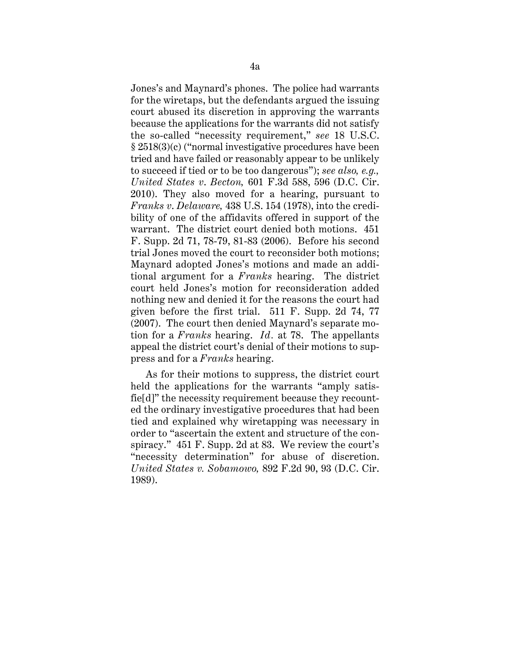Jones's and Maynard's phones. The police had warrants for the wiretaps, but the defendants argued the issuing court abused its discretion in approving the warrants because the applications for the warrants did not satisfy the so-called "necessity requirement," *see* 18 U.S.C. § 2518(3)(c) ("normal investigative procedures have been tried and have failed or reasonably appear to be unlikely to succeed if tied or to be too dangerous"); *see also, e.g., United States v*. *Becton,* 601 F.3d 588, 596 (D.C. Cir. 2010). They also moved for a hearing, pursuant to *Franks v*. *Delaware,* 438 U.S. 154 (1978), into the credibility of one of the affidavits offered in support of the warrant. The district court denied both motions. 451 F. Supp. 2d 71, 78-79, 81-83 (2006). Before his second trial Jones moved the court to reconsider both motions; Maynard adopted Jones's motions and made an additional argument for a *Franks* hearing. The district court held Jones's motion for reconsideration added nothing new and denied it for the reasons the court had given before the first trial. 511 F. Supp. 2d 74, 77 (2007). The court then denied Maynard's separate motion for a *Franks* hearing. *Id.* at 78. The appellants appeal the district court's denial of their motions to suppress and for a *Franks* hearing.

As for their motions to suppress, the district court held the applications for the warrants "amply satisfie[d]" the necessity requirement because they recounted the ordinary investigative procedures that had been tied and explained why wiretapping was necessary in order to "ascertain the extent and structure of the conspiracy." 451 F. Supp. 2d at 83. We review the court's "necessity determination" for abuse of discretion. *United States v. Sobamowo,* 892 F.2d 90, 93 (D.C. Cir. 1989).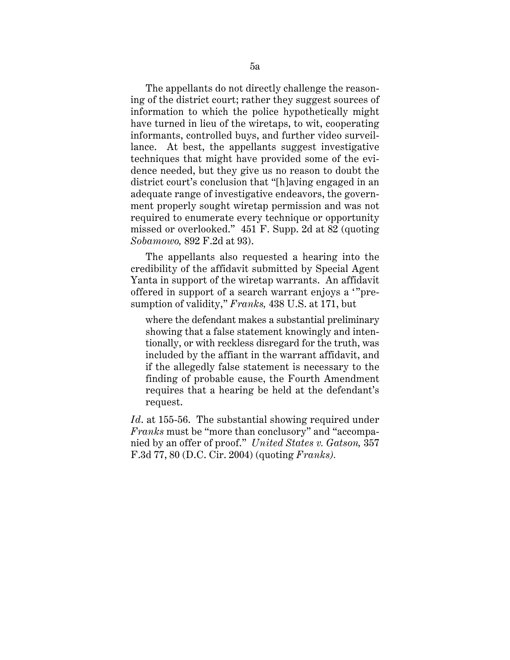The appellants do not directly challenge the reasoning of the district court; rather they suggest sources of information to which the police hypothetically might have turned in lieu of the wiretaps, to wit, cooperating informants, controlled buys, and further video surveillance. At best, the appellants suggest investigative techniques that might have provided some of the evidence needed, but they give us no reason to doubt the district court's conclusion that "[h]aving engaged in an adequate range of investigative endeavors, the government properly sought wiretap permission and was not required to enumerate every technique or opportunity missed or overlooked." 451 F. Supp. 2d at 82 (quoting *Sobamowo,* 892 F.2d at 93).

The appellants also requested a hearing into the credibility of the affidavit submitted by Special Agent Yanta in support of the wiretap warrants. An affidavit offered in support of a search warrant enjoys a '"presumption of validity," *Franks,* 438 U.S. at 171, but

where the defendant makes a substantial preliminary showing that a false statement knowingly and intentionally, or with reckless disregard for the truth, was included by the affiant in the warrant affidavit, and if the allegedly false statement is necessary to the finding of probable cause, the Fourth Amendment requires that a hearing be held at the defendant's request.

*Id*. at 155-56. The substantial showing required under *Franks* must be "more than conclusory" and "accompanied by an offer of proof." *United States v. Gatson,* 357 F.3d 77, 80 (D.C. Cir. 2004) (quoting *Franks).*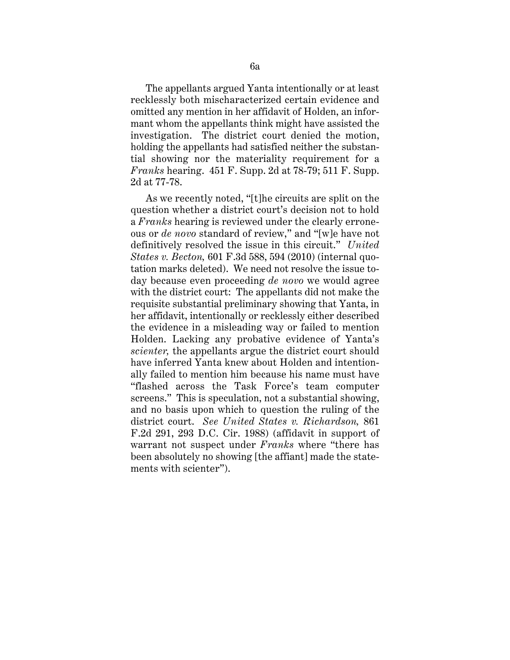The appellants argued Yanta intentionally or at least recklessly both mischaracterized certain evidence and omitted any mention in her affidavit of Holden, an informant whom the appellants think might have assisted the investigation. The district court denied the motion, holding the appellants had satisfied neither the substantial showing nor the materiality requirement for a *Franks* hearing. 451 F. Supp. 2d at 78-79; 511 F. Supp. 2d at 77-78.

As we recently noted, "[t]he circuits are split on the question whether a district court's decision not to hold a *Franks* hearing is reviewed under the clearly erroneous or *de novo* standard of review," and "[w]e have not definitively resolved the issue in this circuit." *United States v. Becton,* 601 F.3d 588, 594 (2010) (internal quotation marks deleted). We need not resolve the issue today because even proceeding *de novo* we would agree with the district court: The appellants did not make the requisite substantial preliminary showing that Yanta, in her affidavit, intentionally or recklessly either described the evidence in a misleading way or failed to mention Holden. Lacking any probative evidence of Yanta's *scienter,* the appellants argue the district court should have inferred Yanta knew about Holden and intentionally failed to mention him because his name must have "flashed across the Task Force's team computer screens." This is speculation, not a substantial showing, and no basis upon which to question the ruling of the district court. *See United States v. Richardson,* 861 F.2d 291, 293 D.C. Cir. 1988) (affidavit in support of warrant not suspect under *Franks* where "there has been absolutely no showing [the affiant] made the statements with scienter").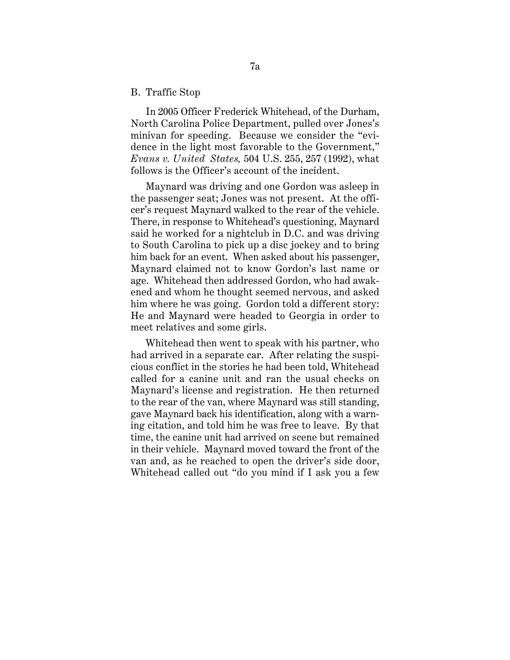#### B. Traffic Stop

In 2005 Officer Frederick Whitehead, of the Durham, North Carolina Police Department, pulled over Jones's minivan for speeding. Because we consider the "evidence in the light most favorable to the Government," *Evans v. United States,* 504 U.S. 255, 257 (1992), what follows is the Officer's account of the incident.

Maynard was driving and one Gordon was asleep in the passenger seat; Jones was not present. At the officer's request Maynard walked to the rear of the vehicle. There, in response to Whitehead's questioning, Maynard said he worked for a nightclub in D.C. and was driving to South Carolina to pick up a disc jockey and to bring him back for an event. When asked about his passenger, Maynard claimed not to know Gordon's last name or age. Whitehead then addressed Gordon, who had awakened and whom he thought seemed nervous, and asked him where he was going. Gordon told a different story: He and Maynard were headed to Georgia in order to meet relatives and some girls.

Whitehead then went to speak with his partner, who had arrived in a separate car. After relating the suspicious conflict in the stories he had been told, Whitehead called for a canine unit and ran the usual checks on Maynard's license and registration. He then returned to the rear of the van, where Maynard was still standing, gave Maynard back his identification, along with a warning citation, and told him he was free to leave. By that time, the canine unit had arrived on scene but remained in their vehicle. Maynard moved toward the front of the van and, as he reached to open the driver's side door, Whitehead called out "do you mind if I ask you a few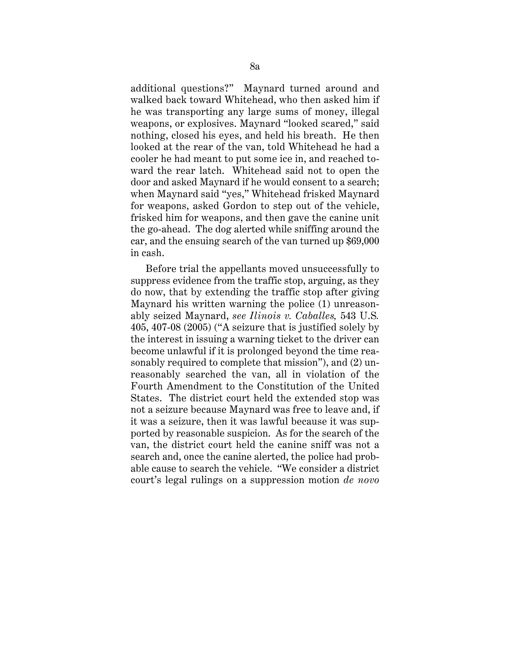additional questions?" Maynard turned around and walked back toward Whitehead, who then asked him if he was transporting any large sums of money, illegal weapons, or explosives. Maynard "looked scared," said nothing, closed his eyes, and held his breath. He then looked at the rear of the van, told Whitehead he had a cooler he had meant to put some ice in, and reached toward the rear latch. Whitehead said not to open the door and asked Maynard if he would consent to a search; when Maynard said "yes," Whitehead frisked Maynard for weapons, asked Gordon to step out of the vehicle, frisked him for weapons, and then gave the canine unit the go-ahead. The dog alerted while sniffing around the car, and the ensuing search of the van turned up \$69,000 in cash.

Before trial the appellants moved unsuccessfully to suppress evidence from the traffic stop, arguing, as they do now, that by extending the traffic stop after giving Maynard his written warning the police (1) unreasonably seized Maynard, *see Ilinois v. Caballes,* 543 U.S*.*  405, 407-08 (2005) ("A seizure that is justified solely by the interest in issuing a warning ticket to the driver can become unlawful if it is prolonged beyond the time reasonably required to complete that mission"), and (2) unreasonably searched the van, all in violation of the Fourth Amendment to the Constitution of the United States. The district court held the extended stop was not a seizure because Maynard was free to leave and, if it was a seizure, then it was lawful because it was supported by reasonable suspicion. As for the search of the van, the district court held the canine sniff was not a search and, once the canine alerted, the police had probable cause to search the vehicle. "We consider a district court's legal rulings on a suppression motion *de novo*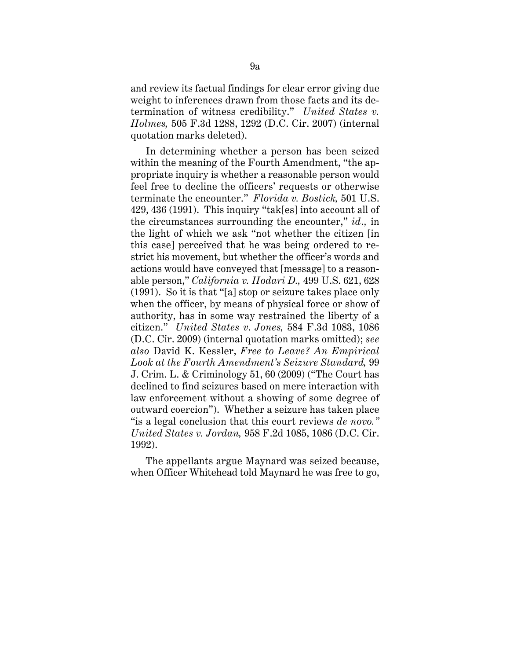and review its factual findings for clear error giving due weight to inferences drawn from those facts and its determination of witness credibility." *United States v. Holmes,* 505 F.3d 1288, 1292 (D.C. Cir. 2007) (internal quotation marks deleted).

In determining whether a person has been seized within the meaning of the Fourth Amendment, "the appropriate inquiry is whether a reasonable person would feel free to decline the officers' requests or otherwise terminate the encounter." *Florida v. Bostick,* 501 U.S. 429, 436 (1991). This inquiry "tak[es] into account all of the circumstances surrounding the encounter," *id.,* in the light of which we ask "not whether the citizen [in this case] perceived that he was being ordered to restrict his movement, but whether the officer's words and actions would have conveyed that [message] to a reasonable person," *California v. Hodari D.,* 499 U.S. 621, 628 (1991). So it is that "[a] stop or seizure takes place only when the officer, by means of physical force or show of authority, has in some way restrained the liberty of a citizen." *United States v*. *Jones,* 584 F.3d 1083, 1086 (D.C. Cir. 2009) (internal quotation marks omitted); *see also* David K. Kessler, *Free to Leave? An Empirical Look at the Fourth Amendment's Seizure Standard,* 99 J. Crim. L. & Criminology 51, 60 (2009) ("The Court has declined to find seizures based on mere interaction with law enforcement without a showing of some degree of outward coercion"). Whether a seizure has taken place "is a legal conclusion that this court reviews *de novo." United States v. Jordan,* 958 F.2d 1085, 1086 (D.C. Cir. 1992).

The appellants argue Maynard was seized because, when Officer Whitehead told Maynard he was free to go,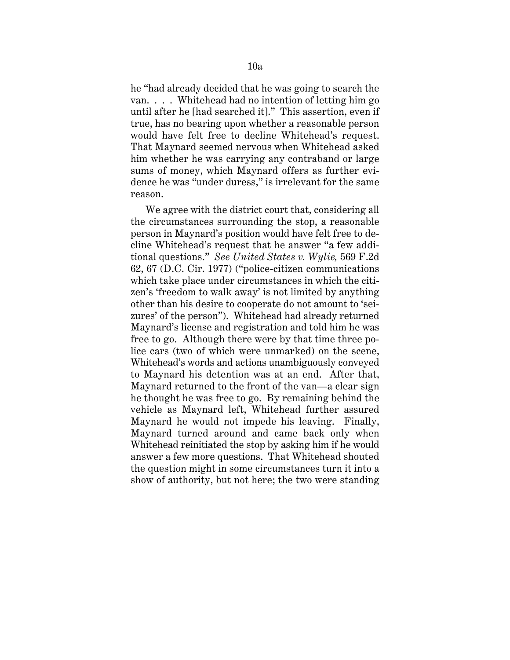he "had already decided that he was going to search the van. . . . Whitehead had no intention of letting him go until after he [had searched it]." This assertion, even if true, has no bearing upon whether a reasonable person would have felt free to decline Whitehead's request. That Maynard seemed nervous when Whitehead asked him whether he was carrying any contraband or large sums of money, which Maynard offers as further evidence he was "under duress," is irrelevant for the same reason.

We agree with the district court that, considering all the circumstances surrounding the stop, a reasonable person in Maynard's position would have felt free to decline Whitehead's request that he answer "a few additional questions." *See United States v. Wylie,* 569 F.2d 62, 67 (D.C. Cir. 1977) ("police-citizen communications which take place under circumstances in which the citizen's 'freedom to walk away' is not limited by anything other than his desire to cooperate do not amount to 'seizures' of the person"). Whitehead had already returned Maynard's license and registration and told him he was free to go. Although there were by that time three police cars (two of which were unmarked) on the scene, Whitehead's words and actions unambiguously conveyed to Maynard his detention was at an end. After that, Maynard returned to the front of the van—a clear sign he thought he was free to go. By remaining behind the vehicle as Maynard left, Whitehead further assured Maynard he would not impede his leaving. Finally, Maynard turned around and came back only when Whitehead reinitiated the stop by asking him if he would answer a few more questions. That Whitehead shouted the question might in some circumstances turn it into a show of authority, but not here; the two were standing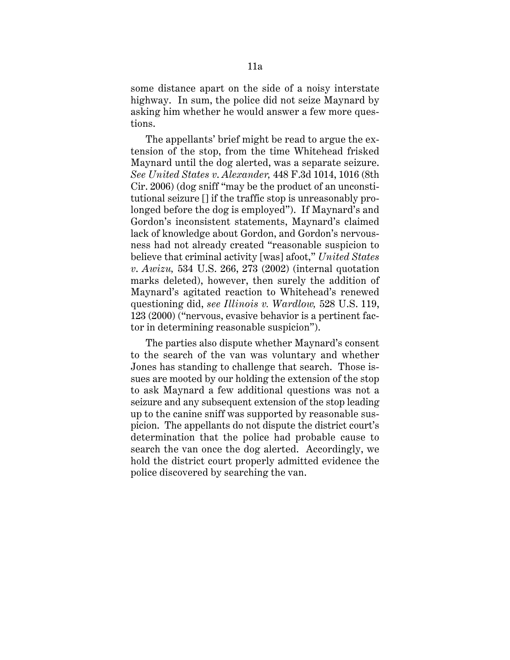some distance apart on the side of a noisy interstate highway. In sum, the police did not seize Maynard by asking him whether he would answer a few more questions.

The appellants' brief might be read to argue the extension of the stop, from the time Whitehead frisked Maynard until the dog alerted, was a separate seizure. *See United States v*. *Alexander,* 448 F.3d 1014, 1016 (8th Cir. 2006) (dog sniff "may be the product of an unconstitutional seizure [] if the traffic stop is unreasonably prolonged before the dog is employed"). If Maynard's and Gordon's inconsistent statements, Maynard's claimed lack of knowledge about Gordon, and Gordon's nervousness had not already created "reasonable suspicion to believe that criminal activity [was] afoot," *United States v*. *Awizu,* 534 U.S. 266, 273 (2002) (internal quotation marks deleted), however, then surely the addition of Maynard's agitated reaction to Whitehead's renewed questioning did, *see Illinois v. Wardlow,* 528 U.S. 119, 123 (2000) ("nervous, evasive behavior is a pertinent factor in determining reasonable suspicion").

The parties also dispute whether Maynard's consent to the search of the van was voluntary and whether Jones has standing to challenge that search. Those issues are mooted by our holding the extension of the stop to ask Maynard a few additional questions was not a seizure and any subsequent extension of the stop leading up to the canine sniff was supported by reasonable suspicion. The appellants do not dispute the district court's determination that the police had probable cause to search the van once the dog alerted. Accordingly, we hold the district court properly admitted evidence the police discovered by searching the van.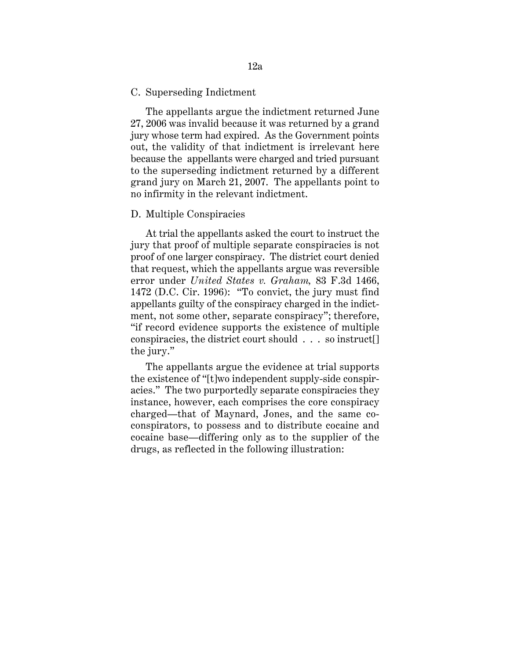#### C. Superseding Indictment

The appellants argue the indictment returned June 27, 2006 was invalid because it was returned by a grand jury whose term had expired. As the Government points out, the validity of that indictment is irrelevant here because the appellants were charged and tried pursuant to the superseding indictment returned by a different grand jury on March 21, 2007. The appellants point to no infirmity in the relevant indictment.

#### D. Multiple Conspiracies

At trial the appellants asked the court to instruct the jury that proof of multiple separate conspiracies is not proof of one larger conspiracy. The district court denied that request, which the appellants argue was reversible error under *United States v. Graham,* 83 F.3d 1466, 1472 (D.C. Cir. 1996): "To convict, the jury must find appellants guilty of the conspiracy charged in the indictment, not some other, separate conspiracy"; therefore, "if record evidence supports the existence of multiple conspiracies, the district court should . . . so instruct[] the jury."

The appellants argue the evidence at trial supports the existence of "[t]wo independent supply-side conspiracies." The two purportedly separate conspiracies they instance, however, each comprises the core conspiracy charged—that of Maynard, Jones, and the same coconspirators, to possess and to distribute cocaine and cocaine base—differing only as to the supplier of the drugs, as reflected in the following illustration: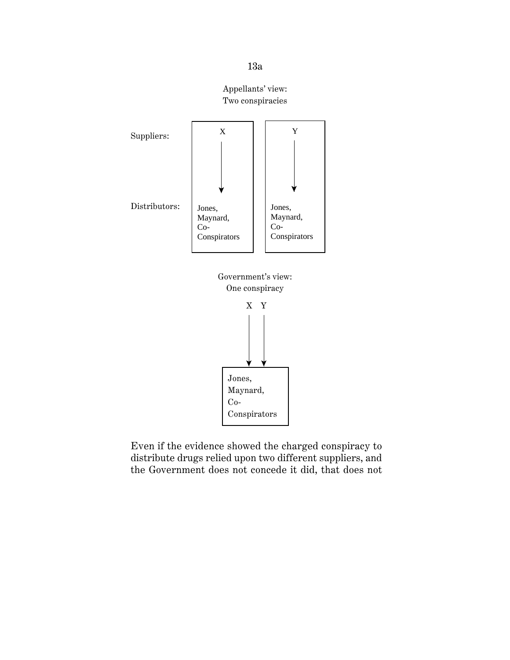









Even if the evidence showed the charged conspiracy to distribute drugs relied upon two different suppliers, and the Government does not concede it did, that does not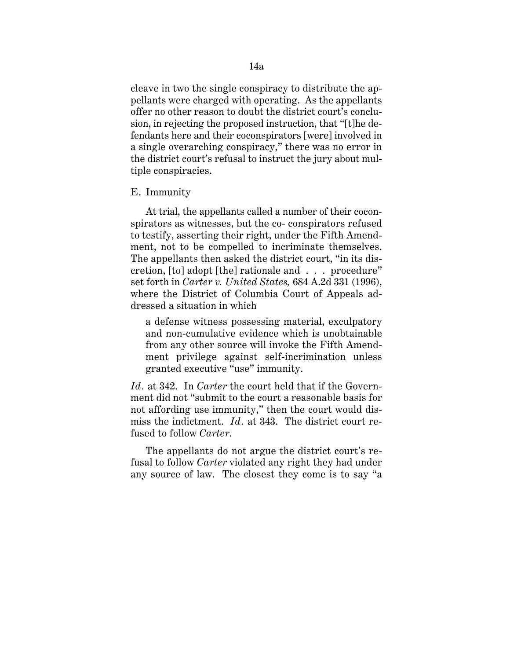cleave in two the single conspiracy to distribute the appellants were charged with operating. As the appellants offer no other reason to doubt the district court's conclusion, in rejecting the proposed instruction, that "[t]he defendants here and their coconspirators [were] involved in a single overarching conspiracy," there was no error in the district court's refusal to instruct the jury about multiple conspiracies.

# E. Immunity

At trial, the appellants called a number of their coconspirators as witnesses, but the co- conspirators refused to testify, asserting their right, under the Fifth Amendment, not to be compelled to incriminate themselves. The appellants then asked the district court, "in its discretion, [to] adopt [the] rationale and . . . procedure" set forth in *Carter v. United States,* 684 A.2d 331 (1996), where the District of Columbia Court of Appeals addressed a situation in which

a defense witness possessing material, exculpatory and non-cumulative evidence which is unobtainable from any other source will invoke the Fifth Amendment privilege against self-incrimination unless granted executive "use" immunity.

*Id.* at 342. In *Carter* the court held that if the Government did not "submit to the court a reasonable basis for not affording use immunity," then the court would dismiss the indictment. *Id.* at 343. The district court refused to follow *Carter*.

The appellants do not argue the district court's refusal to follow *Carter* violated any right they had under any source of law. The closest they come is to say "a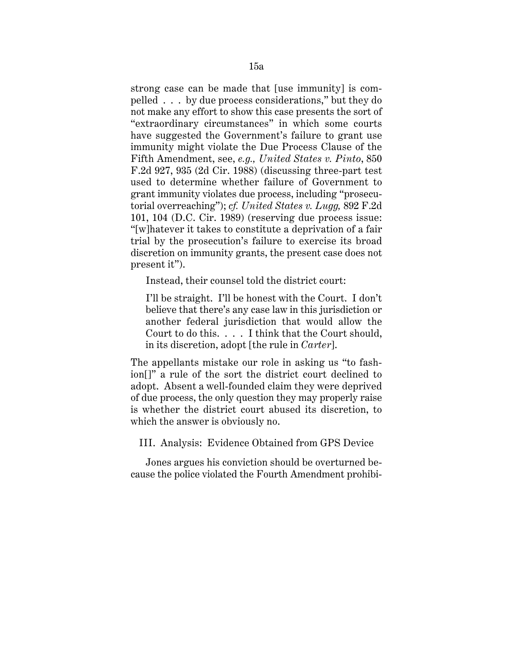strong case can be made that [use immunity] is compelled . . . by due process considerations," but they do not make any effort to show this case presents the sort of "extraordinary circumstances" in which some courts have suggested the Government's failure to grant use immunity might violate the Due Process Clause of the Fifth Amendment, see, *e.g., United States v. Pinto*, 850 F.2d 927, 935 (2d Cir. 1988) (discussing three-part test used to determine whether failure of Government to grant immunity violates due process, including "prosecutorial overreaching"); *cf. United States v. Lugg,* 892 F.2d 101, 104 (D.C. Cir. 1989) (reserving due process issue: "[w]hatever it takes to constitute a deprivation of a fair trial by the prosecution's failure to exercise its broad discretion on immunity grants, the present case does not present it").

Instead, their counsel told the district court:

I'll be straight. I'll be honest with the Court. I don't believe that there's any case law in this jurisdiction or another federal jurisdiction that would allow the Court to do this. . . . I think that the Court should, in its discretion, adopt [the rule in *Carter*].

The appellants mistake our role in asking us "to fashion[]" a rule of the sort the district court declined to adopt. Absent a well-founded claim they were deprived of due process, the only question they may properly raise is whether the district court abused its discretion, to which the answer is obviously no.

III. Analysis: Evidence Obtained from GPS Device

Jones argues his conviction should be overturned because the police violated the Fourth Amendment prohibi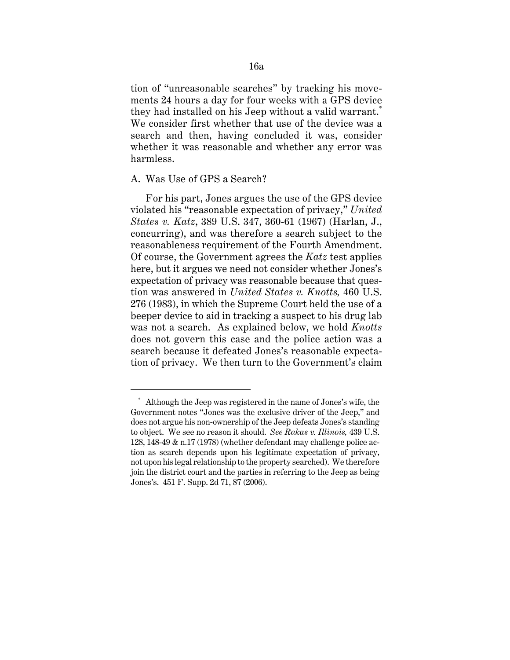tion of "unreasonable searches" by tracking his movements 24 hours a day for four weeks with a GPS device they had installed on his Jeep without a valid warrant.<sup>\*</sup> We consider first whether that use of the device was a search and then, having concluded it was, consider whether it was reasonable and whether any error was harmless.

## A. Was Use of GPS a Search?

For his part, Jones argues the use of the GPS device violated his "reasonable expectation of privacy," *United States v. Katz*, 389 U.S. 347, 360-61 (1967) (Harlan, J., concurring), and was therefore a search subject to the reasonableness requirement of the Fourth Amendment. Of course, the Government agrees the *Katz* test applies here, but it argues we need not consider whether Jones's expectation of privacy was reasonable because that question was answered in *United States v. Knotts,* 460 U.S. 276 (1983), in which the Supreme Court held the use of a beeper device to aid in tracking a suspect to his drug lab was not a search. As explained below, we hold *Knotts*  does not govern this case and the police action was a search because it defeated Jones's reasonable expectation of privacy. We then turn to the Government's claim

 Government notes "Jones was the exclusive driver of the Jeep," and Although the Jeep was registered in the name of Jones's wife, the does not argue his non-ownership of the Jeep defeats Jones's standing to object. We see no reason it should. *See Rakas v. Illinois,* 439 U.S. 128, 148-49 & n.17 (1978) (whether defendant may challenge police action as search depends upon his legitimate expectation of privacy, not upon his legal relationship to the property searched). We therefore join the district court and the parties in referring to the Jeep as being Jones's. 451 F. Supp. 2d 71, 87 (2006).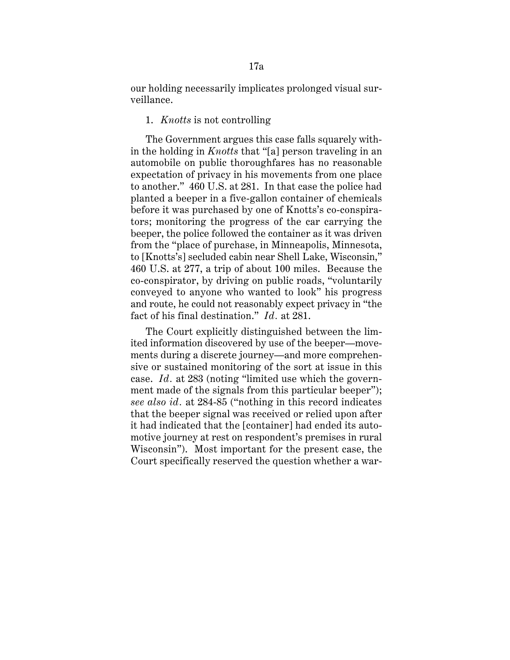our holding necessarily implicates prolonged visual surveillance.

# 1. *Knotts* is not controlling

The Government argues this case falls squarely within the holding in *Knotts* that "[a] person traveling in an automobile on public thoroughfares has no reasonable expectation of privacy in his movements from one place to another." 460 U.S. at 281. In that case the police had planted a beeper in a five-gallon container of chemicals before it was purchased by one of Knotts's co-conspirators; monitoring the progress of the car carrying the beeper, the police followed the container as it was driven from the "place of purchase, in Minneapolis, Minnesota, to [Knotts's] secluded cabin near Shell Lake, Wisconsin," 460 U.S. at 277, a trip of about 100 miles. Because the co-conspirator, by driving on public roads, "voluntarily conveyed to anyone who wanted to look" his progress and route, he could not reasonably expect privacy in "the fact of his final destination." *Id.* at 281.

 case. *Id.* at 283 (noting "limited use which the govern-The Court explicitly distinguished between the limited information discovered by use of the beeper—movements during a discrete journey—and more comprehensive or sustained monitoring of the sort at issue in this ment made of the signals from this particular beeper"); *see also id.* at 284-85 ("nothing in this record indicates that the beeper signal was received or relied upon after it had indicated that the [container] had ended its automotive journey at rest on respondent's premises in rural Wisconsin"). Most important for the present case, the Court specifically reserved the question whether a war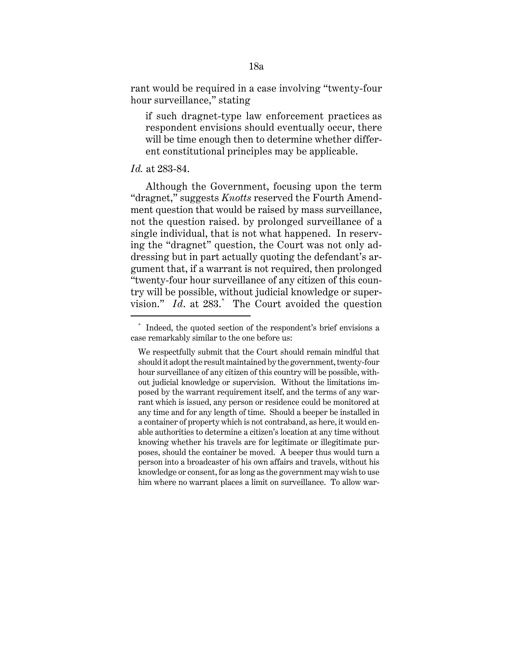rant would be required in a case involving "twenty-four hour surveillance," stating

if such dragnet-type law enforcement practices as respondent envisions should eventually occur, there will be time enough then to determine whether different constitutional principles may be applicable.

## *Id.* at 283-84.

Although the Government, focusing upon the term "dragnet," suggests *Knotts* reserved the Fourth Amendment question that would be raised by mass surveillance, not the question raised. by prolonged surveillance of a single individual, that is not what happened. In reserving the "dragnet" question, the Court was not only addressing but in part actually quoting the defendant's argument that, if a warrant is not required, then prolonged "twenty-four hour surveillance of any citizen of this country will be possible, without judicial knowledge or supervision." *Id*. at 283.\* The Court avoided the question

<sup>\*</sup> Indeed, the quoted section of the respondent's brief envisions a case remarkably similar to the one before us:

 poses, should the container be moved. A beeper thus would turn a We respectfully submit that the Court should remain mindful that should it adopt the result maintained by the government, twenty-four hour surveillance of any citizen of this country will be possible, without judicial knowledge or supervision. Without the limitations imposed by the warrant requirement itself, and the terms of any warrant which is issued, any person or residence could be monitored at any time and for any length of time. Should a beeper be installed in a container of property which is not contraband, as here, it would enable authorities to determine a citizen's location at any time without knowing whether his travels are for legitimate or illegitimate purperson into a broadcaster of his own affairs and travels, without his knowledge or consent, for as long as the government may wish to use him where no warrant places a limit on surveillance. To allow war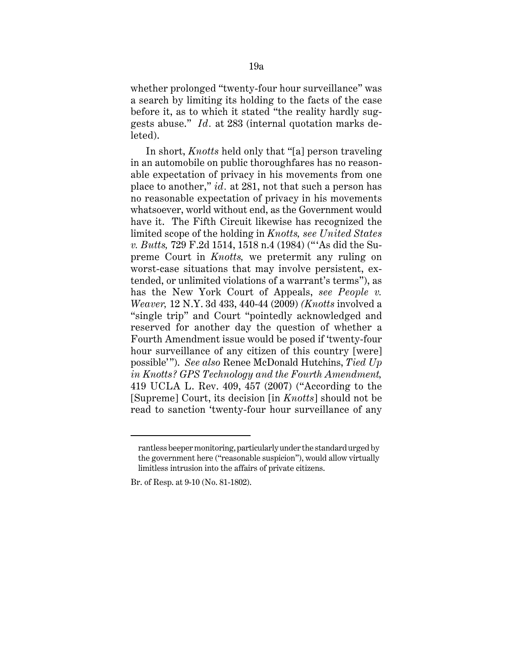whether prolonged "twenty-four hour surveillance" was a search by limiting its holding to the facts of the case before it, as to which it stated "the reality hardly suggests abuse." *Id.* at 283 (internal quotation marks deleted).

In short, *Knotts* held only that "[a] person traveling in an automobile on public thoroughfares has no reasonable expectation of privacy in his movements from one place to another," *id.* at 281, not that such a person has no reasonable expectation of privacy in his movements whatsoever, world without end, as the Government would have it. The Fifth Circuit likewise has recognized the limited scope of the holding in *Knotts, see United States v. Butts,* 729 F.2d 1514, 1518 n.4 (1984) ("'As did the Supreme Court in *Knotts,* we pretermit any ruling on worst-case situations that may involve persistent, extended, or unlimited violations of a warrant's terms"), as has the New York Court of Appeals, *see People v. Weaver,* 12 N.Y. 3d 433, 440-44 (2009) *(Knotts* involved a "single trip" and Court "pointedly acknowledged and reserved for another day the question of whether a Fourth Amendment issue would be posed if 'twenty-four hour surveillance of any citizen of this country [were] possible'"). *See also* Renee McDonald Hutchins, *Tied Up in Knotts? GPS Technology and the Fourth Amendment,*  419 UCLA L. Rev. 409, 457 (2007) ("According to the [Supreme] Court, its decision [in *Knotts*] should not be read to sanction 'twenty-four hour surveillance of any

rantless beeper monitoring, particularly under the standard urged by the government here ("reasonable suspicion"), would allow virtually limitless intrusion into the affairs of private citizens.

Br. of Resp. at 9-10 (No. 81-1802).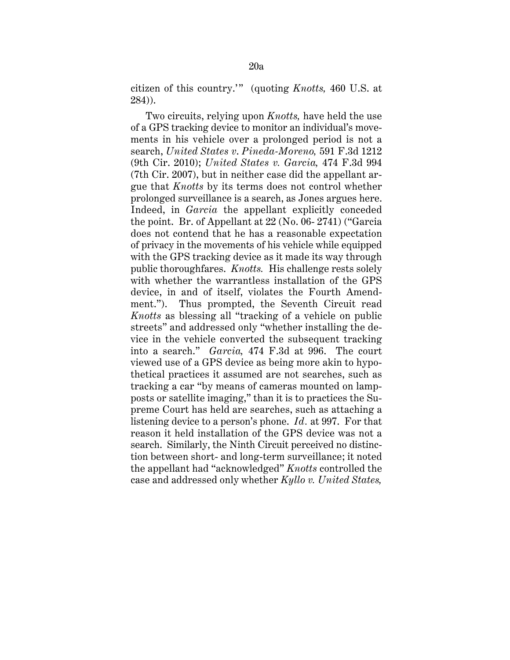citizen of this country.'" (quoting *Knotts,* 460 U.S. at 284)).

Two circuits, relying upon *Knotts,* have held the use of a GPS tracking device to monitor an individual's movements in his vehicle over a prolonged period is not a search, *United States v*. *Pineda-Moreno,* 591 F.3d 1212 (9th Cir. 2010); *United States v. Garcia,* 474 F.3d 994 (7th Cir. 2007), but in neither case did the appellant argue that *Knotts* by its terms does not control whether prolonged surveillance is a search, as Jones argues here. Indeed, in *Garcia* the appellant explicitly conceded the point. Br. of Appellant at 22 (No. 06- 2741) ("Garcia does not contend that he has a reasonable expectation of privacy in the movements of his vehicle while equipped with the GPS tracking device as it made its way through public thoroughfares. *Knotts.* His challenge rests solely with whether the warrantless installation of the GPS device, in and of itself, violates the Fourth Amendment."). Thus prompted, the Seventh Circuit read *Knotts* as blessing all "tracking of a vehicle on public streets" and addressed only "whether installing the device in the vehicle converted the subsequent tracking into a search." *Garcia,* 474 F.3d at 996. The court viewed use of a GPS device as being more akin to hypothetical practices it assumed are not searches, such as tracking a car "by means of cameras mounted on lampposts or satellite imaging," than it is to practices the Supreme Court has held are searches, such as attaching a listening device to a person's phone. *Id.* at 997. For that reason it held installation of the GPS device was not a search. Similarly, the Ninth Circuit perceived no distinction between short- and long-term surveillance; it noted the appellant had "acknowledged" *Knotts* controlled the case and addressed only whether *Kyllo v. United States,*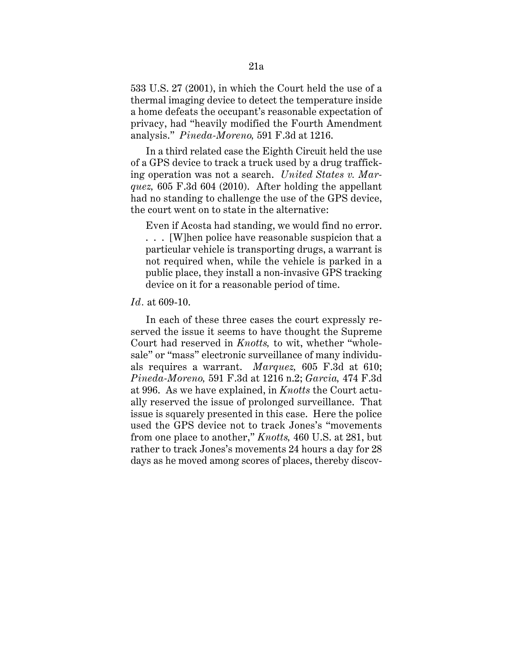533 U.S. 27 (2001), in which the Court held the use of a thermal imaging device to detect the temperature inside a home defeats the occupant's reasonable expectation of privacy, had "heavily modified the Fourth Amendment analysis." *Pineda-Moreno,* 591 F.3d at 1216.

In a third related case the Eighth Circuit held the use of a GPS device to track a truck used by a drug trafficking operation was not a search. *United States v. Marquez,* 605 F.3d 604 (2010). After holding the appellant had no standing to challenge the use of the GPS device, the court went on to state in the alternative:

Even if Acosta had standing, we would find no error. . . . [W]hen police have reasonable suspicion that a particular vehicle is transporting drugs, a warrant is not required when, while the vehicle is parked in a public place, they install a non-invasive GPS tracking device on it for a reasonable period of time.

#### *Id.* at 609-10.

In each of these three cases the court expressly reserved the issue it seems to have thought the Supreme Court had reserved in *Knotts,* to wit, whether "wholesale" or "mass" electronic surveillance of many individuals requires a warrant. *Marquez,* 605 F.3d at 610; *Pineda-Moreno,* 591 F.3d at 1216 n.2; *Garcia,* 474 F.3d at 996. As we have explained, in *Knotts* the Court actually reserved the issue of prolonged surveillance. That issue is squarely presented in this case. Here the police used the GPS device not to track Jones's "movements from one place to another," *Knotts,* 460 U.S. at 281, but rather to track Jones's movements 24 hours a day for 28 days as he moved among scores of places, thereby discov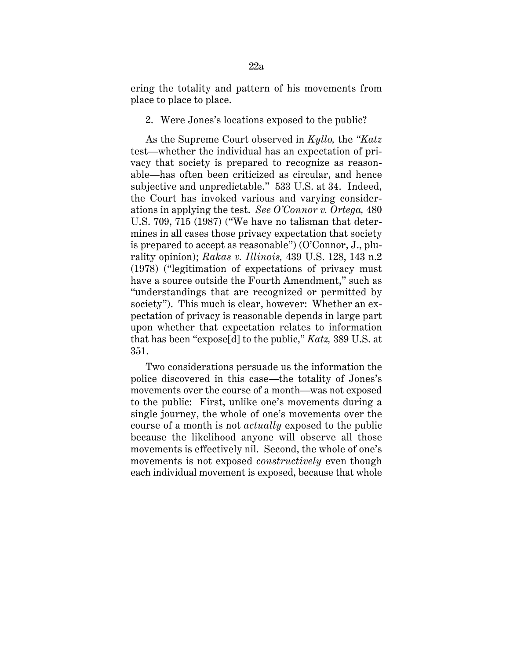ering the totality and pattern of his movements from place to place to place.

2. Were Jones's locations exposed to the public?

As the Supreme Court observed in *Kyllo,* the *"Katz*  test—whether the individual has an expectation of privacy that society is prepared to recognize as reasonable—has often been criticized as circular, and hence subjective and unpredictable." 533 U.S. at 34. Indeed, the Court has invoked various and varying considerations in applying the test. *See O'Connor v. Ortega,* 480 U.S. 709, 715 (1987) ("We have no talisman that determines in all cases those privacy expectation that society is prepared to accept as reasonable") (O'Connor, J., plurality opinion); *Rakas v. Illinois,* 439 U.S. 128, 143 n.2 (1978) ("legitimation of expectations of privacy must have a source outside the Fourth Amendment," such as "understandings that are recognized or permitted by society"). This much is clear, however: Whether an expectation of privacy is reasonable depends in large part upon whether that expectation relates to information that has been "expose[d] to the public," *Katz,* 389 U.S. at 351.

Two considerations persuade us the information the police discovered in this case—the totality of Jones's movements over the course of a month—was not exposed to the public: First, unlike one's movements during a single journey, the whole of one's movements over the course of a month is not *actually* exposed to the public because the likelihood anyone will observe all those movements is effectively nil. Second, the whole of one's movements is not exposed *constructively* even though each individual movement is exposed, because that whole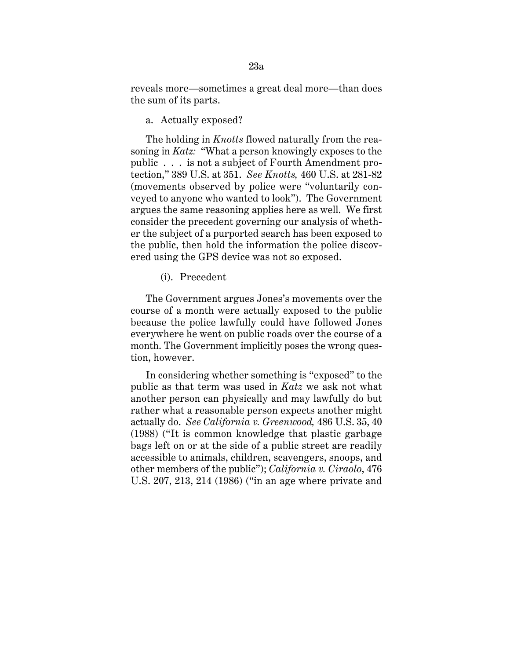reveals more—sometimes a great deal more—than does the sum of its parts.

#### a. Actually exposed?

 soning in *Katz:* "What a person knowingly exposes to the The holding in *Knotts* flowed naturally from the reapublic . . . is not a subject of Fourth Amendment protection," 389 U.S. at 351. *See Knotts,* 460 U.S. at 281-82 (movements observed by police were "voluntarily conveyed to anyone who wanted to look"). The Government argues the same reasoning applies here as well. We first consider the precedent governing our analysis of whether the subject of a purported search has been exposed to the public, then hold the information the police discovered using the GPS device was not so exposed.

(i). Precedent

The Government argues Jones's movements over the course of a month were actually exposed to the public because the police lawfully could have followed Jones everywhere he went on public roads over the course of a month. The Government implicitly poses the wrong question, however.

In considering whether something is "exposed" to the public as that term was used in *Katz* we ask not what another person can physically and may lawfully do but rather what a reasonable person expects another might actually do. *See California v. Greenwood,* 486 U.S. 35, 40 (1988) ("It is common knowledge that plastic garbage bags left on or at the side of a public street are readily accessible to animals, children, scavengers, snoops, and other members of the public"); *California v. Ciraolo*, 476 U.S. 207, 213, 214 (1986) ("in an age where private and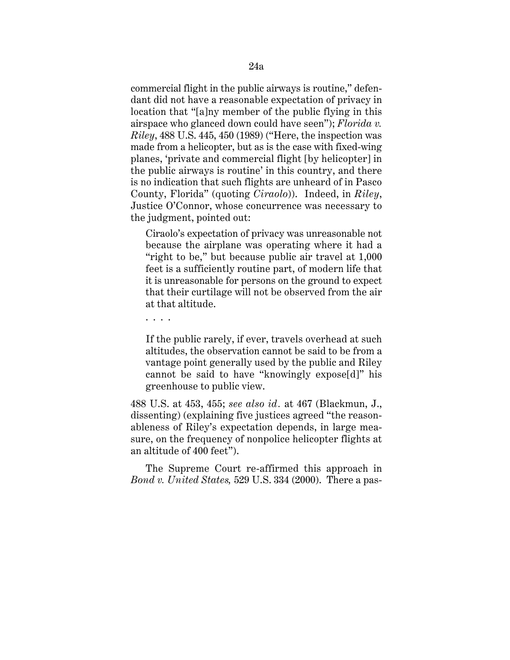commercial flight in the public airways is routine," defendant did not have a reasonable expectation of privacy in location that "[a]ny member of the public flying in this airspace who glanced down could have seen"); *Florida v. Riley*, 488 U.S. 445, 450 (1989) ("Here, the inspection was made from a helicopter, but as is the case with fixed-wing planes, 'private and commercial flight [by helicopter] in the public airways is routine' in this country, and there is no indication that such flights are unheard of in Pasco County, Florida" (quoting *Ciraolo*)). Indeed, in *Riley*, Justice O'Connor, whose concurrence was necessary to the judgment, pointed out:

Ciraolo's expectation of privacy was unreasonable not because the airplane was operating where it had a "right to be," but because public air travel at 1,000 feet is a sufficiently routine part, of modern life that it is unreasonable for persons on the ground to expect that their curtilage will not be observed from the air at that altitude.

. . . .

If the public rarely, if ever, travels overhead at such altitudes, the observation cannot be said to be from a vantage point generally used by the public and Riley cannot be said to have "knowingly expose[d]" his greenhouse to public view.

488 U.S. at 453, 455; *see also id.* at 467 (Blackmun, J., dissenting) (explaining five justices agreed "the reasonableness of Riley's expectation depends, in large measure, on the frequency of nonpolice helicopter flights at an altitude of 400 feet").

The Supreme Court re-affirmed this approach in *Bond v. United States,* 529 U.S. 334 (2000). There a pas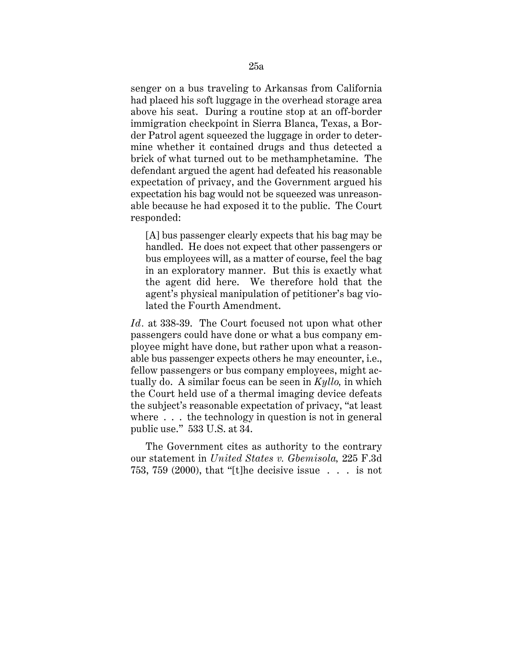senger on a bus traveling to Arkansas from California had placed his soft luggage in the overhead storage area above his seat. During a routine stop at an off-border immigration checkpoint in Sierra Blanca, Texas, a Border Patrol agent squeezed the luggage in order to determine whether it contained drugs and thus detected a brick of what turned out to be methamphetamine. The defendant argued the agent had defeated his reasonable expectation of privacy, and the Government argued his expectation his bag would not be squeezed was unreasonable because he had exposed it to the public. The Court responded:

[A] bus passenger clearly expects that his bag may be handled. He does not expect that other passengers or bus employees will, as a matter of course, feel the bag in an exploratory manner. But this is exactly what the agent did here. We therefore hold that the agent's physical manipulation of petitioner's bag violated the Fourth Amendment.

*Id.* at 338-39. The Court focused not upon what other passengers could have done or what a bus company employee might have done, but rather upon what a reasonable bus passenger expects others he may encounter, i.e., fellow passengers or bus company employees, might actually do. A similar focus can be seen in *Kyllo,* in which the Court held use of a thermal imaging device defeats the subject's reasonable expectation of privacy, "at least where  $\ldots$  the technology in question is not in general public use." 533 U.S. at 34.

The Government cites as authority to the contrary our statement in *United States v. Gbemisola,* 225 F.3d 753, 759 (2000), that "[t]he decisive issue . . . is not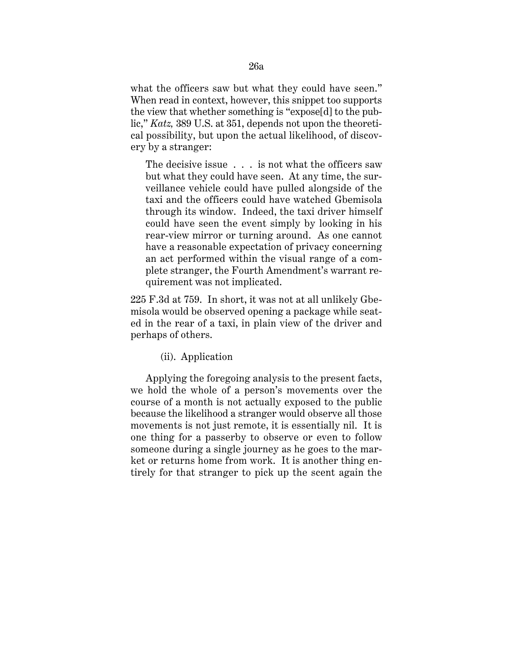what the officers saw but what they could have seen." When read in context, however, this snippet too supports the view that whether something is "expose[d] to the public," *Katz,* 389 U.S. at 351, depends not upon the theoretical possibility, but upon the actual likelihood, of discovery by a stranger:

The decisive issue . . . is not what the officers saw but what they could have seen. At any time, the surveillance vehicle could have pulled alongside of the taxi and the officers could have watched Gbemisola through its window. Indeed, the taxi driver himself could have seen the event simply by looking in his rear-view mirror or turning around. As one cannot have a reasonable expectation of privacy concerning an act performed within the visual range of a complete stranger, the Fourth Amendment's warrant requirement was not implicated.

225 F.3d at 759. In short, it was not at all unlikely Gbemisola would be observed opening a package while seated in the rear of a taxi, in plain view of the driver and perhaps of others.

(ii). Application

Applying the foregoing analysis to the present facts, we hold the whole of a person's movements over the course of a month is not actually exposed to the public because the likelihood a stranger would observe all those movements is not just remote, it is essentially nil. It is one thing for a passerby to observe or even to follow someone during a single journey as he goes to the market or returns home from work. It is another thing entirely for that stranger to pick up the scent again the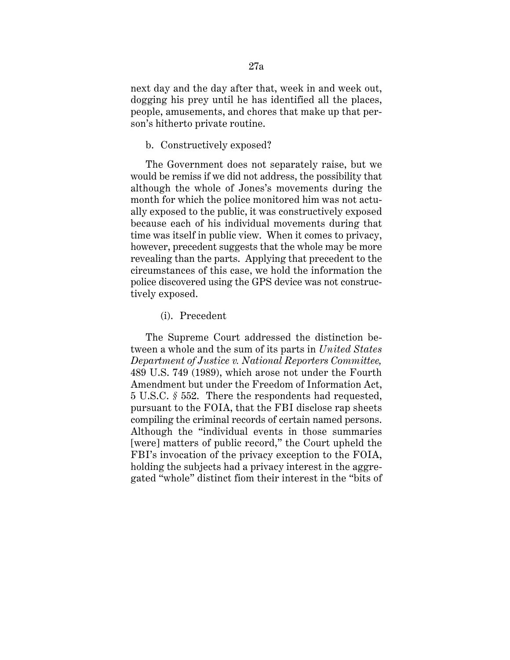next day and the day after that, week in and week out, dogging his prey until he has identified all the places, people, amusements, and chores that make up that person's hitherto private routine.

#### b. Constructively exposed?

The Government does not separately raise, but we would be remiss if we did not address, the possibility that although the whole of Jones's movements during the month for which the police monitored him was not actually exposed to the public, it was constructively exposed because each of his individual movements during that time was itself in public view. When it comes to privacy, however, precedent suggests that the whole may be more revealing than the parts. Applying that precedent to the circumstances of this case, we hold the information the police discovered using the GPS device was not constructively exposed.

### (i). Precedent

The Supreme Court addressed the distinction between a whole and the sum of its parts in *United States Department of Justice v. National Reporters Committee,*  489 U.S. 749 (1989), which arose not under the Fourth Amendment but under the Freedom of Information Act, 5 U.S.C. *§* 552. There the respondents had requested, pursuant to the FOIA, that the FBI disclose rap sheets compiling the criminal records of certain named persons. Although the "individual events in those summaries [were] matters of public record," the Court upheld the FBI's invocation of the privacy exception to the FOIA, holding the subjects had a privacy interest in the aggregated "whole" distinct fiom their interest in the "bits of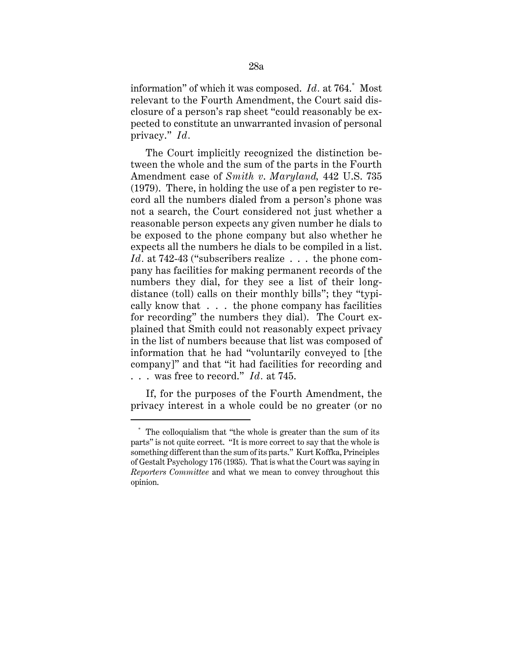information" of which it was composed. *Id.* at 764.\* Most relevant to the Fourth Amendment, the Court said disclosure of a person's rap sheet "could reasonably be expected to constitute an unwarranted invasion of personal privacy." *Id.* 

The Court implicitly recognized the distinction between the whole and the sum of the parts in the Fourth Amendment case of *Smith v*. *Maryland,* 442 U.S. 735 (1979). There, in holding the use of a pen register to record all the numbers dialed from a person's phone was not a search, the Court considered not just whether a reasonable person expects any given number he dials to be exposed to the phone company but also whether he expects all the numbers he dials to be compiled in a list. *Id.* at 742-43 ("subscribers realize . . . the phone company has facilities for making permanent records of the numbers they dial, for they see a list of their longdistance (toll) calls on their monthly bills"; they "typically know that . . . the phone company has facilities for recording" the numbers they dial). The Court explained that Smith could not reasonably expect privacy in the list of numbers because that list was composed of information that he had "voluntarily conveyed to [the company]" and that "it had facilities for recording and . . . was free to record." *Id.* at 745.

If, for the purposes of the Fourth Amendment, the privacy interest in a whole could be no greater (or no

 \* The colloquialism that "the whole is greater than the sum of its parts" is not quite correct. "It is more correct to say that the whole is something different than the sum of its parts." Kurt Koffka, Principles of Gestalt Psychology 176 (1935). That is what the Court was saying in *Reporters Committee* and what we mean to convey throughout this opinion.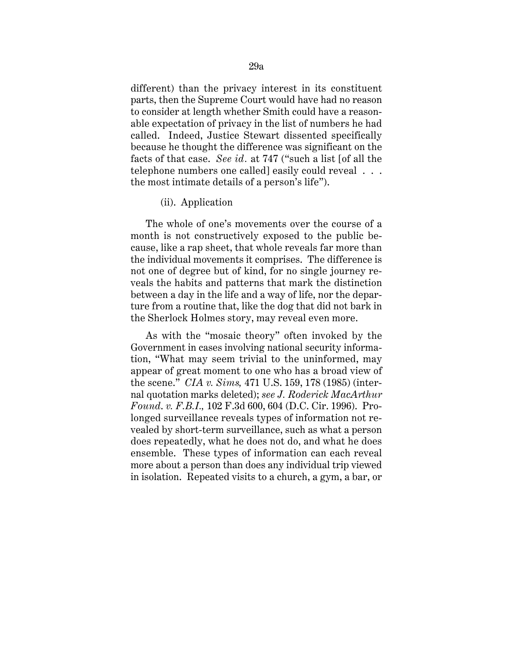different) than the privacy interest in its constituent parts, then the Supreme Court would have had no reason to consider at length whether Smith could have a reasonable expectation of privacy in the list of numbers he had called. Indeed, Justice Stewart dissented specifically because he thought the difference was significant on the facts of that case. *See id.* at 747 ("such a list [of all the telephone numbers one called] easily could reveal . . . the most intimate details of a person's life").

### (ii). Application

The whole of one's movements over the course of a month is not constructively exposed to the public because, like a rap sheet, that whole reveals far more than the individual movements it comprises. The difference is not one of degree but of kind, for no single journey reveals the habits and patterns that mark the distinction between a day in the life and a way of life, nor the departure from a routine that, like the dog that did not bark in the Sherlock Holmes story, may reveal even more.

As with the "mosaic theory" often invoked by the Government in cases involving national security information, "What may seem trivial to the uninformed, may appear of great moment to one who has a broad view of the scene." *CIA v. Sims,* 471 U.S. 159, 178 (1985) (internal quotation marks deleted); *see J. Roderick MacArthur Found*. *v. F.B.I.,* 102 F.3d 600, 604 (D.C. Cir. 1996). Prolonged surveillance reveals types of information not revealed by short-term surveillance, such as what a person does repeatedly, what he does not do, and what he does ensemble. These types of information can each reveal more about a person than does any individual trip viewed in isolation. Repeated visits to a church, a gym, a bar, or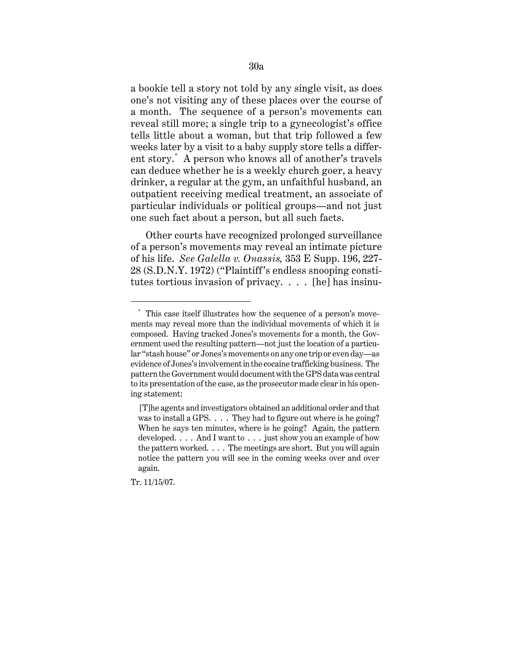a bookie tell a story not told by any single visit, as does one's not visiting any of these places over the course of a month. The sequence of a person's movements can reveal still more; a single trip to a gynecologist's office tells little about a woman, but that trip followed a few weeks later by a visit to a baby supply store tells a different story.\* A person who knows all of another's travels can deduce whether he is a weekly church goer, a heavy drinker, a regular at the gym, an unfaithful husband, an outpatient receiving medical treatment, an associate of particular individuals or political groups—and not just one such fact about a person, but all such facts.

Other courts have recognized prolonged surveillance of a person's movements may reveal an intimate picture of his life. *See Galella v. Onassis,* 353 E Supp. 196, 227 28 (S.D.N.Y. 1972) ("Plaintiff's endless snooping constitutes tortious invasion of privacy. . . . [he] has insinu

 $^\ast\,$  This case itself illustrates how the sequence of a person's movements may reveal more than the individual movements of which it is composed. Having tracked Jones's movements for a month, the Government used the resulting pattern—not just the location of a particular "stash house" or Jones's movements on any one trip or even day—as evidence of Jones's involvement in the cocaine trafficking business. The pattern the Government would document with the GPS data was central to its presentation of the case, as the prosecutor made clear in his opening statement:

 was to install a GPS. . . . They had to figure out where is he going? [T]he agents and investigators obtained an additional order and that When he says ten minutes, where is he going? Again, the pattern developed. . . . And I want to . . . just show you an example of how the pattern worked. . . . The meetings are short. But you will again notice the pattern you will see in the coming weeks over and over again.

Tr. 11/15/07.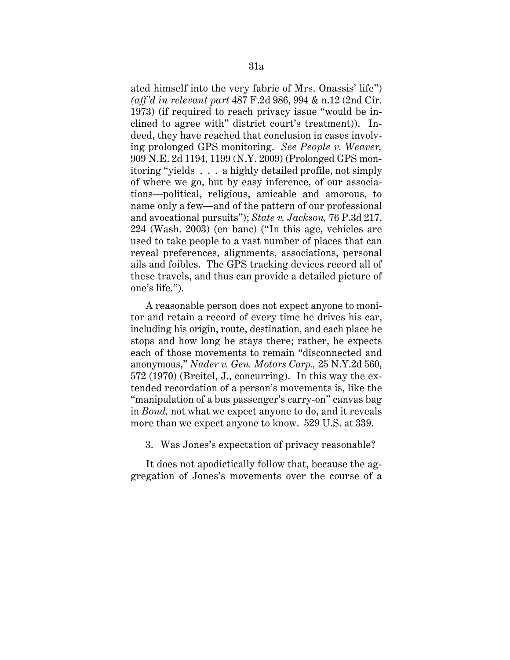ated himself into the very fabric of Mrs. Onassis' life") *(aff'd in relevant part* 487 F.2d 986, 994 & n.12 (2nd Cir. 1973) (if required to reach privacy issue "would be inclined to agree with" district court's treatment)). Indeed, they have reached that conclusion in cases involving prolonged GPS monitoring. *See People v. Weaver,*  909 N.E. 2d 1194, 1199 (N.Y. 2009) (Prolonged GPS monitoring "yields . . . a highly detailed profile, not simply of where we go, but by easy inference, of our associations—political, religious, amicable and amorous, to name only a few—and of the pattern of our professional and avocational pursuits"); *State v. Jackson,* 76 P.3d 217, 224 (Wash. 2003) (en banc) ("In this age, vehicles are used to take people to a vast number of places that can reveal preferences, alignments, associations, personal ails and foibles. The GPS tracking devices record all of these travels, and thus can provide a detailed picture of one's life.").

A reasonable person does not expect anyone to monitor and retain a record of every time he drives his car, including his origin, route, destination, and each place he stops and how long he stays there; rather, he expects each of those movements to remain "disconnected and anonymous," *Nader v. Gen. Motors Corp.,* 25 N.Y.2d 560, 572 (1970) (Breitel, J., concurring). In this way the extended recordation of a person's movements is, like the "manipulation of a bus passenger's carry-on" canvas bag in *Bond,* not what we expect anyone to do, and it reveals more than we expect anyone to know. 529 U.S. at 339.

3. Was Jones's expectation of privacy reasonable?

It does not apodictically follow that, because the aggregation of Jones's movements over the course of a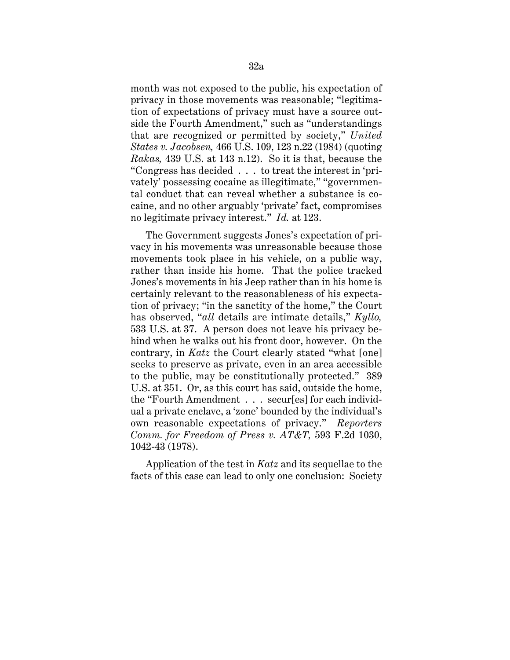month was not exposed to the public, his expectation of privacy in those movements was reasonable; "legitimation of expectations of privacy must have a source outside the Fourth Amendment," such as "understandings that are recognized or permitted by society," *United States v. Jacobsen,* 466 U.S. 109, 123 n.22 (1984) (quoting *Rakas,* 439 U.S. at 143 n.12). So it is that, because the "Congress has decided . . . to treat the interest in 'privately' possessing cocaine as illegitimate," "governmental conduct that can reveal whether a substance is cocaine, and no other arguably 'private' fact, compromises no legitimate privacy interest." *Id.* at 123.

The Government suggests Jones's expectation of privacy in his movements was unreasonable because those movements took place in his vehicle, on a public way, rather than inside his home. That the police tracked Jones's movements in his Jeep rather than in his home is certainly relevant to the reasonableness of his expectation of privacy; "in the sanctity of the home," the Court has observed, "*all* details are intimate details," *Kyllo,*  533 U.S. at 37. A person does not leave his privacy behind when he walks out his front door, however. On the contrary, in *Katz* the Court clearly stated "what [one] seeks to preserve as private, even in an area accessible to the public, may be constitutionally protected." 389 U.S. at 351. Or, as this court has said, outside the home, the "Fourth Amendment . . . secur[es] for each individual a private enclave, a 'zone' bounded by the individual's own reasonable expectations of privacy." *Reporters Comm. for Freedom of Press v. AT&T,* 593 F.2d 1030, 1042-43 (1978).

Application of the test in *Katz* and its sequellae to the facts of this case can lead to only one conclusion: Society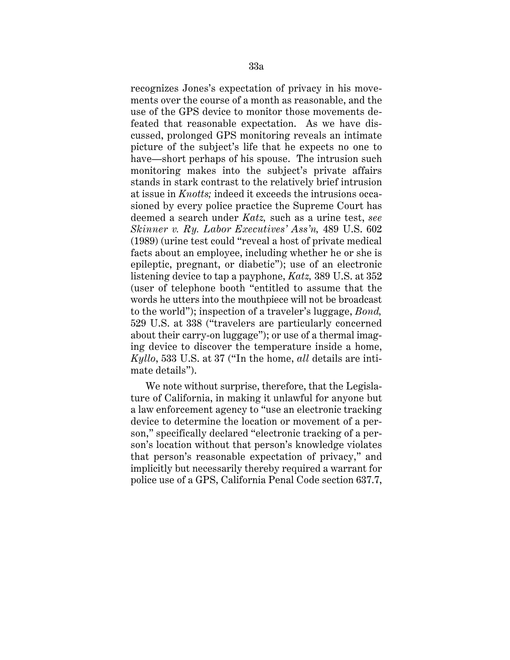recognizes Jones's expectation of privacy in his movements over the course of a month as reasonable, and the use of the GPS device to monitor those movements defeated that reasonable expectation. As we have discussed, prolonged GPS monitoring reveals an intimate picture of the subject's life that he expects no one to have—short perhaps of his spouse. The intrusion such monitoring makes into the subject's private affairs stands in stark contrast to the relatively brief intrusion at issue in *Knotts;* indeed it exceeds the intrusions occasioned by every police practice the Supreme Court has deemed a search under *Katz,* such as a urine test, *see Skinner v. Ry. Labor Executives' Ass'n,* 489 U.S. 602 (1989) (urine test could "reveal a host of private medical facts about an employee, including whether he or she is epileptic, pregnant, or diabetic"); use of an electronic listening device to tap a payphone, *Katz,* 389 U.S. at 352 (user of telephone booth "entitled to assume that the words he utters into the mouthpiece will not be broadcast to the world"); inspection of a traveler's luggage, *Bond,*  529 U.S. at 338 ("travelers are particularly concerned about their carry-on luggage"); or use of a thermal imaging device to discover the temperature inside a home, *Kyllo*, 533 U.S. at 37 ("In the home, *all* details are intimate details").

We note without surprise, therefore, that the Legislature of California, in making it unlawful for anyone but a law enforcement agency to "use an electronic tracking device to determine the location or movement of a person," specifically declared "electronic tracking of a person's location without that person's knowledge violates that person's reasonable expectation of privacy," and implicitly but necessarily thereby required a warrant for police use of a GPS, California Penal Code section 637.7,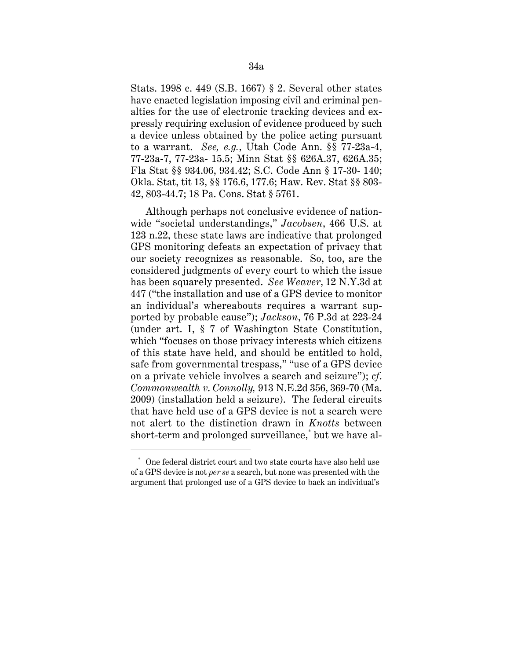Stats. 1998 c. 449 (S.B. 1667) § 2. Several other states have enacted legislation imposing civil and criminal penalties for the use of electronic tracking devices and expressly requiring exclusion of evidence produced by such a device unless obtained by the police acting pursuant to a warrant. *See, e.g.*, Utah Code Ann. §§ 77-23a-4, 77-23a-7, 77-23a- 15.5; Minn Stat §§ 626A.37, 626A.35; Fla Stat §§ 934.06, 934.42; S.C. Code Ann § 17-30- 140; Okla. Stat, tit 13, §§ 176.6, 177.6; Haw. Rev. Stat §§ 803 42, 803-44.7; 18 Pa. Cons. Stat § 5761.

Although perhaps not conclusive evidence of nationwide "societal understandings," *Jacobsen*, 466 U.S. at 123 n.22, these state laws are indicative that prolonged GPS monitoring defeats an expectation of privacy that our society recognizes as reasonable. So, too, are the considered judgments of every court to which the issue has been squarely presented. *See Weaver*, 12 N.Y.3d at 447 ("the installation and use of a GPS device to monitor an individual's whereabouts requires a warrant supported by probable cause"); *Jackson*, 76 P.3d at 223-24 (under art. I, § 7 of Washington State Constitution, which "focuses on those privacy interests which citizens of this state have held, and should be entitled to hold, safe from governmental trespass," "use of a GPS device on a private vehicle involves a search and seizure"); *cf*. *Commonwealth v*. *Connolly,* 913 N.E.2d 356, 369-70 (Ma. 2009) (installation held a seizure). The federal circuits that have held use of a GPS device is not a search were not alert to the distinction drawn in *Knotts* between short-term and prolonged surveillance,\* but we have al

One federal district court and two state courts have also held use of a GPS device is not *per se* a search, but none was presented with the argument that prolonged use of a GPS device to back an individual's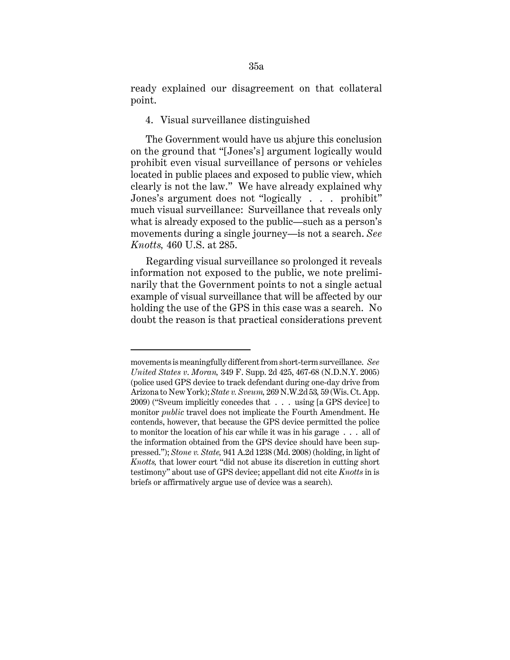ready explained our disagreement on that collateral point.

4. Visual surveillance distinguished

The Government would have us abjure this conclusion on the ground that "[Jones's] argument logically would prohibit even visual surveillance of persons or vehicles located in public places and exposed to public view, which clearly is not the law." We have already explained why Jones's argument does not "logically . . . prohibit" much visual surveillance: Surveillance that reveals only what is already exposed to the public—such as a person's movements during a single journey—is not a search. *See Knotts,* 460 U.S. at 285.

Regarding visual surveillance so prolonged it reveals information not exposed to the public, we note preliminarily that the Government points to not a single actual example of visual surveillance that will be affected by our holding the use of the GPS in this case was a search. No doubt the reason is that practical considerations prevent

 movements is meaningfully different from short-term surveillance. *See*  to monitor the location of his car while it was in his garage . . . all of *United States v*. *Moran,* 349 F. Supp. 2d 425, 467-68 (N.D.N.Y. 2005) (police used GPS device to track defendant during one-day drive from Arizona to New York); *State v. Sveum,* 269 N.W.2d 53*,* 59 (Wis. Ct. App. 2009) ("Sveum implicitly concedes that . . . using [a GPS device] to monitor *public* travel does not implicate the Fourth Amendment. He contends, however, that because the GPS device permitted the police the information obtained from the GPS device should have been suppressed."); *Stone v. State,* 941 A.2d 1238 (Md. 2008) (holding, in light of *Knotts,* that lower court "did not abuse its discretion in cutting short testimony" about use of GPS device; appellant did not cite *Knotts* in is briefs or affirmatively argue use of device was a search).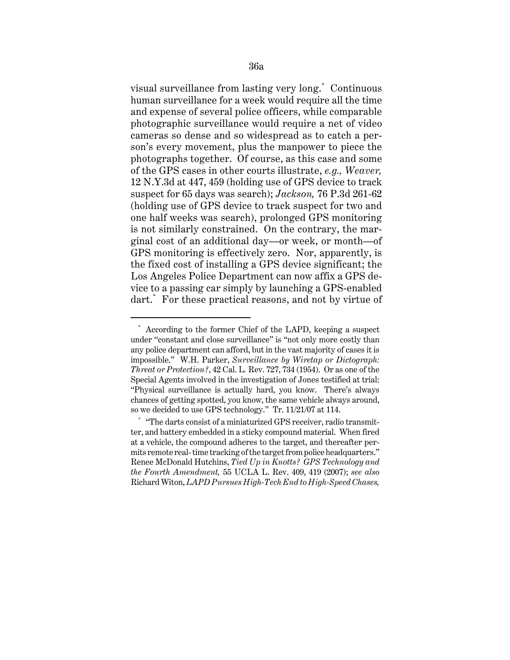visual surveillance from lasting very long.\* Continuous human surveillance for a week would require all the time and expense of several police officers, while comparable photographic surveillance would require a net of video cameras so dense and so widespread as to catch a person's every movement, plus the manpower to piece the photographs together. Of course, as this case and some of the GPS cases in other courts illustrate, *e.g., Weaver,*  12 N.Y.3d at 447, 459 (holding use of GPS device to track suspect for 65 days was search); *Jackson,* 76 P.3d 261-62 (holding use of GPS device to track suspect for two and one half weeks was search), prolonged GPS monitoring is not similarly constrained. On the contrary, the marginal cost of an additional day—or week, or month—of GPS monitoring is effectively zero. Nor, apparently, is the fixed cost of installing a GPS device significant; the Los Angeles Police Department can now affix a GPS device to a passing car simply by launching a GPS-enabled dart.\* For these practical reasons, and not by virtue of

According to the former Chief of the LAPD, keeping a suspect under "constant and close surveillance" is "not only more costly than any police department can afford, but in the vast majority of cases it is impossible." W.H. Parker, *Surveillance by Wiretap or Dictograph: Threat or Protection?*, 42 Cal. L*.* Rev. 727, 734 (1954). Or as one of the Special Agents involved in the investigation of Jones testified at trial: "Physical surveillance is actually hard, you know. There's always chances of getting spotted, you know, the same vehicle always around, so we decided to use GPS technology." Tr. 11/21/07 at 114.

<sup>\* &</sup>quot;The darts consist of a miniaturized GPS receiver, radio transmitter, and battery embedded in a sticky compound material. When fired at a vehicle, the compound adheres to the target, and thereafter permits remote real- time tracking of the target from police headquarters." Renee McDonald Hutchins, *Tied Up in Knotts? GPS Technology and the Fourth Amendment,* 55 UCLA L. Rev. 409, 419 (2007); *see also*  Richard Witon, *LAPD Pursues High-Tech End to High-Speed Chases,*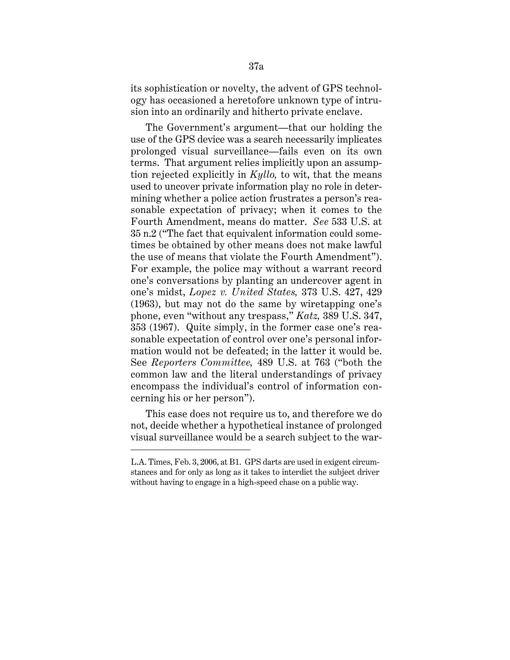its sophistication or novelty, the advent of GPS technology has occasioned a heretofore unknown type of intrusion into an ordinarily and hitherto private enclave.

The Government's argument—that our holding the use of the GPS device was a search necessarily implicates prolonged visual surveillance—fails even on its own terms. That argument relies implicitly upon an assumption rejected explicitly in *Kyllo,* to wit, that the means used to uncover private information play no role in determining whether a police action frustrates a person's reasonable expectation of privacy; when it comes to the Fourth Amendment, means do matter. *See* 533 U.S. at 35 n.2 ("The fact that equivalent information could sometimes be obtained by other means does not make lawful the use of means that violate the Fourth Amendment"). For example, the police may without a warrant record one's conversations by planting an undercover agent in one's midst, *Lopez v. United States,* 373 U.S. 427, 429 (1963), but may not do the same by wiretapping one's phone, even "without any trespass," *Katz,* 389 U.S. 347, 353 (1967). Quite simply, in the former case one's reasonable expectation of control over one's personal information would not be defeated; in the latter it would be. See *Reporters Committee,* 489 U.S. at 763 ("both the common law and the literal understandings of privacy encompass the individual's control of information concerning his or her person").

This case does not require us to, and therefore we do not, decide whether a hypothetical instance of prolonged visual surveillance would be a search subject to the war-

L.A. Times, Feb. 3, 2006, at B1. GPS darts are used in exigent circumstances and for only as long as it takes to interdict the subject driver without having to engage in a high-speed chase on a public way.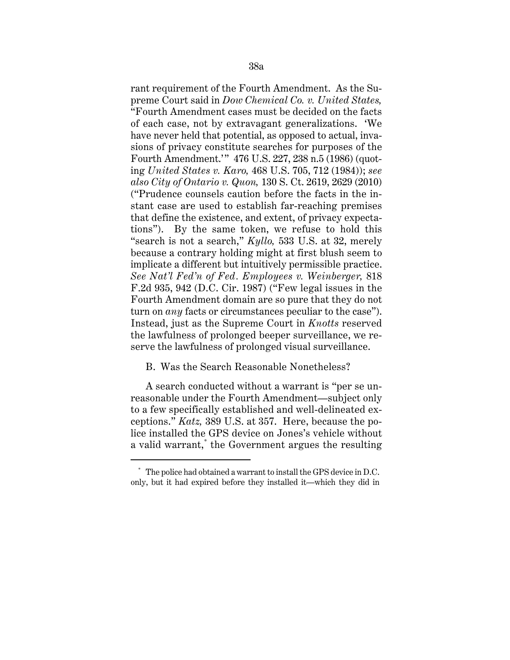rant requirement of the Fourth Amendment. As the Supreme Court said in *Dow Chemical Co. v. United States,*  "Fourth Amendment cases must be decided on the facts of each case, not by extravagant generalizations. 'We have never held that potential, as opposed to actual, invasions of privacy constitute searches for purposes of the Fourth Amendment.'" 476 U.S. 227, 238 n.5 (1986) (quoting *United States v. Karo,* 468 U.S. 705, 712 (1984)); *see also City of Ontario v. Quon,* 130 S. Ct. 2619, 2629 (2010) ("Prudence counsels caution before the facts in the instant case are used to establish far-reaching premises that define the existence, and extent, of privacy expectations"). By the same token, we refuse to hold this "search is not a search," *Kyllo,* 533 U.S. at 32, merely because a contrary holding might at first blush seem to implicate a different but intuitively permissible practice. *See Nat'l Fed'n of Fed. Employees v. Weinberger,* 818 F.2d 935, 942 (D.C. Cir. 1987) ("Few legal issues in the Fourth Amendment domain are so pure that they do not turn on *any* facts or circumstances peculiar to the case"). Instead, just as the Supreme Court in *Knotts* reserved the lawfulness of prolonged beeper surveillance, we reserve the lawfulness of prolonged visual surveillance.

## B. Was the Search Reasonable Nonetheless?

A search conducted without a warrant is "per se unreasonable under the Fourth Amendment—subject only to a few specifically established and well-delineated exceptions." *Katz,* 389 U.S. at 357. Here, because the police installed the GPS device on Jones's vehicle without a valid warrant,\* the Government argues the resulting

<sup>\*</sup> The police had obtained a warrant to install the GPS device in D.C. only, but it had expired before they installed it—which they did in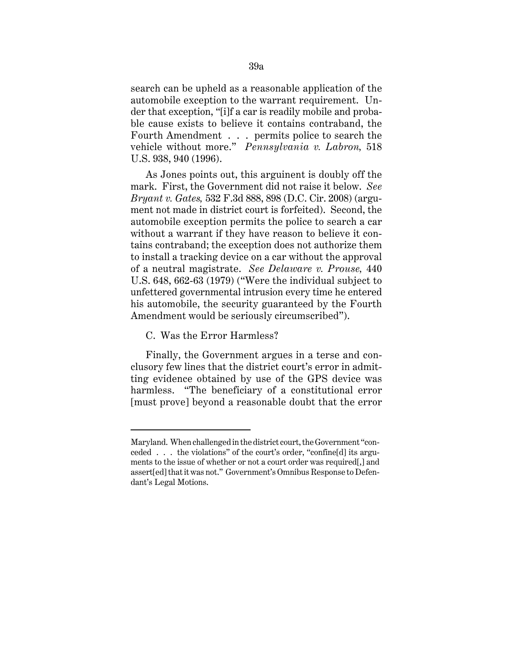search can be upheld as a reasonable application of the automobile exception to the warrant requirement. Under that exception, "[i]f a car is readily mobile and probable cause exists to believe it contains contraband, the Fourth Amendment . . . permits police to search the vehicle without more." *Pennsylvania v. Labron,* 518 U.S. 938, 940 (1996).

As Jones points out, this arguinent is doubly off the mark. First, the Government did not raise it below. *See Bryant v. Gates,* 532 F.3d 888, 898 (D.C. Cir. 2008) (argument not made in district court is forfeited). Second, the automobile exception permits the police to search a car without a warrant if they have reason to believe it contains contraband; the exception does not authorize them to install a tracking device on a car without the approval of a neutral magistrate. *See Delaware v. Prouse,* 440 U.S. 648, 662-63 (1979) ("Were the individual subject to unfettered governmental intrusion every time he entered his automobile, the security guaranteed by the Fourth Amendment would be seriously circumscribed").

## C. Was the Error Harmless?

Finally, the Government argues in a terse and conclusory few lines that the district court's error in admitting evidence obtained by use of the GPS device was harmless. "The beneficiary of a constitutional error [must prove] beyond a reasonable doubt that the error

Maryland. When challenged in the district court, the Government "conceded . . . the violations" of the court's order, "confine[d] its arguments to the issue of whether or not a court order was required[,] and assert[ed] that it was not." Government's Omnibus Response to Defendant's Legal Motions.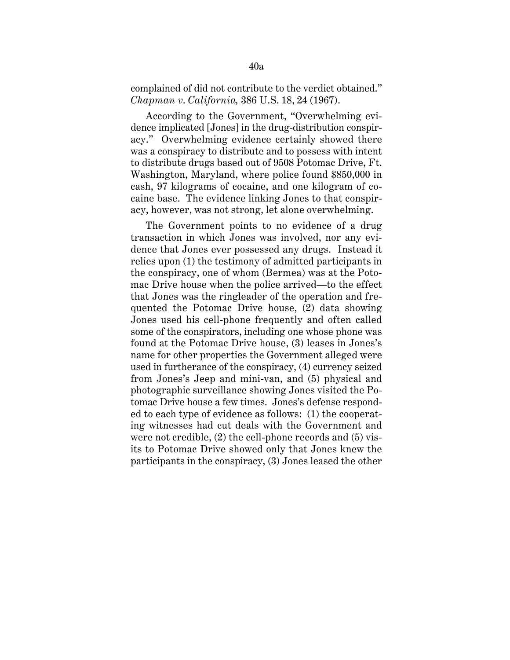### complained of did not contribute to the verdict obtained." *Chapman v*. *California,* 386 U.S. 18, 24 (1967).

According to the Government, "Overwhelming evidence implicated [Jones] in the drug-distribution conspiracy." Overwhelming evidence certainly showed there was a conspiracy to distribute and to possess with intent to distribute drugs based out of 9508 Potomac Drive, Ft. Washington, Maryland, where police found \$850,000 in cash, 97 kilograms of cocaine, and one kilogram of cocaine base. The evidence linking Jones to that conspiracy, however, was not strong, let alone overwhelming.

The Government points to no evidence of a drug transaction in which Jones was involved, nor any evidence that Jones ever possessed any drugs. Instead it relies upon (1) the testimony of admitted participants in the conspiracy, one of whom (Bermea) was at the Potomac Drive house when the police arrived—to the effect that Jones was the ringleader of the operation and frequented the Potomac Drive house, (2) data showing Jones used his cell-phone frequently and often called some of the conspirators, including one whose phone was found at the Potomac Drive house, (3) leases in Jones's name for other properties the Government alleged were used in furtherance of the conspiracy, (4) currency seized from Jones's Jeep and mini-van, and (5) physical and photographic surveillance showing Jones visited the Potomac Drive house a few times. Jones's defense responded to each type of evidence as follows: (1) the cooperating witnesses had cut deals with the Government and were not credible, (2) the cell-phone records and (5) visits to Potomac Drive showed only that Jones knew the participants in the conspiracy, (3) Jones leased the other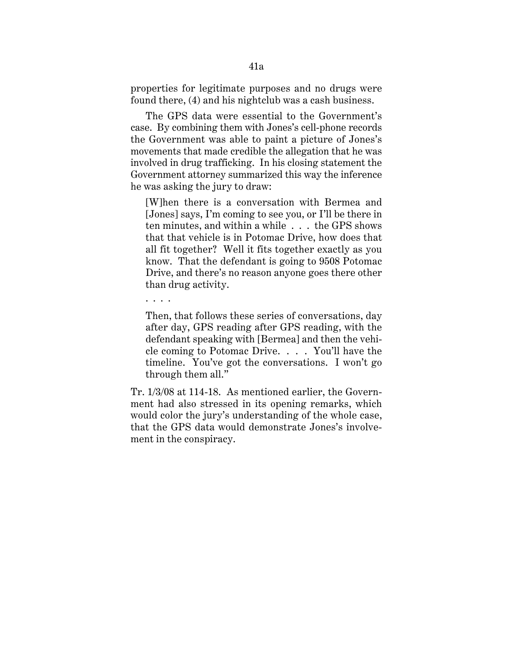properties for legitimate purposes and no drugs were found there, (4) and his nightclub was a cash business.

The GPS data were essential to the Government's case. By combining them with Jones's cell-phone records the Government was able to paint a picture of Jones's movements that made credible the allegation that he was involved in drug trafficking. In his closing statement the Government attorney summarized this way the inference he was asking the jury to draw:

[W]hen there is a conversation with Bermea and [Jones] says, I'm coming to see you, or I'll be there in ten minutes, and within a while . . . the GPS shows that that vehicle is in Potomac Drive, how does that all fit together? Well it fits together exactly as you know. That the defendant is going to 9508 Potomac Drive, and there's no reason anyone goes there other than drug activity.

Then, that follows these series of conversations, day after day, GPS reading after GPS reading, with the defendant speaking with [Bermea] and then the vehicle coming to Potomac Drive. . . . You'll have the timeline. You've got the conversations. I won't go through them all."

. . . .

Tr. 1/3/08 at 114-18. As mentioned earlier, the Government had also stressed in its opening remarks, which would color the jury's understanding of the whole case, that the GPS data would demonstrate Jones's involvement in the conspiracy.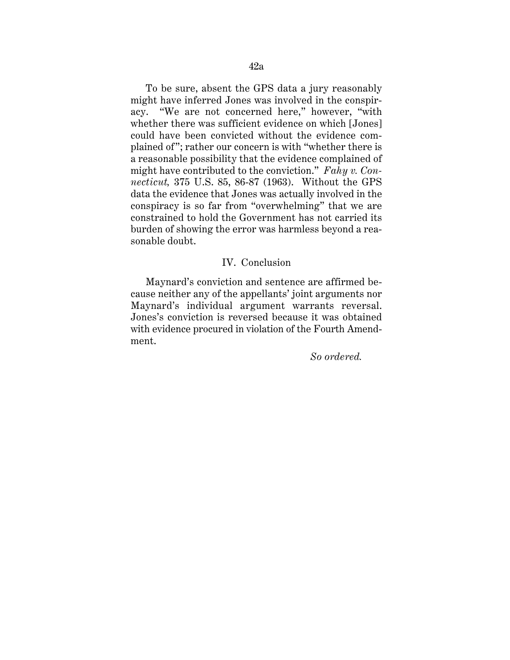might have contributed to the conviction." *Fahy v. Con-*To be sure, absent the GPS data a jury reasonably might have inferred Jones was involved in the conspiracy. "We are not concerned here," however, "with whether there was sufficient evidence on which [Jones] could have been convicted without the evidence complained of"; rather our concern is with "whether there is a reasonable possibility that the evidence complained of *necticut,* 375 U.S. 85, 86-87 (1963). Without the GPS data the evidence that Jones was actually involved in the conspiracy is so far from "overwhelming" that we are constrained to hold the Government has not carried its burden of showing the error was harmless beyond a reasonable doubt.

## IV. Conclusion

Maynard's conviction and sentence are affirmed because neither any of the appellants' joint arguments nor Maynard's individual argument warrants reversal. Jones's conviction is reversed because it was obtained with evidence procured in violation of the Fourth Amendment.

*So ordered.*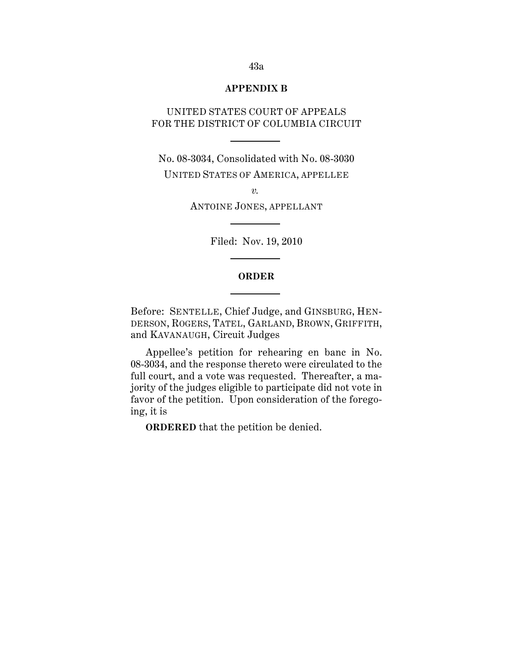## **APPENDIX B**

# UNITED STATES COURT OF APPEALS FOR THE DISTRICT OF COLUMBIA CIRCUIT

No. 08-3034, Consolidated with No. 08-3030 UNITED STATES OF AMERICA, APPELLEE

> *v.*  ANTOINE JONES, APPELLANT

> > Filed: Nov. 19, 2010

## **ORDER**

 DERSON, ROGERS, TATEL, GARLAND, BROWN, GRIFFITH, Before: SENTELLE, Chief Judge, and GINSBURG, HENand KAVANAUGH, Circuit Judges

Appellee's petition for rehearing en banc in No. 08-3034, and the response thereto were circulated to the full court, and a vote was requested. Thereafter, a majority of the judges eligible to participate did not vote in favor of the petition. Upon consideration of the foregoing, it is

**ORDERED** that the petition be denied.

#### 43a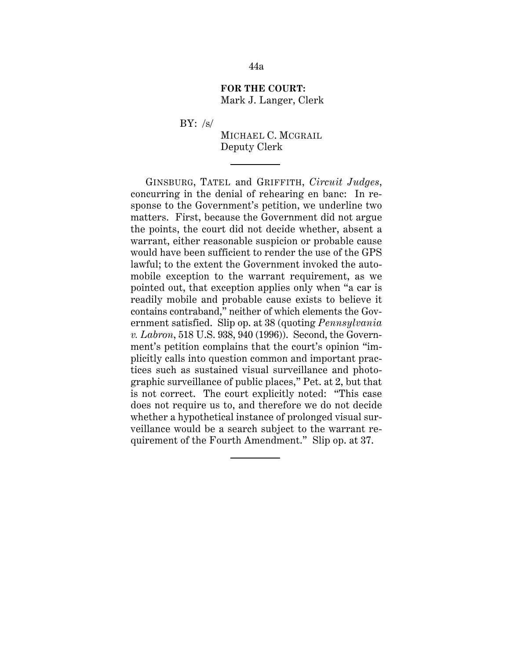## **FOR THE COURT:**  Mark J. Langer, Clerk

BY:  $/s/$ 

MICHAEL C. MCGRAIL Deputy Clerk

GINSBURG, TATEL and GRIFFITH, *Circuit Judges*, concurring in the denial of rehearing en banc: In response to the Government's petition, we underline two matters. First, because the Government did not argue the points, the court did not decide whether, absent a warrant, either reasonable suspicion or probable cause would have been sufficient to render the use of the GPS lawful; to the extent the Government invoked the automobile exception to the warrant requirement, as we pointed out, that exception applies only when "a car is readily mobile and probable cause exists to believe it contains contraband," neither of which elements the Government satisfied. Slip op. at 38 (quoting *Pennsylvania v. Labron*, 518 U.S. 938, 940 (1996)). Second, the Government's petition complains that the court's opinion "implicitly calls into question common and important practices such as sustained visual surveillance and photographic surveillance of public places," Pet. at 2, but that is not correct. The court explicitly noted: "This case does not require us to, and therefore we do not decide whether a hypothetical instance of prolonged visual surveillance would be a search subject to the warrant requirement of the Fourth Amendment." Slip op. at 37.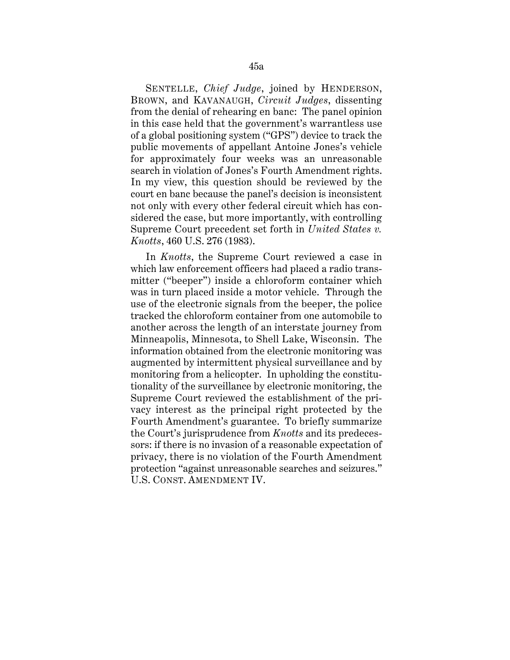SENTELLE, *Chief Judge*, joined by HENDERSON, BROWN, and KAVANAUGH, *Circuit Judges*, dissenting from the denial of rehearing en banc: The panel opinion in this case held that the government's warrantless use of a global positioning system ("GPS") device to track the public movements of appellant Antoine Jones's vehicle for approximately four weeks was an unreasonable search in violation of Jones's Fourth Amendment rights. In my view, this question should be reviewed by the court en banc because the panel's decision is inconsistent not only with every other federal circuit which has considered the case, but more importantly, with controlling Supreme Court precedent set forth in *United States v. Knotts*, 460 U.S. 276 (1983).

In *Knotts*, the Supreme Court reviewed a case in which law enforcement officers had placed a radio transmitter ("beeper") inside a chloroform container which was in turn placed inside a motor vehicle. Through the use of the electronic signals from the beeper, the police tracked the chloroform container from one automobile to another across the length of an interstate journey from Minneapolis, Minnesota, to Shell Lake, Wisconsin. The information obtained from the electronic monitoring was augmented by intermittent physical surveillance and by monitoring from a helicopter. In upholding the constitutionality of the surveillance by electronic monitoring, the Supreme Court reviewed the establishment of the privacy interest as the principal right protected by the Fourth Amendment's guarantee. To briefly summarize the Court's jurisprudence from *Knotts* and its predecessors: if there is no invasion of a reasonable expectation of privacy, there is no violation of the Fourth Amendment protection "against unreasonable searches and seizures." U.S. CONST. AMENDMENT IV.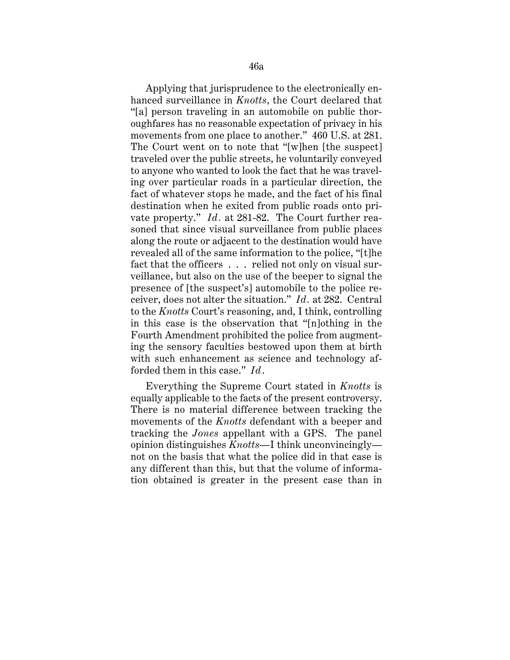ceiver, does not alter the situation." *Id.* at 282. Central Applying that jurisprudence to the electronically enhanced surveillance in *Knotts*, the Court declared that "[a] person traveling in an automobile on public thoroughfares has no reasonable expectation of privacy in his movements from one place to another." 460 U.S. at 281. The Court went on to note that "[w]hen [the suspect] traveled over the public streets, he voluntarily conveyed to anyone who wanted to look the fact that he was traveling over particular roads in a particular direction, the fact of whatever stops he made, and the fact of his final destination when he exited from public roads onto private property." *Id.* at 281-82. The Court further reasoned that since visual surveillance from public places along the route or adjacent to the destination would have revealed all of the same information to the police, "[t]he fact that the officers . . . relied not only on visual surveillance, but also on the use of the beeper to signal the presence of [the suspect's] automobile to the police reto the *Knotts* Court's reasoning, and, I think, controlling in this case is the observation that "[n]othing in the Fourth Amendment prohibited the police from augmenting the sensory faculties bestowed upon them at birth with such enhancement as science and technology afforded them in this case." *Id*.

Everything the Supreme Court stated in *Knotts* is equally applicable to the facts of the present controversy. There is no material difference between tracking the movements of the *Knotts* defendant with a beeper and tracking the *Jones* appellant with a GPS. The panel opinion distinguishes *Knotts*—I think unconvincingly not on the basis that what the police did in that case is any different than this, but that the volume of information obtained is greater in the present case than in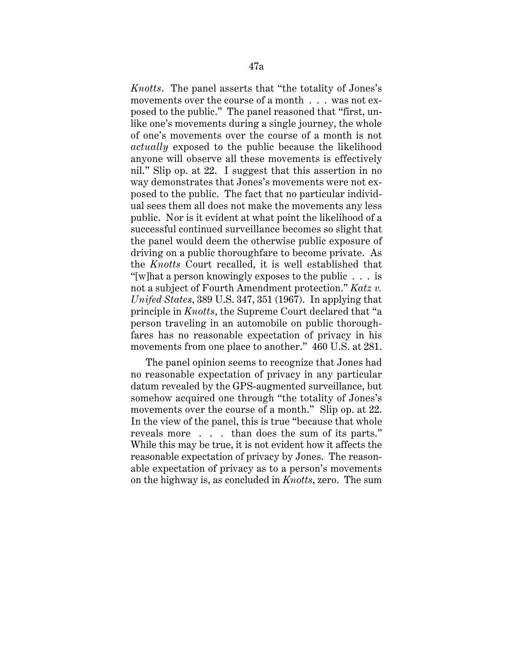*Knotts*. The panel asserts that "the totality of Jones's movements over the course of a month . . . was not exposed to the public." The panel reasoned that "first, unlike one's movements during a single journey, the whole of one's movements over the course of a month is not *actually* exposed to the public because the likelihood anyone will observe all these movements is effectively nil." Slip op. at 22. I suggest that this assertion in no way demonstrates that Jones's movements were not exposed to the public. The fact that no particular individual sees them all does not make the movements any less public. Nor is it evident at what point the likelihood of a successful continued surveillance becomes so slight that the panel would deem the otherwise public exposure of driving on a public thoroughfare to become private. As the *Knotts* Court recalled, it is well established that "[w]hat a person knowingly exposes to the public . . . is not a subject of Fourth Amendment protection." *Katz v. Unifed States*, 389 U.S. 347, 351 (1967). In applying that principle in *Knotts*, the Supreme Court declared that "a person traveling in an automobile on public thoroughfares has no reasonable expectation of privacy in his movements from one place to another." 460 U.S. at 281.

The panel opinion seems to recognize that Jones had no reasonable expectation of privacy in any particular datum revealed by the GPS-augmented surveillance, but somehow acquired one through "the totality of Jones's movements over the course of a month." Slip op. at 22. In the view of the panel, this is true "because that whole reveals more . . . than does the sum of its parts." While this may be true, it is not evident how it affects the reasonable expectation of privacy by Jones. The reasonable expectation of privacy as to a person's movements on the highway is, as concluded in *Knotts*, zero. The sum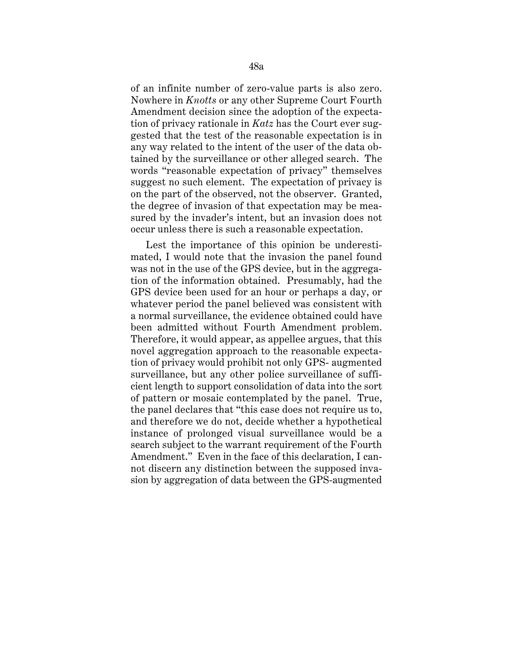of an infinite number of zero-value parts is also zero. Nowhere in *Knotts* or any other Supreme Court Fourth Amendment decision since the adoption of the expectation of privacy rationale in *Katz* has the Court ever suggested that the test of the reasonable expectation is in any way related to the intent of the user of the data obtained by the surveillance or other alleged search. The words "reasonable expectation of privacy" themselves suggest no such element. The expectation of privacy is on the part of the observed, not the observer. Granted, the degree of invasion of that expectation may be measured by the invader's intent, but an invasion does not occur unless there is such a reasonable expectation.

Lest the importance of this opinion be underestimated, I would note that the invasion the panel found was not in the use of the GPS device, but in the aggregation of the information obtained. Presumably, had the GPS device been used for an hour or perhaps a day, or whatever period the panel believed was consistent with a normal surveillance, the evidence obtained could have been admitted without Fourth Amendment problem. Therefore, it would appear, as appellee argues, that this novel aggregation approach to the reasonable expectation of privacy would prohibit not only GPS- augmented surveillance, but any other police surveillance of sufficient length to support consolidation of data into the sort of pattern or mosaic contemplated by the panel. True, the panel declares that "this case does not require us to, and therefore we do not, decide whether a hypothetical instance of prolonged visual surveillance would be a search subject to the warrant requirement of the Fourth Amendment." Even in the face of this declaration, I cannot discern any distinction between the supposed invasion by aggregation of data between the GPS-augmented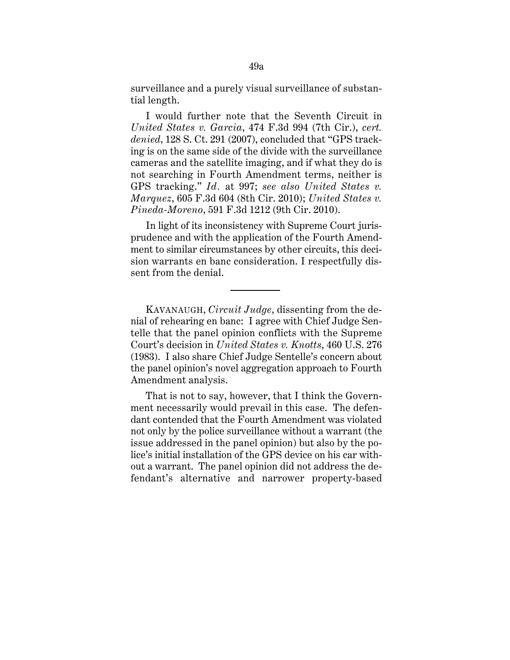surveillance and a purely visual surveillance of substantial length.

I would further note that the Seventh Circuit in *United States v. Garcia*, 474 F.3d 994 (7th Cir.), *cert. denied*, 128 S. Ct. 291 (2007), concluded that "GPS tracking is on the same side of the divide with the surveillance cameras and the satellite imaging, and if what they do is not searching in Fourth Amendment terms, neither is GPS tracking." *Id.* at 997; *see also United States v. Marquez*, 605 F.3d 604 (8th Cir. 2010); *United States v. Pineda-Moreno*, 591 F.3d 1212 (9th Cir. 2010).

In light of its inconsistency with Supreme Court jurisprudence and with the application of the Fourth Amendment to similar circumstances by other circuits, this decision warrants en banc consideration. I respectfully dissent from the denial.

KAVANAUGH, *Circuit Judge*, dissenting from the denial of rehearing en banc: I agree with Chief Judge Sentelle that the panel opinion conflicts with the Supreme Court's decision in *United States v. Knotts*, 460 U.S. 276 (1983). I also share Chief Judge Sentelle's concern about the panel opinion's novel aggregation approach to Fourth Amendment analysis.

That is not to say, however, that I think the Government necessarily would prevail in this case. The defendant contended that the Fourth Amendment was violated not only by the police surveillance without a warrant (the issue addressed in the panel opinion) but also by the police's initial installation of the GPS device on his car without a warrant. The panel opinion did not address the defendant's alternative and narrower property-based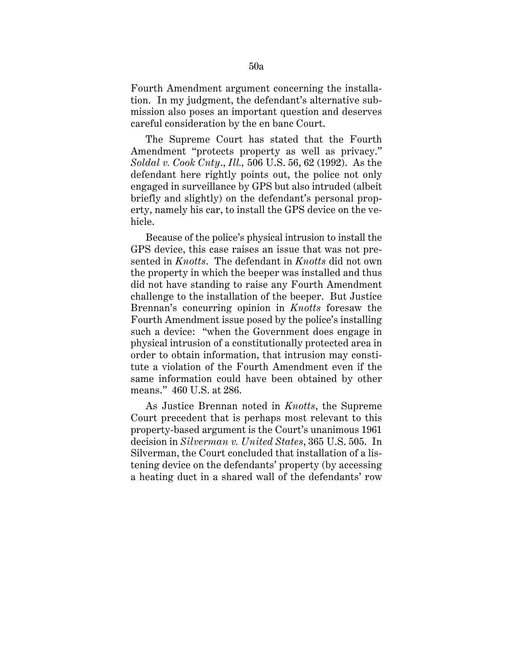Fourth Amendment argument concerning the installation. In my judgment, the defendant's alternative submission also poses an important question and deserves careful consideration by the en banc Court.

The Supreme Court has stated that the Fourth Amendment "protects property as well as privacy." *Soldal v. Cook Cnty*., *Ill.,* 506 U.S. 56, 62 (1992). As the defendant here rightly points out, the police not only engaged in surveillance by GPS but also intruded (albeit briefly and slightly) on the defendant's personal property, namely his car, to install the GPS device on the vehicle.

Because of the police's physical intrusion to install the GPS device, this case raises an issue that was not presented in *Knotts*. The defendant in *Knotts* did not own the property in which the beeper was installed and thus did not have standing to raise any Fourth Amendment challenge to the installation of the beeper. But Justice Brennan's concurring opinion in *Knotts* foresaw the Fourth Amendment issue posed by the police's installing such a device: "when the Government does engage in physical intrusion of a constitutionally protected area in order to obtain information, that intrusion may constitute a violation of the Fourth Amendment even if the same information could have been obtained by other means." 460 U.S. at 286.

As Justice Brennan noted in *Knotts*, the Supreme Court precedent that is perhaps most relevant to this property-based argument is the Court's unanimous 1961 decision in *Silverman v. United States*, 365 U.S. 505. In Silverman, the Court concluded that installation of a listening device on the defendants' property (by accessing a heating duct in a shared wall of the defendants' row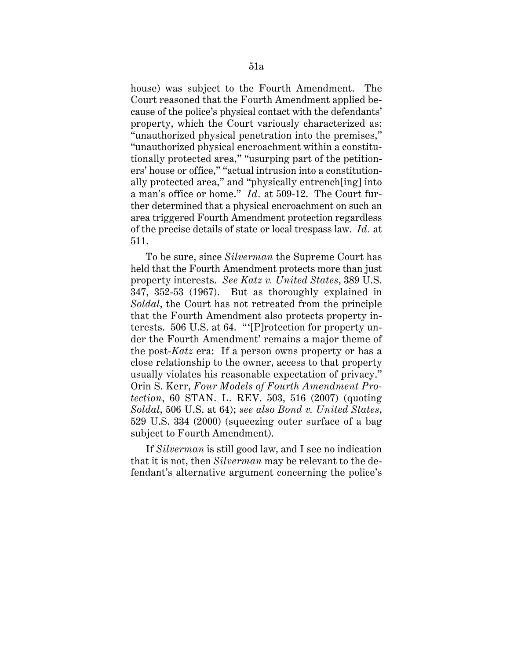a man's office or home." *Id.* at 509-12. The Court fur- of the precise details of state or local trespass law. *Id.* at house) was subject to the Fourth Amendment. The Court reasoned that the Fourth Amendment applied because of the police's physical contact with the defendants' property, which the Court variously characterized as: "unauthorized physical penetration into the premises," "unauthorized physical encroachment within a constitutionally protected area," "usurping part of the petitioners' house or office," "actual intrusion into a constitutionally protected area," and "physically entrench[ing] into ther determined that a physical encroachment on such an area triggered Fourth Amendment protection regardless 511.

To be sure, since *Silverman* the Supreme Court has held that the Fourth Amendment protects more than just property interests. *See Katz v. United States*, 389 U.S. 347, 352-53 (1967). But as thoroughly explained in *Soldal*, the Court has not retreated from the principle that the Fourth Amendment also protects property interests. 506 U.S. at 64. "'[P]rotection for property under the Fourth Amendment' remains a major theme of the post-*Katz* era: If a person owns property or has a close relationship to the owner, access to that property usually violates his reasonable expectation of privacy." Orin S. Kerr, *Four Models of Fourth Amendment Protection*, 60 STAN. L. REV. 503, 516 (2007) (quoting *Soldal*, 506 U.S. at 64); *see also Bond v. United States*, 529 U.S. 334 (2000) (squeezing outer surface of a bag subject to Fourth Amendment).

If *Silverman* is still good law, and I see no indication that it is not, then *Silverman* may be relevant to the defendant's alternative argument concerning the police's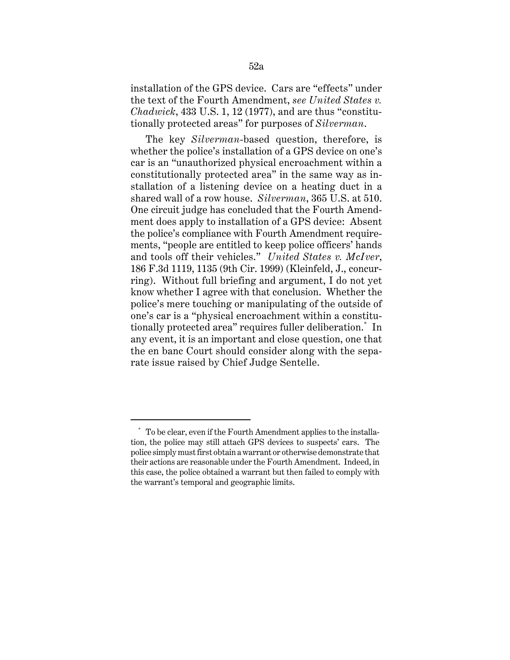installation of the GPS device. Cars are "effects" under the text of the Fourth Amendment, *see United States v. Chadwick*, 433 U.S. 1, 12 (1977), and are thus "constitutionally protected areas" for purposes of *Silverman*.

The key *Silverman*-based question, therefore, is whether the police's installation of a GPS device on one's car is an "unauthorized physical encroachment within a constitutionally protected area" in the same way as installation of a listening device on a heating duct in a shared wall of a row house. *Silverman*, 365 U.S. at 510. One circuit judge has concluded that the Fourth Amendment does apply to installation of a GPS device: Absent the police's compliance with Fourth Amendment requirements, "people are entitled to keep police officers' hands and tools off their vehicles." *United States v. McIver*, 186 F.3d 1119, 1135 (9th Cir. 1999) (Kleinfeld, J., concurring). Without full briefing and argument, I do not yet know whether I agree with that conclusion. Whether the police's mere touching or manipulating of the outside of one's car is a "physical encroachment within a constitutionally protected area" requires fuller deliberation.\* In any event, it is an important and close question, one that the en banc Court should consider along with the separate issue raised by Chief Judge Sentelle.

 tion, the police may still attach GPS devices to suspects' cars. The \* To be clear, even if the Fourth Amendment applies to the installapolice simply must first obtain a warrant or otherwise demonstrate that their actions are reasonable under the Fourth Amendment. Indeed, in this case, the police obtained a warrant but then failed to comply with the warrant's temporal and geographic limits.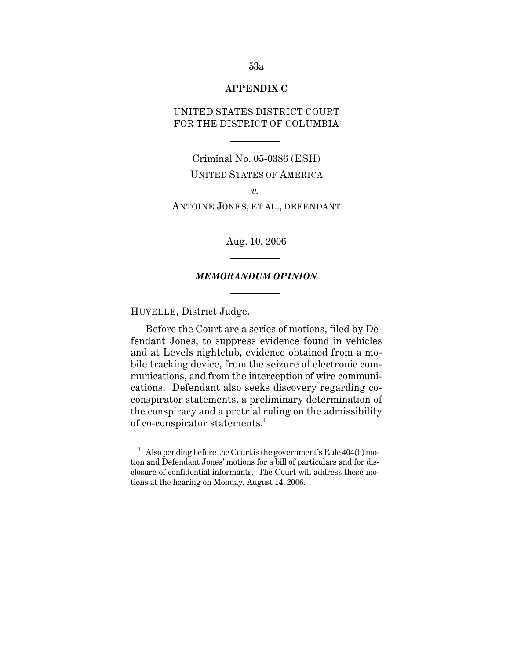## **APPENDIX C**

# UNITED STATES DISTRICT COURT FOR THE DISTRICT OF COLUMBIA

Criminal No. 05-0386 (ESH) UNITED STATES OF AMERICA

*v.* 

ANTOINE JONES, ET AL., DEFENDANT

Aug. 10, 2006

## *MEMORANDUM OPINION*

HUVELLE, District Judge.

Before the Court are a series of motions, filed by Defendant Jones, to suppress evidence found in vehicles and at Levels nightclub, evidence obtained from a mobile tracking device, from the seizure of electronic communications, and from the interception of wire communications. Defendant also seeks discovery regarding coconspirator statements, a preliminary determination of the conspiracy and a pretrial ruling on the admissibility of co-conspirator statements.<sup>1</sup>

<sup>&</sup>lt;sup>1</sup> Also pending before the Court is the government's Rule  $404(b)$  mo tion and Defendant Jones' motions for a bill of particulars and for disclosure of confidential informants. The Court will address these motions at the hearing on Monday, August 14, 2006.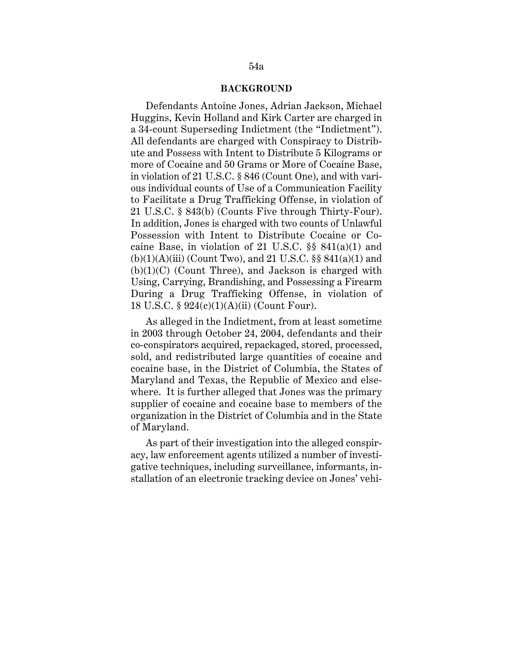#### **BACKGROUND**

Defendants Antoine Jones, Adrian Jackson, Michael Huggins, Kevin Holland and Kirk Carter are charged in a 34-count Superseding Indictment (the "Indictment"). All defendants are charged with Conspiracy to Distribute and Possess with Intent to Distribute 5 Kilograms or more of Cocaine and 50 Grams or More of Cocaine Base, in violation of 21 U.S.C. § 846 (Count One), and with various individual counts of Use of a Communication Facility to Facilitate a Drug Trafficking Offense, in violation of 21 U.S.C. § 843(b) (Counts Five through Thirty-Four). In addition, Jones is charged with two counts of Unlawful Possession with Intent to Distribute Cocaine or Cocaine Base, in violation of 21 U.S.C.  $\S$ § 841(a)(1) and  $(b)(1)(A)(iii)$  (Count Two), and 21 U.S.C. §§ 841(a)(1) and  $(b)(1)(C)$  (Count Three), and Jackson is charged with Using, Carrying, Brandishing, and Possessing a Firearm During a Drug Trafficking Offense, in violation of 18 U.S.C. § 924(c)(1)(A)(ii) (Count Four).

As alleged in the Indictment, from at least sometime in 2003 through October 24, 2004, defendants and their co-conspirators acquired, repackaged, stored, processed, sold, and redistributed large quantities of cocaine and cocaine base, in the District of Columbia, the States of Maryland and Texas, the Republic of Mexico and elsewhere. It is further alleged that Jones was the primary supplier of cocaine and cocaine base to members of the organization in the District of Columbia and in the State of Maryland.

As part of their investigation into the alleged conspiracy, law enforcement agents utilized a number of investigative techniques, including surveillance, informants, installation of an electronic tracking device on Jones' vehi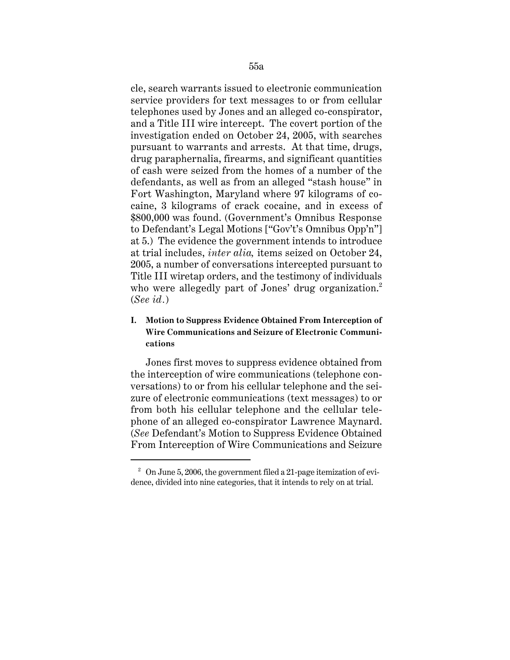cle, search warrants issued to electronic communication service providers for text messages to or from cellular telephones used by Jones and an alleged co-conspirator, and a Title III wire intercept. The covert portion of the investigation ended on October 24, 2005, with searches pursuant to warrants and arrests. At that time, drugs, drug paraphernalia, firearms, and significant quantities of cash were seized from the homes of a number of the defendants, as well as from an alleged "stash house" in Fort Washington, Maryland where 97 kilograms of cocaine, 3 kilograms of crack cocaine, and in excess of \$800,000 was found. (Government's Omnibus Response to Defendant's Legal Motions ["Gov't's Omnibus Opp'n"] at 5.) The evidence the government intends to introduce at trial includes, *inter alia,* items seized on October 24, 2005, a number of conversations intercepted pursuant to Title III wiretap orders, and the testimony of individuals who were allegedly part of Jones' drug organization.<sup>2</sup> (*See id.*)

# **I. Motion to Suppress Evidence Obtained From Interception of Wire Communications and Seizure of Electronic Communications**

Jones first moves to suppress evidence obtained from the interception of wire communications (telephone conversations) to or from his cellular telephone and the seizure of electronic communications (text messages) to or from both his cellular telephone and the cellular telephone of an alleged co-conspirator Lawrence Maynard. (*See* Defendant's Motion to Suppress Evidence Obtained From Interception of Wire Communications and Seizure

 $^2$  On June 5, 2006, the government filed a 21-page itemization of evi dence, divided into nine categories, that it intends to rely on at trial.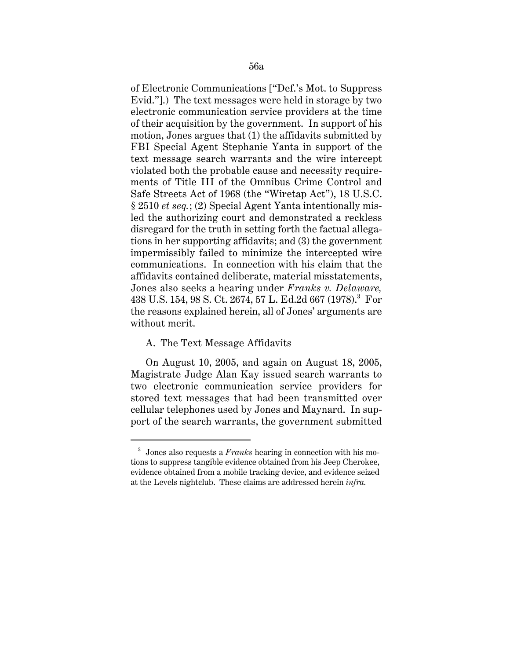of Electronic Communications ["Def.'s Mot. to Suppress Evid."].) The text messages were held in storage by two electronic communication service providers at the time of their acquisition by the government. In support of his motion, Jones argues that (1) the affidavits submitted by FBI Special Agent Stephanie Yanta in support of the text message search warrants and the wire intercept violated both the probable cause and necessity requirements of Title III of the Omnibus Crime Control and Safe Streets Act of 1968 (the "Wiretap Act"), 18 U.S.C. § 2510 *et seq.*; (2) Special Agent Yanta intentionally misled the authorizing court and demonstrated a reckless disregard for the truth in setting forth the factual allegations in her supporting affidavits; and (3) the government impermissibly failed to minimize the intercepted wire communications. In connection with his claim that the affidavits contained deliberate, material misstatements, Jones also seeks a hearing under *Franks v. Delaware,*  438 U.S. 154, 98 S. Ct. 2674, 57 L. Ed.2d 667 (1978).<sup>3</sup> For the reasons explained herein, all of Jones' arguments are without merit.

## A. The Text Message Affidavits

On August 10, 2005, and again on August 18, 2005, Magistrate Judge Alan Kay issued search warrants to two electronic communication service providers for stored text messages that had been transmitted over cellular telephones used by Jones and Maynard. In support of the search warrants, the government submitted

<sup>&</sup>lt;sup>3</sup> Jones also requests a *Franks* hearing in connection with his motions to suppress tangible evidence obtained from his Jeep Cherokee, evidence obtained from a mobile tracking device, and evidence seized at the Levels nightclub. These claims are addressed herein *infra.*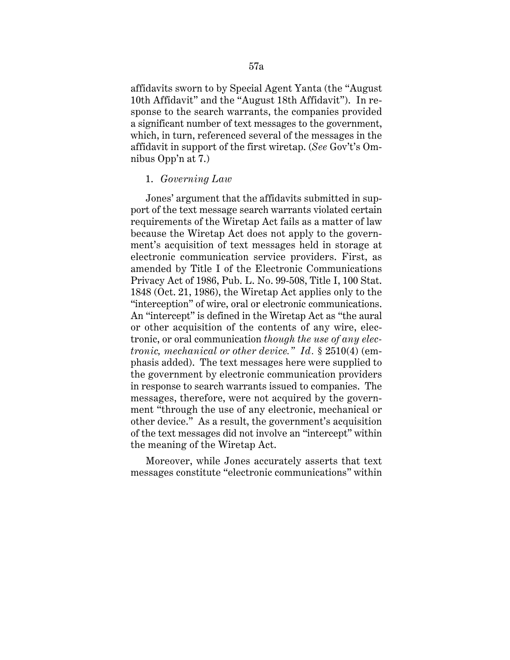affidavits sworn to by Special Agent Yanta (the "August 10th Affidavit" and the "August 18th Affidavit"). In response to the search warrants, the companies provided a significant number of text messages to the government, which, in turn, referenced several of the messages in the affidavit in support of the first wiretap. (*See* Gov't's Omnibus Opp'n at 7.)

## 1. *Governing Law*

Jones' argument that the affidavits submitted in support of the text message search warrants violated certain requirements of the Wiretap Act fails as a matter of law because the Wiretap Act does not apply to the government's acquisition of text messages held in storage at electronic communication service providers. First, as amended by Title I of the Electronic Communications Privacy Act of 1986, Pub. L. No. 99-508, Title I, 100 Stat. 1848 (Oct. 21, 1986), the Wiretap Act applies only to the "interception" of wire, oral or electronic communications. An "intercept" is defined in the Wiretap Act as "the aural or other acquisition of the contents of any wire, electronic, or oral communication *though the use of any electronic, mechanical or other device." Id.* § 2510(4) (emphasis added). The text messages here were supplied to the government by electronic communication providers in response to search warrants issued to companies. The messages, therefore, were not acquired by the government "through the use of any electronic, mechanical or other device." As a result, the government's acquisition of the text messages did not involve an "intercept" within the meaning of the Wiretap Act.

Moreover, while Jones accurately asserts that text messages constitute "electronic communications" within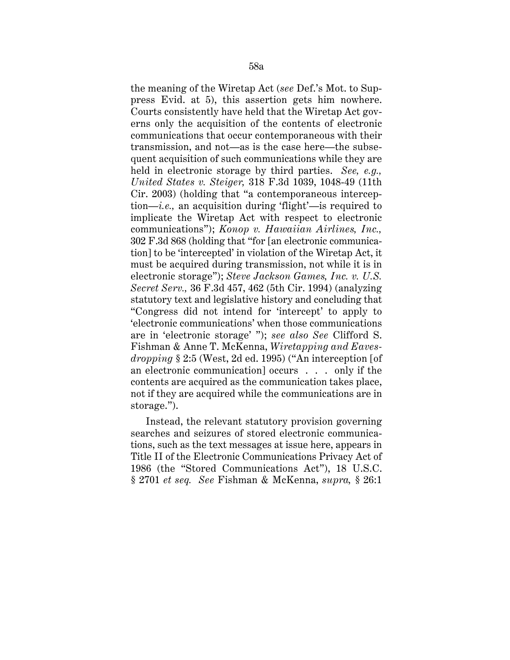the meaning of the Wiretap Act (*see* Def.'s Mot. to Suppress Evid. at 5), this assertion gets him nowhere. Courts consistently have held that the Wiretap Act governs only the acquisition of the contents of electronic communications that occur contemporaneous with their transmission, and not—as is the case here—the subsequent acquisition of such communications while they are held in electronic storage by third parties. *See, e.g., United States v. Steiger,* 318 F.3d 1039, 1048-49 (11th Cir. 2003) (holding that "a contemporaneous interception—*i.e.,* an acquisition during 'flight'—is required to implicate the Wiretap Act with respect to electronic communications"); *Konop v. Hawaiian Airlines, Inc.,*  302 F.3d 868 (holding that "for [an electronic communication] to be 'intercepted' in violation of the Wiretap Act, it must be acquired during transmission, not while it is in electronic storage"); *Steve Jackson Games, Inc. v. U.S. Secret Serv.,* 36 F.3d 457, 462 (5th Cir. 1994) (analyzing statutory text and legislative history and concluding that "Congress did not intend for 'intercept' to apply to 'electronic communications' when those communications are in 'electronic storage' "); *see also See* Clifford S. Fishman & Anne T. McKenna, *Wiretapping and Eavesdropping* § 2:5 (West, 2d ed. 1995) ("An interception [of an electronic communication] occurs . . . only if the contents are acquired as the communication takes place, not if they are acquired while the communications are in storage.").

Instead, the relevant statutory provision governing searches and seizures of stored electronic communications, such as the text messages at issue here, appears in Title II of the Electronic Communications Privacy Act of 1986 (the "Stored Communications Act"), 18 U.S.C. § 2701 *et seq. See* Fishman & McKenna, *supra,* § 26:1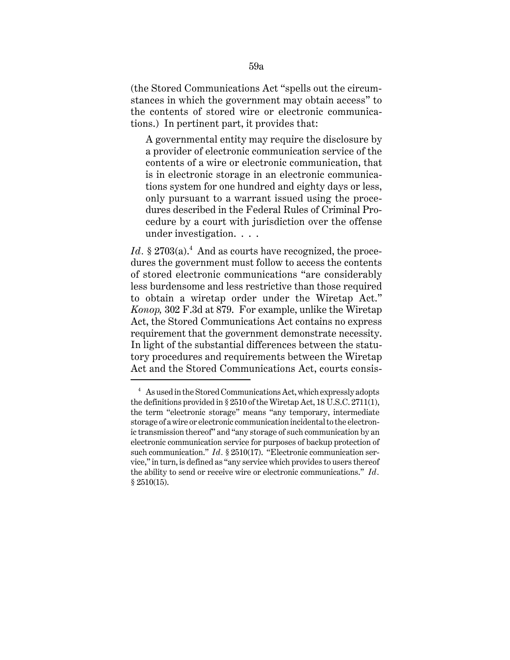(the Stored Communications Act "spells out the circumstances in which the government may obtain access" to the contents of stored wire or electronic communications.) In pertinent part, it provides that:

A governmental entity may require the disclosure by a provider of electronic communication service of the contents of a wire or electronic communication, that is in electronic storage in an electronic communications system for one hundred and eighty days or less, only pursuant to a warrant issued using the procedures described in the Federal Rules of Criminal Procedure by a court with jurisdiction over the offense under investigation. . . .

Id.  $\S 2703(a)$ .<sup>4</sup> And as courts have recognized, the proce dures the government must follow to access the contents of stored electronic communications "are considerably less burdensome and less restrictive than those required to obtain a wiretap order under the Wiretap Act." *Konop,* 302 F.3d at 879. For example, unlike the Wiretap Act, the Stored Communications Act contains no express requirement that the government demonstrate necessity. In light of the substantial differences between the statutory procedures and requirements between the Wiretap Act and the Stored Communications Act, courts consis-

<sup>&</sup>lt;sup>4</sup> As used in the Stored Communications Act, which expressly adopts the definitions provided in § 2510 of the Wiretap Act, 18 U.S.C. 2711(1), the term "electronic storage" means "any temporary, intermediate storage of a wire or electronic communication incidental to the electronic transmission thereof" and "any storage of such communication by an electronic communication service for purposes of backup protection of such communication." *Id.* § 2510(17). "Electronic communication service," in turn, is defined as "any service which provides to users thereof the ability to send or receive wire or electronic communications." *Id.*  § 2510(15).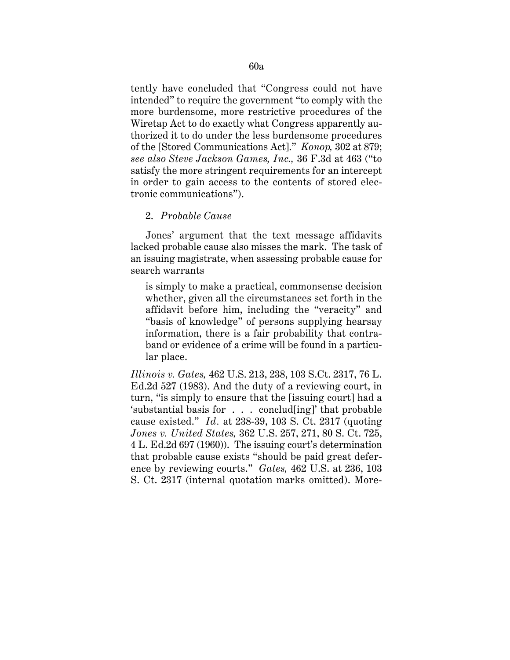tently have concluded that "Congress could not have intended" to require the government "to comply with the more burdensome, more restrictive procedures of the Wiretap Act to do exactly what Congress apparently authorized it to do under the less burdensome procedures of the [Stored Communications Act]." *Konop,* 302 at 879; *see also Steve Jackson Games, Inc.,* 36 F.3d at 463 ("to satisfy the more stringent requirements for an intercept in order to gain access to the contents of stored electronic communications").

## 2. *Probable Cause*

Jones' argument that the text message affidavits lacked probable cause also misses the mark. The task of an issuing magistrate, when assessing probable cause for search warrants

is simply to make a practical, commonsense decision whether, given all the circumstances set forth in the affidavit before him, including the "veracity" and "basis of knowledge" of persons supplying hearsay information, there is a fair probability that contraband or evidence of a crime will be found in a particular place.

*Illinois v. Gates,* 462 U.S. 213, 238, 103 S.Ct. 2317, 76 L. Ed.2d 527 (1983). And the duty of a reviewing court, in turn, "is simply to ensure that the [issuing court] had a 'substantial basis for . . . conclud[ing]' that probable cause existed." *Id.* at 238-39, 103 S. Ct. 2317 (quoting *Jones v. United States,* 362 U.S. 257, 271, 80 S. Ct. 725, 4 L. Ed.2d 697 (1960)). The issuing court's determination that probable cause exists "should be paid great deference by reviewing courts." *Gates,* 462 U.S. at 236, 103 S. Ct. 2317 (internal quotation marks omitted). More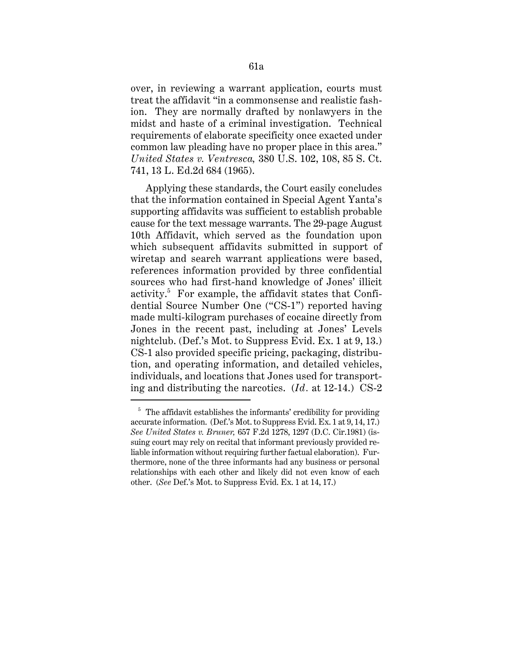over, in reviewing a warrant application, courts must treat the affidavit "in a commonsense and realistic fashion. They are normally drafted by nonlawyers in the midst and haste of a criminal investigation. Technical requirements of elaborate specificity once exacted under common law pleading have no proper place in this area." *United States v. Ventresca,* 380 U.S. 102, 108, 85 S. Ct. 741, 13 L. Ed.2d 684 (1965).

Applying these standards, the Court easily concludes that the information contained in Special Agent Yanta's supporting affidavits was sufficient to establish probable cause for the text message warrants. The 29-page August 10th Affidavit, which served as the foundation upon which subsequent affidavits submitted in support of wiretap and search warrant applications were based, references information provided by three confidential sources who had first-hand knowledge of Jones' illicit activity. $5$  For example, the affidavit states that Confidential Source Number One ("CS-1") reported having made multi-kilogram purchases of cocaine directly from Jones in the recent past, including at Jones' Levels nightclub. (Def.'s Mot. to Suppress Evid. Ex. 1 at 9, 13.) CS-1 also provided specific pricing, packaging, distribution, and operating information, and detailed vehicles, individuals, and locations that Jones used for transporting and distributing the narcotics. (*Id.* at 12-14.) CS-2

 $5$  The affidavit establishes the informants' credibility for providing accurate information. (Def.'s Mot. to Suppress Evid. Ex. 1 at 9, 14, 17.) *See United States v. Bruner,* 657 F.2d 1278, 1297 (D.C. Cir.1981) (issuing court may rely on recital that informant previously provided reliable information without requiring further factual elaboration). Furthermore, none of the three informants had any business or personal relationships with each other and likely did not even know of each other. (*See* Def.'s Mot. to Suppress Evid. Ex. 1 at 14, 17.)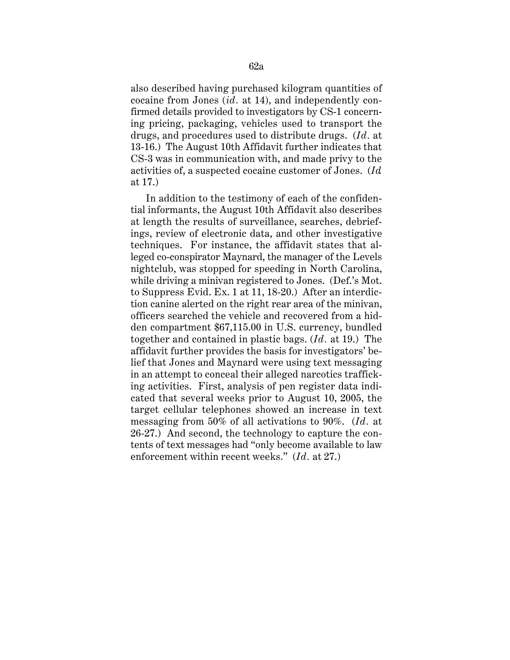also described having purchased kilogram quantities of cocaine from Jones (*id.* at 14), and independently confirmed details provided to investigators by CS-1 concerning pricing, packaging, vehicles used to transport the drugs, and procedures used to distribute drugs. (*Id.* at 13-16.) The August 10th Affidavit further indicates that CS-3 was in communication with, and made privy to the activities of, a suspected cocaine customer of Jones. (*Id.*  at 17.)

In addition to the testimony of each of the confidential informants, the August 10th Affidavit also describes at length the results of surveillance, searches, debriefings, review of electronic data, and other investigative techniques. For instance, the affidavit states that alleged co-conspirator Maynard, the manager of the Levels nightclub, was stopped for speeding in North Carolina, while driving a minivan registered to Jones. (Def.'s Mot. to Suppress Evid. Ex. 1 at 11, 18-20.) After an interdiction canine alerted on the right rear area of the minivan, officers searched the vehicle and recovered from a hidden compartment \$67,115.00 in U.S. currency, bundled together and contained in plastic bags. (*Id.* at 19.) The affidavit further provides the basis for investigators' belief that Jones and Maynard were using text messaging in an attempt to conceal their alleged narcotics trafficking activities. First, analysis of pen register data indicated that several weeks prior to August 10, 2005, the target cellular telephones showed an increase in text messaging from 50% of all activations to 90%. (*Id.* at 26-27.) And second, the technology to capture the contents of text messages had "only become available to law enforcement within recent weeks." (*Id.* at 27.)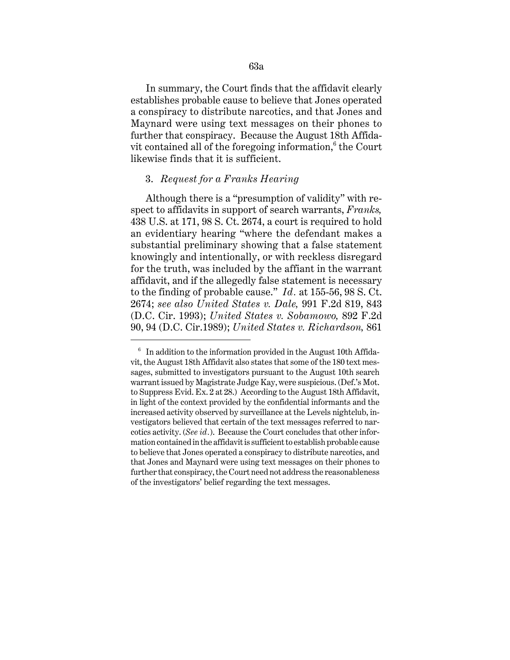In summary, the Court finds that the affidavit clearly establishes probable cause to believe that Jones operated a conspiracy to distribute narcotics, and that Jones and Maynard were using text messages on their phones to further that conspiracy. Because the August 18th Affidavit contained all of the foregoing information, $6$  the Court likewise finds that it is sufficient.

### 3. *Request for a Franks Hearing*

 to the finding of probable cause." *Id.* at 155-56, 98 S. Ct. Although there is a "presumption of validity" with respect to affidavits in support of search warrants, *Franks,*  438 U.S. at 171, 98 S. Ct. 2674, a court is required to hold an evidentiary hearing "where the defendant makes a substantial preliminary showing that a false statement knowingly and intentionally, or with reckless disregard for the truth, was included by the affiant in the warrant affidavit, and if the allegedly false statement is necessary 2674; *see also United States v. Dale,* 991 F.2d 819, 843 (D.C. Cir. 1993); *United States v. Sobamowo,* 892 F.2d 90, 94 (D.C. Cir.1989); *United States v. Richardson,* 861

 $6$  In addition to the information provided in the August 10th Affida vit, the August 18th Affidavit also states that some of the 180 text messages, submitted to investigators pursuant to the August 10th search warrant issued by Magistrate Judge Kay, were suspicious. (Def.'s Mot. to Suppress Evid. Ex. 2 at 28.) According to the August 18th Affidavit, in light of the context provided by the confidential informants and the increased activity observed by surveillance at the Levels nightclub, investigators believed that certain of the text messages referred to narcotics activity. (*See id.*). Because the Court concludes that other information contained in the affidavit is sufficient to establish probable cause to believe that Jones operated a conspiracy to distribute narcotics, and that Jones and Maynard were using text messages on their phones to further that conspiracy, the Court need not address the reasonableness of the investigators' belief regarding the text messages.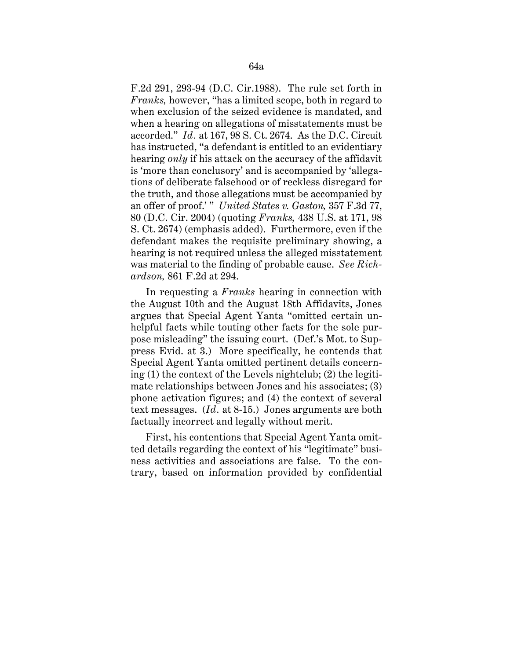F.2d 291, 293-94 (D.C. Cir.1988). The rule set forth in *Franks,* however, "has a limited scope, both in regard to when exclusion of the seized evidence is mandated, and when a hearing on allegations of misstatements must be accorded." *Id.* at 167, 98 S. Ct. 2674. As the D.C. Circuit has instructed, "a defendant is entitled to an evidentiary hearing *only* if his attack on the accuracy of the affidavit is 'more than conclusory' and is accompanied by 'allegations of deliberate falsehood or of reckless disregard for the truth, and those allegations must be accompanied by an offer of proof.' " *United States v. Gaston,* 357 F.3d 77, 80 (D.C. Cir. 2004) (quoting *Franks,* 438 U.S. at 171, 98 S. Ct. 2674) (emphasis added). Furthermore, even if the defendant makes the requisite preliminary showing, a hearing is not required unless the alleged misstatement was material to the finding of probable cause. *See Richardson,* 861 F.2d at 294.

In requesting a *Franks* hearing in connection with the August 10th and the August 18th Affidavits, Jones argues that Special Agent Yanta "omitted certain unhelpful facts while touting other facts for the sole purpose misleading" the issuing court. (Def.'s Mot. to Suppress Evid. at 3.) More specifically, he contends that Special Agent Yanta omitted pertinent details concerning (1) the context of the Levels nightclub; (2) the legitimate relationships between Jones and his associates; (3) phone activation figures; and (4) the context of several text messages. (*Id .* at 8-15.) Jones arguments are both factually incorrect and legally without merit.

First, his contentions that Special Agent Yanta omitted details regarding the context of his "legitimate" business activities and associations are false. To the contrary, based on information provided by confidential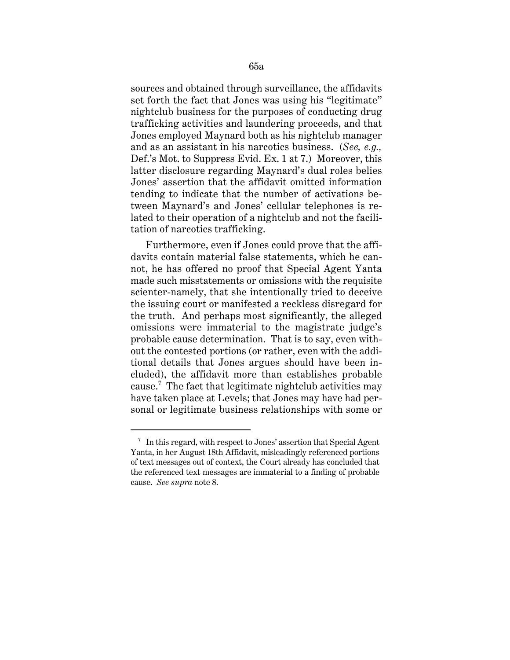sources and obtained through surveillance, the affidavits set forth the fact that Jones was using his "legitimate" nightclub business for the purposes of conducting drug trafficking activities and laundering proceeds, and that Jones employed Maynard both as his nightclub manager and as an assistant in his narcotics business. (*See, e.g.,*  Def.'s Mot. to Suppress Evid. Ex. 1 at 7.) Moreover, this latter disclosure regarding Maynard's dual roles belies Jones' assertion that the affidavit omitted information tending to indicate that the number of activations between Maynard's and Jones' cellular telephones is related to their operation of a nightclub and not the facilitation of narcotics trafficking.

Furthermore, even if Jones could prove that the affidavits contain material false statements, which he cannot, he has offered no proof that Special Agent Yanta made such misstatements or omissions with the requisite scienter-namely, that she intentionally tried to deceive the issuing court or manifested a reckless disregard for the truth. And perhaps most significantly, the alleged omissions were immaterial to the magistrate judge's probable cause determination. That is to say, even without the contested portions (or rather, even with the additional details that Jones argues should have been included), the affidavit more than establishes probable cause.<sup>7</sup> The fact that legitimate nightclub activities may have taken place at Levels; that Jones may have had personal or legitimate business relationships with some or

 $7$  In this regard, with respect to Jones' assertion that Special Agent Yanta, in her August 18th Affidavit, misleadingly referenced portions of text messages out of context, the Court already has concluded that the referenced text messages are immaterial to a finding of probable cause. *See supra* note 8.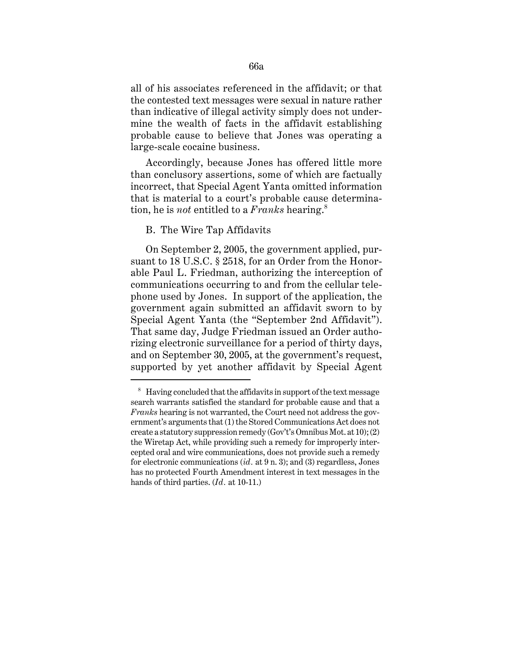all of his associates referenced in the affidavit; or that the contested text messages were sexual in nature rather than indicative of illegal activity simply does not undermine the wealth of facts in the affidavit establishing probable cause to believe that Jones was operating a large-scale cocaine business.

Accordingly, because Jones has offered little more than conclusory assertions, some of which are factually incorrect, that Special Agent Yanta omitted information that is material to a court's probable cause determination, he is *not* entitled to a *Franks* hearing.<sup>8</sup>

## B. The Wire Tap Affidavits

On September 2, 2005, the government applied, pursuant to 18 U.S.C. § 2518, for an Order from the Honorable Paul L. Friedman, authorizing the interception of communications occurring to and from the cellular telephone used by Jones. In support of the application, the government again submitted an affidavit sworn to by Special Agent Yanta (the "September 2nd Affidavit"). That same day, Judge Friedman issued an Order authorizing electronic surveillance for a period of thirty days, and on September 30, 2005, at the government's request, supported by yet another affidavit by Special Agent

<sup>8</sup>  Having concluded that the affidavits in support of the text message search warrants satisfied the standard for probable cause and that a *Franks* hearing is not warranted, the Court need not address the government's arguments that (1) the Stored Communications Act does not create a statutory suppression remedy (Gov't's Omnibus Mot. at 10); (2) the Wiretap Act, while providing such a remedy for improperly intercepted oral and wire communications, does not provide such a remedy for electronic communications (*id.* at 9 n. 3); and (3) regardless, Jones has no protected Fourth Amendment interest in text messages in the hands of third parties. (*Id.* at 10-11.)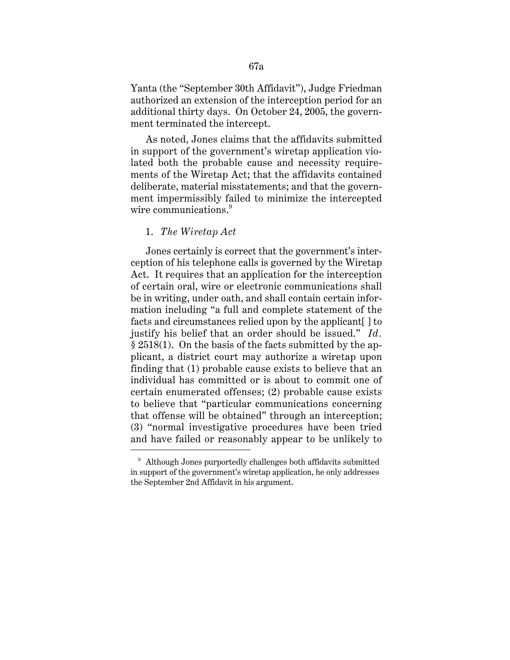Yanta (the "September 30th Affidavit"), Judge Friedman authorized an extension of the interception period for an additional thirty days. On October 24, 2005, the government terminated the intercept.

wire communications. $^{9}$ As noted, Jones claims that the affidavits submitted in support of the government's wiretap application violated both the probable cause and necessity requirements of the Wiretap Act; that the affidavits contained deliberate, material misstatements; and that the government impermissibly failed to minimize the intercepted

#### 1. *The Wiretap Act*

Jones certainly is correct that the government's interception of his telephone calls is governed by the Wiretap Act. It requires that an application for the interception of certain oral, wire or electronic communications shall be in writing, under oath, and shall contain certain information including "a full and complete statement of the facts and circumstances relied upon by the applicant [] to justify his belief that an order should be issued." *Id.*  § 2518(1). On the basis of the facts submitted by the applicant, a district court may authorize a wiretap upon finding that (1) probable cause exists to believe that an individual has committed or is about to commit one of certain enumerated offenses; (2) probable cause exists to believe that "particular communications concerning that offense will be obtained" through an interception; (3) "normal investigative procedures have been tried and have failed or reasonably appear to be unlikely to

<sup>&</sup>lt;sup>9</sup> Although Jones purportedly challenges both affidavits submitted in support of the government's wiretap application, he only addresses the September 2nd Affidavit in his argument.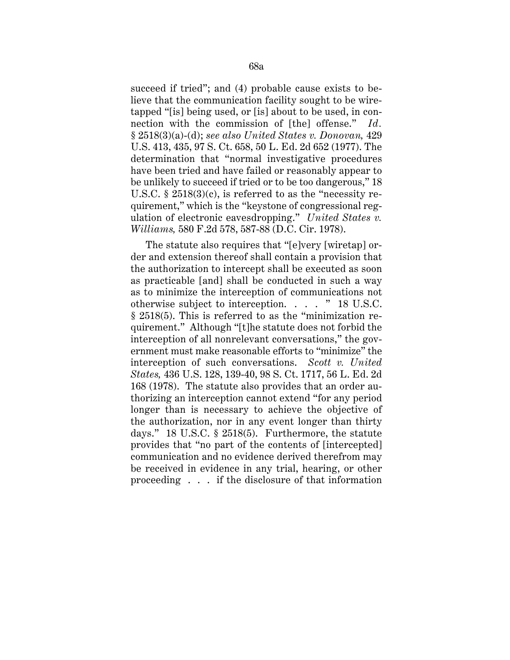succeed if tried"; and (4) probable cause exists to believe that the communication facility sought to be wiretapped "[is] being used, or [is] about to be used, in connection with the commission of [the] offense." *Id.*  § 2518(3)(a)-(d); *see also United States v. Donovan,* 429 U.S. 413, 435, 97 S. Ct. 658, 50 L. Ed. 2d 652 (1977). The determination that "normal investigative procedures have been tried and have failed or reasonably appear to be unlikely to succeed if tried or to be too dangerous," 18 U.S.C.  $\S 2518(3)(c)$ , is referred to as the "necessity requirement," which is the "keystone of congressional regulation of electronic eavesdropping." *United States v. Williams,* 580 F.2d 578, 587-88 (D.C. Cir. 1978).

The statute also requires that "[e]very [wiretap] order and extension thereof shall contain a provision that the authorization to intercept shall be executed as soon as practicable [and] shall be conducted in such a way as to minimize the interception of communications not otherwise subject to interception. . . . " 18 U.S.C. § 2518(5). This is referred to as the "minimization requirement." Although "[t]he statute does not forbid the interception of all nonrelevant conversations," the government must make reasonable efforts to "minimize" the interception of such conversations. *Scott v. United States,* 436 U.S. 128, 139-40, 98 S. Ct. 1717, 56 L. Ed. 2d 168 (1978). The statute also provides that an order authorizing an interception cannot extend "for any period longer than is necessary to achieve the objective of the authorization, nor in any event longer than thirty days." 18 U.S.C. § 2518(5). Furthermore, the statute provides that "no part of the contents of [intercepted] communication and no evidence derived therefrom may be received in evidence in any trial, hearing, or other proceeding . . . if the disclosure of that information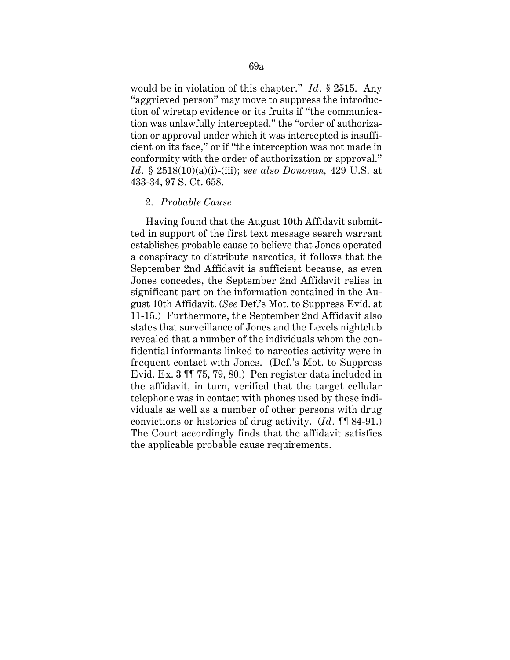would be in violation of this chapter." *Id.* § 2515. Any "aggrieved person" may move to suppress the introduction of wiretap evidence or its fruits if "the communication was unlawfully intercepted," the "order of authorization or approval under which it was intercepted is insufficient on its face," or if "the interception was not made in conformity with the order of authorization or approval." *Id.* § 2518(10)(a)(i)-(iii); *see also Donovan,* 429 U.S. at 433-34, 97 S. Ct. 658.

#### 2. *Probable Cause*

Having found that the August 10th Affidavit submitted in support of the first text message search warrant establishes probable cause to believe that Jones operated a conspiracy to distribute narcotics, it follows that the September 2nd Affidavit is sufficient because, as even Jones concedes, the September 2nd Affidavit relies in significant part on the information contained in the August 10th Affidavit. (*See* Def.'s Mot. to Suppress Evid. at 11-15.) Furthermore, the September 2nd Affidavit also states that surveillance of Jones and the Levels nightclub revealed that a number of the individuals whom the confidential informants linked to narcotics activity were in frequent contact with Jones. (Def.'s Mot. to Suppress Evid. Ex. 3 ¶¶ 75, 79, 80.) Pen register data included in the affidavit, in turn, verified that the target cellular telephone was in contact with phones used by these individuals as well as a number of other persons with drug convictions or histories of drug activity. (*Id.* ¶¶ 84-91.) The Court accordingly finds that the affidavit satisfies the applicable probable cause requirements.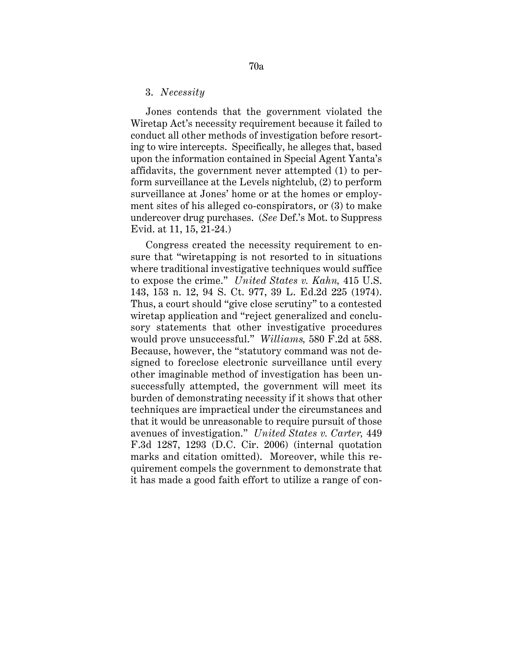#### 3. *Necessity*

Jones contends that the government violated the Wiretap Act's necessity requirement because it failed to conduct all other methods of investigation before resorting to wire intercepts. Specifically, he alleges that, based upon the information contained in Special Agent Yanta's affidavits, the government never attempted (1) to perform surveillance at the Levels nightclub, (2) to perform surveillance at Jones' home or at the homes or employment sites of his alleged co-conspirators, or (3) to make undercover drug purchases. (*See* Def.'s Mot. to Suppress Evid. at 11, 15, 21-24.)

Congress created the necessity requirement to ensure that "wiretapping is not resorted to in situations where traditional investigative techniques would suffice to expose the crime." *United States v. Kahn,* 415 U.S. 143, 153 n. 12, 94 S. Ct. 977, 39 L. Ed.2d 225 (1974). Thus, a court should "give close scrutiny" to a contested wiretap application and "reject generalized and conclusory statements that other investigative procedures would prove unsuccessful." *Williams,* 580 F.2d at 588. Because, however, the "statutory command was not designed to foreclose electronic surveillance until every other imaginable method of investigation has been unsuccessfully attempted, the government will meet its burden of demonstrating necessity if it shows that other techniques are impractical under the circumstances and that it would be unreasonable to require pursuit of those avenues of investigation." *United States v. Carter,* 449 F.3d 1287, 1293 (D.C. Cir. 2006) (internal quotation marks and citation omitted). Moreover, while this requirement compels the government to demonstrate that it has made a good faith effort to utilize a range of con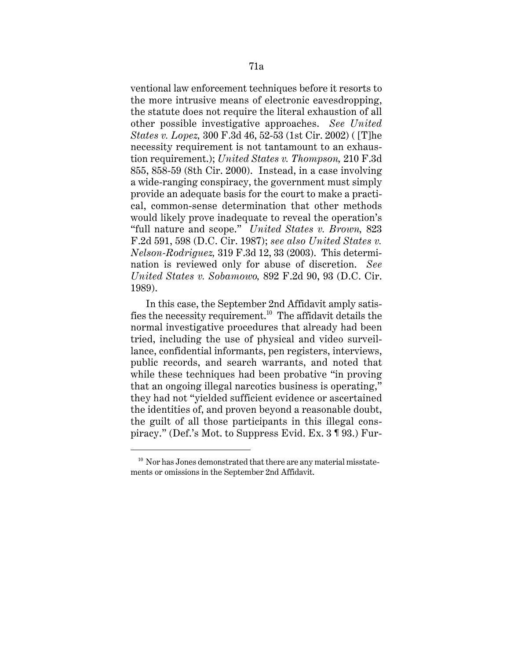ventional law enforcement techniques before it resorts to the more intrusive means of electronic eavesdropping, the statute does not require the literal exhaustion of all other possible investigative approaches. *See United States v. Lopez,* 300 F.3d 46, 52-53 (1st Cir. 2002) ( [T]he necessity requirement is not tantamount to an exhaustion requirement.); *United States v. Thompson,* 210 F.3d 855, 858-59 (8th Cir. 2000). Instead, in a case involving a wide-ranging conspiracy, the government must simply provide an adequate basis for the court to make a practical, common-sense determination that other methods would likely prove inadequate to reveal the operation's "full nature and scope." *United States v. Brown,* 823 F.2d 591, 598 (D.C. Cir. 1987); *see also United States v. Nelson-Rodriguez,* 319 F.3d 12, 33 (2003). This determination is reviewed only for abuse of discretion. *See United States v. Sobamowo,* 892 F.2d 90, 93 (D.C. Cir. 1989).

In this case, the September 2nd Affidavit amply satisfies the necessity requirement.10 The affidavit details the normal investigative procedures that already had been tried, including the use of physical and video surveillance, confidential informants, pen registers, interviews, public records, and search warrants, and noted that while these techniques had been probative "in proving that an ongoing illegal narcotics business is operating," they had not "yielded sufficient evidence or ascertained the identities of, and proven beyond a reasonable doubt, the guilt of all those participants in this illegal conspiracy." (Def.'s Mot. to Suppress Evid. Ex. 3 ¶ 93.) Fur-

 $10$  Nor has Jones demonstrated that there are any material misstatements or omissions in the September 2nd Affidavit.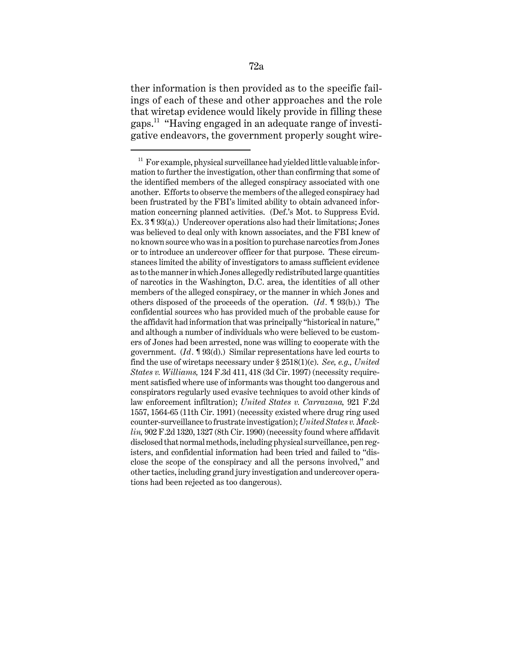ther information is then provided as to the specific failings of each of these and other approaches and the role that wiretap evidence would likely provide in filling these gaps.11 "Having engaged in an adequate range of investigative endeavors, the government properly sought wire-

 of narcotics in the Washington, D.C. area, the identities of all other others disposed of the proceeds of the operation. (*Id.* ¶ 93(b).) The close the scope of the conspiracy and all the persons involved," and  $11$  For example, physical surveillance had yielded little valuable information to further the investigation, other than confirming that some of the identified members of the alleged conspiracy associated with one another. Efforts to observe the members of the alleged conspiracy had been frustrated by the FBI's limited ability to obtain advanced information concerning planned activities. (Def.'s Mot. to Suppress Evid. Ex. 3 ¶ 93(a).) Undercover operations also had their limitations; Jones was believed to deal only with known associates, and the FBI knew of no known source who was in a position to purchase narcotics from Jones or to introduce an undercover officer for that purpose. These circumstances limited the ability of investigators to amass sufficient evidence as to the manner in which Jones allegedly redistributed large quantities members of the alleged conspiracy, or the manner in which Jones and confidential sources who has provided much of the probable cause for the affidavit had information that was principally "historical in nature," and although a number of individuals who were believed to be customers of Jones had been arrested, none was willing to cooperate with the government. (*Id.* ¶ 93(d).) Similar representations have led courts to find the use of wiretaps necessary under § 2518(1)(c). *See, e.g., United States v. Williams,* 124 F.3d 411, 418 (3d Cir. 1997) (necessity requirement satisfied where use of informants was thought too dangerous and conspirators regularly used evasive techniques to avoid other kinds of law enforcement infiltration); *United States v. Carrazana,* 921 F.2d 1557, 1564-65 (11th Cir. 1991) (necessity existed where drug ring used counter-surveillance to frustrate investigation); *United States v. Macklin,* 902 F.2d 1320, 1327 (8th Cir. 1990) (necessity found where affidavit disclosed that normal methods, including physical surveillance, pen registers, and confidential information had been tried and failed to "disother tactics, including grand jury investigation and undercover operations had been rejected as too dangerous).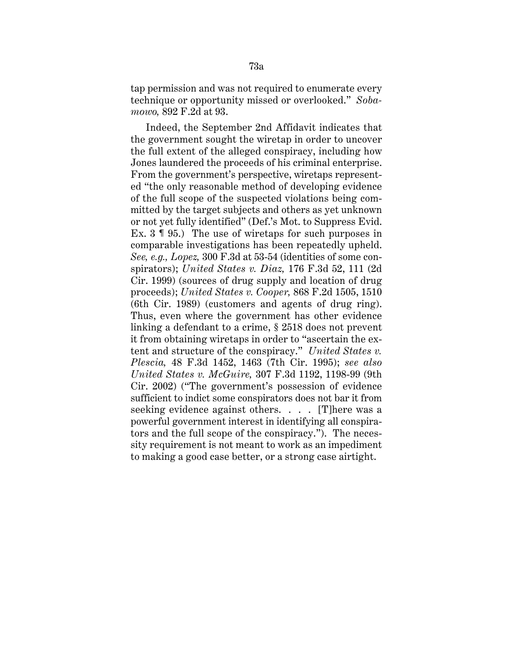tap permission and was not required to enumerate every technique or opportunity missed or overlooked." *Sobamowo,* 892 F.2d at 93.

Indeed, the September 2nd Affidavit indicates that the government sought the wiretap in order to uncover the full extent of the alleged conspiracy, including how Jones laundered the proceeds of his criminal enterprise. From the government's perspective, wiretaps represented "the only reasonable method of developing evidence of the full scope of the suspected violations being committed by the target subjects and others as yet unknown or not yet fully identified" (Def.'s Mot. to Suppress Evid. Ex. 3 ¶ 95.) The use of wiretaps for such purposes in comparable investigations has been repeatedly upheld. *See, e.g., Lopez,* 300 F.3d at 53-54 (identities of some conspirators); *United States v. Diaz,* 176 F.3d 52, 111 (2d Cir. 1999) (sources of drug supply and location of drug proceeds); *United States v. Cooper,* 868 F.2d 1505, 1510 (6th Cir. 1989) (customers and agents of drug ring). Thus, even where the government has other evidence linking a defendant to a crime, § 2518 does not prevent it from obtaining wiretaps in order to "ascertain the extent and structure of the conspiracy." *United States v. Plescia,* 48 F.3d 1452, 1463 (7th Cir. 1995); *see also United States v. McGuire,* 307 F.3d 1192, 1198-99 (9th Cir. 2002) ("The government's possession of evidence sufficient to indict some conspirators does not bar it from seeking evidence against others. . . . [T]here was a powerful government interest in identifying all conspirators and the full scope of the conspiracy."). The necessity requirement is not meant to work as an impediment to making a good case better, or a strong case airtight.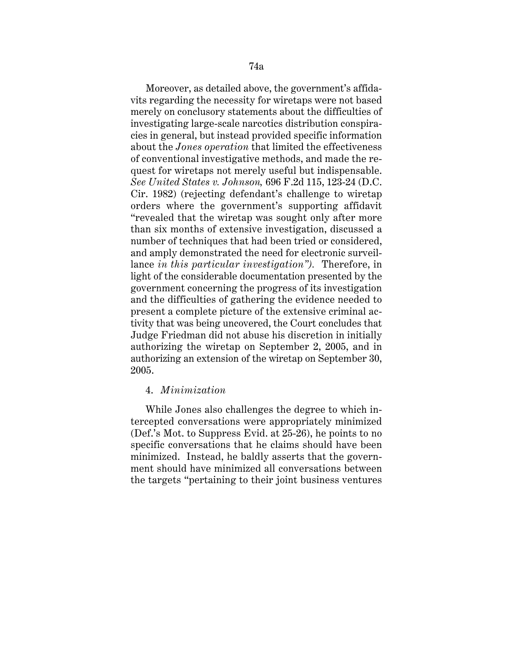Moreover, as detailed above, the government's affidavits regarding the necessity for wiretaps were not based merely on conclusory statements about the difficulties of investigating large-scale narcotics distribution conspiracies in general, but instead provided specific information about the *Jones operation* that limited the effectiveness of conventional investigative methods, and made the request for wiretaps not merely useful but indispensable. *See United States v. Johnson,* 696 F.2d 115, 123-24 (D.C. Cir. 1982) (rejecting defendant's challenge to wiretap orders where the government's supporting affidavit "revealed that the wiretap was sought only after more than six months of extensive investigation, discussed a number of techniques that had been tried or considered, and amply demonstrated the need for electronic surveillance *in this particular investigation").* Therefore, in light of the considerable documentation presented by the government concerning the progress of its investigation and the difficulties of gathering the evidence needed to present a complete picture of the extensive criminal activity that was being uncovered, the Court concludes that Judge Friedman did not abuse his discretion in initially authorizing the wiretap on September 2, 2005, and in authorizing an extension of the wiretap on September 30, 2005.

# 4. *Minimization*

While Jones also challenges the degree to which intercepted conversations were appropriately minimized (Def.'s Mot. to Suppress Evid. at 25-26), he points to no specific conversations that he claims should have been minimized. Instead, he baldly asserts that the government should have minimized all conversations between the targets "pertaining to their joint business ventures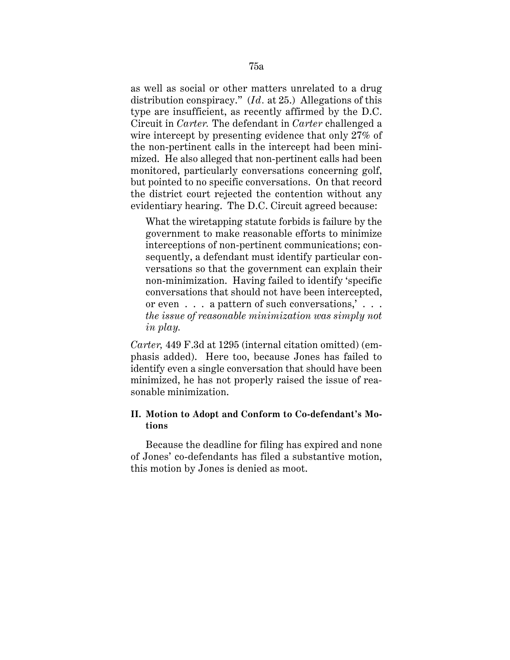as well as social or other matters unrelated to a drug distribution conspiracy." (*Id.* at 25.) Allegations of this type are insufficient, as recently affirmed by the D.C. Circuit in *Carter.* The defendant in *Carter* challenged a wire intercept by presenting evidence that only 27% of the non-pertinent calls in the intercept had been minimized. He also alleged that non-pertinent calls had been monitored, particularly conversations concerning golf, but pointed to no specific conversations. On that record the district court rejected the contention without any evidentiary hearing. The D.C. Circuit agreed because:

What the wiretapping statute forbids is failure by the government to make reasonable efforts to minimize interceptions of non-pertinent communications; consequently, a defendant must identify particular conversations so that the government can explain their non-minimization. Having failed to identify 'specific conversations that should not have been intercepted, or even . . . a pattern of such conversations,' . . . *the issue of reasonable minimization was simply not in play.* 

*Carter,* 449 F.3d at 1295 (internal citation omitted) (emphasis added). Here too, because Jones has failed to identify even a single conversation that should have been minimized, he has not properly raised the issue of reasonable minimization.

# **II. Motion to Adopt and Conform to Co-defendant's Motions**

Because the deadline for filing has expired and none of Jones' co-defendants has filed a substantive motion, this motion by Jones is denied as moot.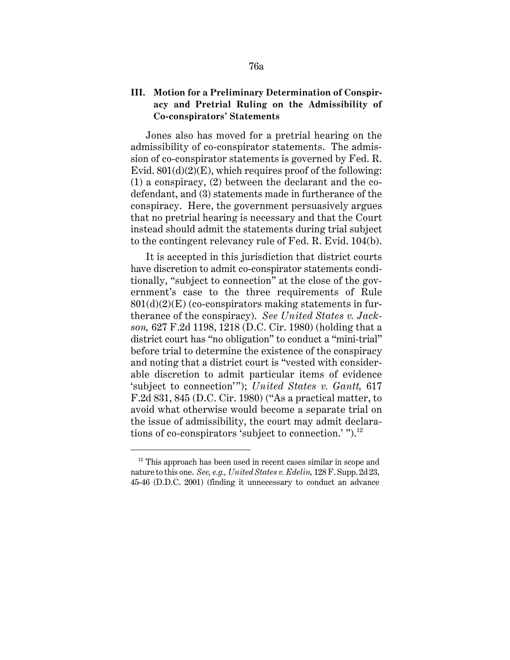# **III. Motion for a Preliminary Determination of Conspiracy and Pretrial Ruling on the Admissibility of Co-conspirators' Statements**

Jones also has moved for a pretrial hearing on the admissibility of co-conspirator statements. The admission of co-conspirator statements is governed by Fed. R. Evid.  $801(d)(2)(E)$ , which requires proof of the following: (1) a conspiracy, (2) between the declarant and the codefendant, and (3) statements made in furtherance of the conspiracy. Here, the government persuasively argues that no pretrial hearing is necessary and that the Court instead should admit the statements during trial subject to the contingent relevancy rule of Fed. R. Evid. 104(b).

It is accepted in this jurisdiction that district courts have discretion to admit co-conspirator statements conditionally, "subject to connection" at the close of the government's case to the three requirements of Rule  $801(d)(2)(E)$  (co-conspirators making statements in furtherance of the conspiracy). *See United States v. Jackson,* 627 F.2d 1198, 1218 (D.C. Cir. 1980) (holding that a district court has "no obligation" to conduct a "mini-trial" before trial to determine the existence of the conspiracy and noting that a district court is "vested with considerable discretion to admit particular items of evidence 'subject to connection'"); *United States v. Gantt,* 617 F.2d 831, 845 (D.C. Cir. 1980) ("As a practical matter, to avoid what otherwise would become a separate trial on the issue of admissibility, the court may admit declarations of co-conspirators 'subject to connection.'").<sup>12</sup>

 $12$  This approach has been used in recent cases similar in scope and nature to this one. *See, e.g., United States v. Edelin,* 128 F. Supp. 2d 23, 45-46 (D.D.C. 2001) (finding it unnecessary to conduct an advance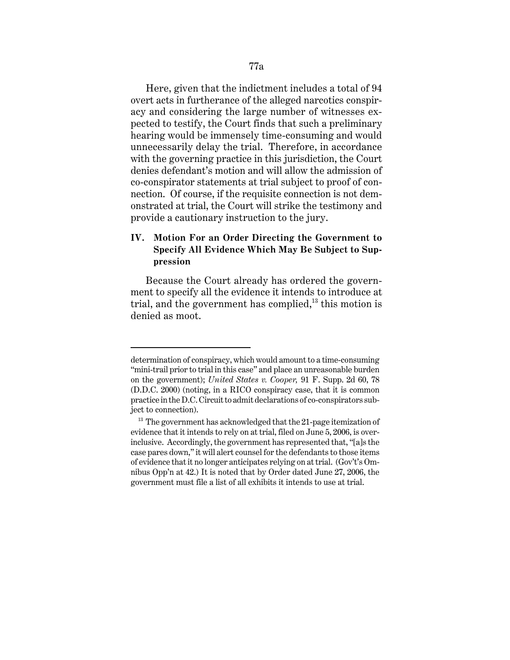Here, given that the indictment includes a total of 94 overt acts in furtherance of the alleged narcotics conspiracy and considering the large number of witnesses expected to testify, the Court finds that such a preliminary hearing would be immensely time-consuming and would unnecessarily delay the trial. Therefore, in accordance with the governing practice in this jurisdiction, the Court denies defendant's motion and will allow the admission of co-conspirator statements at trial subject to proof of connection. Of course, if the requisite connection is not demonstrated at trial, the Court will strike the testimony and provide a cautionary instruction to the jury.

# **IV. Motion For an Order Directing the Government to Specify All Evidence Which May Be Subject to Suppression**

Because the Court already has ordered the government to specify all the evidence it intends to introduce at trial, and the government has complied, $^{13}$  this motion is denied as moot.

determination of conspiracy, which would amount to a time-consuming "mini-trail prior to trial in this case" and place an unreasonable burden on the government); *United States v. Cooper,* 91 F. Supp. 2d 60, 78 (D.D.C. 2000) (noting, in a RICO conspiracy case, that it is common practice in the D.C. Circuit to admit declarations of co-conspirators subject to connection).

 $13$  The government has acknowledged that the 21-page itemization of evidence that it intends to rely on at trial, filed on June 5, 2006, is overinclusive. Accordingly, the government has represented that, "[a]s the case pares down," it will alert counsel for the defendants to those items of evidence that it no longer anticipates relying on at trial. (Gov't's Omnibus Opp'n at 42.) It is noted that by Order dated June 27, 2006, the government must file a list of all exhibits it intends to use at trial.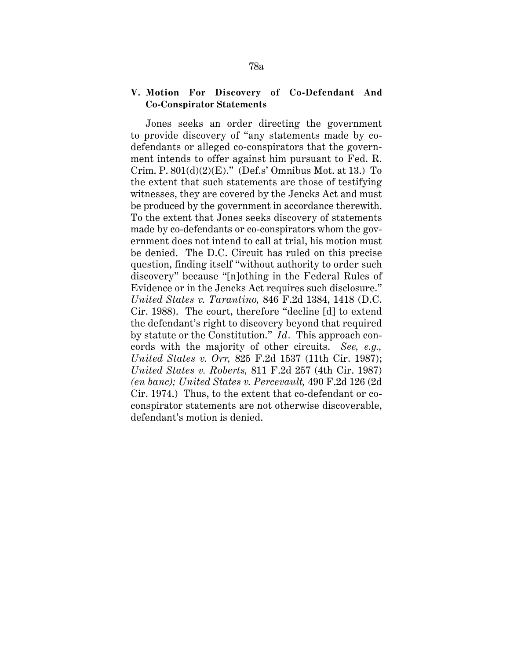### **V. Motion For Discovery of Co-Defendant And Co-Conspirator Statements**

Jones seeks an order directing the government to provide discovery of "any statements made by codefendants or alleged co-conspirators that the government intends to offer against him pursuant to Fed. R. Crim. P.  $801(d)(2)(E)$ ." (Def.s' Omnibus Mot. at 13.) To the extent that such statements are those of testifying witnesses, they are covered by the Jencks Act and must be produced by the government in accordance therewith. To the extent that Jones seeks discovery of statements made by co-defendants or co-conspirators whom the government does not intend to call at trial, his motion must be denied. The D.C. Circuit has ruled on this precise question, finding itself "without authority to order such discovery" because "[n]othing in the Federal Rules of Evidence or in the Jencks Act requires such disclosure." *United States v. Tarantino,* 846 F.2d 1384, 1418 (D.C. Cir. 1988). The court, therefore "decline [d] to extend the defendant's right to discovery beyond that required by statute or the Constitution." *Id.* This approach concords with the majority of other circuits. *See, e.g., United States v. Orr,* 825 F.2d 1537 (11th Cir. 1987); *United States v. Roberts,* 811 F.2d 257 (4th Cir. 1987) *(en banc); United States v. Percevault,* 490 F.2d 126 (2d Cir. 1974.) Thus, to the extent that co-defendant or coconspirator statements are not otherwise discoverable, defendant's motion is denied.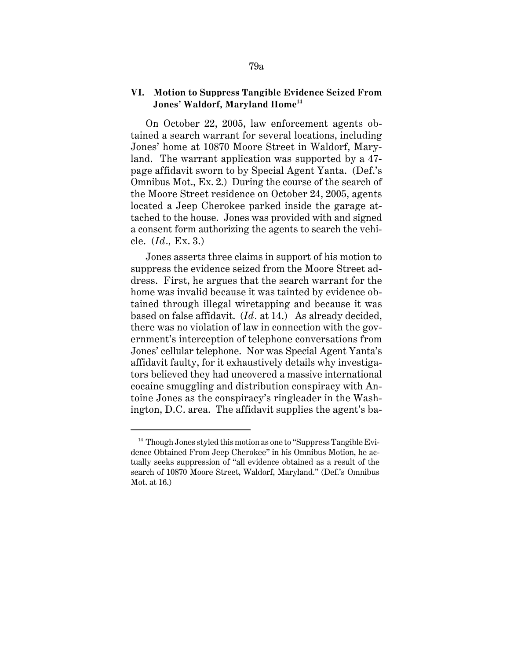## **Jones' Waldorf, Maryland Home<sup>14</sup> VI. Motion to Suppress Tangible Evidence Seized From**

On October 22, 2005, law enforcement agents obtained a search warrant for several locations, including Jones' home at 10870 Moore Street in Waldorf, Maryland. The warrant application was supported by a 47 page affidavit sworn to by Special Agent Yanta. (Def.'s Omnibus Mot., Ex. 2.) During the course of the search of the Moore Street residence on October 24, 2005, agents located a Jeep Cherokee parked inside the garage attached to the house. Jones was provided with and signed a consent form authorizing the agents to search the vehicle. (*Id.,* Ex. 3.)

Jones asserts three claims in support of his motion to suppress the evidence seized from the Moore Street address. First, he argues that the search warrant for the home was invalid because it was tainted by evidence obtained through illegal wiretapping and because it was based on false affidavit. (*Id.* at 14.) As already decided, there was no violation of law in connection with the government's interception of telephone conversations from Jones' cellular telephone. Nor was Special Agent Yanta's affidavit faulty, for it exhaustively details why investigators believed they had uncovered a massive international cocaine smuggling and distribution conspiracy with Antoine Jones as the conspiracy's ringleader in the Washington, D.C. area. The affidavit supplies the agent's ba-

 $14$  Though Jones styled this motion as one to "Suppress Tangible Evidence Obtained From Jeep Cherokee" in his Omnibus Motion, he actually seeks suppression of "all evidence obtained as a result of the search of 10870 Moore Street, Waldorf, Maryland." (Def.'s Omnibus Mot. at 16.)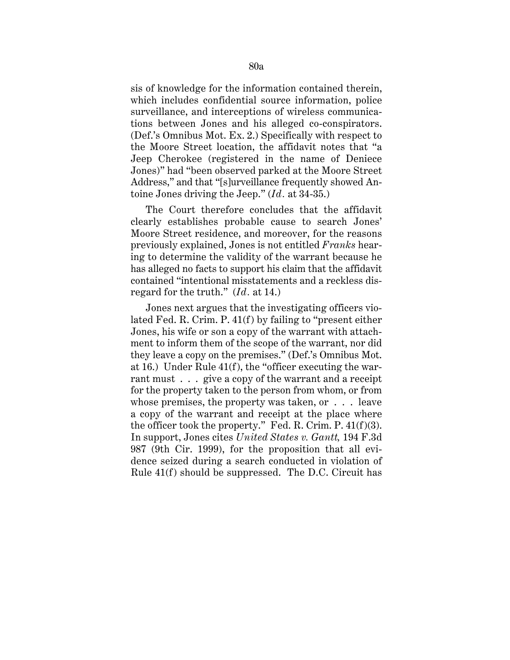sis of knowledge for the information contained therein, which includes confidential source information, police surveillance, and interceptions of wireless communications between Jones and his alleged co-conspirators. (Def.'s Omnibus Mot. Ex. 2.) Specifically with respect to the Moore Street location, the affidavit notes that "a Jeep Cherokee (registered in the name of Deniece Jones)" had "been observed parked at the Moore Street Address," and that "[s]urveillance frequently showed Antoine Jones driving the Jeep." (*Id.* at 34-35.)

The Court therefore concludes that the affidavit clearly establishes probable cause to search Jones' Moore Street residence, and moreover, for the reasons previously explained, Jones is not entitled *Franks* hearing to determine the validity of the warrant because he has alleged no facts to support his claim that the affidavit contained "intentional misstatements and a reckless disregard for the truth." (*Id.* at 14.)

Jones next argues that the investigating officers violated Fed. R. Crim. P. 41(f) by failing to "present either Jones, his wife or son a copy of the warrant with attachment to inform them of the scope of the warrant, nor did they leave a copy on the premises." (Def.'s Omnibus Mot. at 16.) Under Rule 41(f), the "officer executing the warrant must . . . give a copy of the warrant and a receipt for the property taken to the person from whom, or from whose premises, the property was taken, or . . . leave a copy of the warrant and receipt at the place where the officer took the property." Fed. R. Crim. P.  $41(f)(3)$ . In support, Jones cites *United States v. Gantt,* 194 F.3d 987 (9th Cir. 1999), for the proposition that all evidence seized during a search conducted in violation of Rule 41(f) should be suppressed. The D.C. Circuit has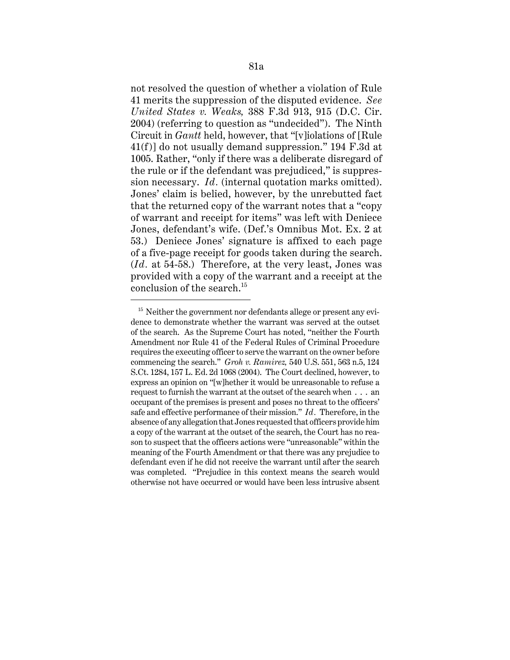not resolved the question of whether a violation of Rule 41 merits the suppression of the disputed evidence. *See United States v. Weaks,* 388 F.3d 913, 915 (D.C. Cir. 2004) (referring to question as "undecided"). The Ninth Circuit in *Gantt* held, however, that "[v]iolations of [Rule 41(f)] do not usually demand suppression." 194 F.3d at 1005. Rather, "only if there was a deliberate disregard of the rule or if the defendant was prejudiced," is suppression necessary. *Id.* (internal quotation marks omitted). Jones' claim is belied, however, by the unrebutted fact that the returned copy of the warrant notes that a "copy of warrant and receipt for items" was left with Deniece Jones, defendant's wife. (Def.'s Omnibus Mot. Ex. 2 at 53.) Deniece Jones' signature is affixed to each page of a five-page receipt for goods taken during the search. (*Id.* at 54-58.) Therefore, at the very least, Jones was provided with a copy of the warrant and a receipt at the conclusion of the search.<sup>15</sup>

 $15$  Neither the government nor defendants allege or present any evidence to demonstrate whether the warrant was served at the outset of the search. As the Supreme Court has noted, "neither the Fourth Amendment nor Rule 41 of the Federal Rules of Criminal Procedure requires the executing officer to serve the warrant on the owner before commencing the search." *Groh v. Ramirez,* 540 U.S. 551, 563 n.5, 124 S.Ct. 1284, 157 L. Ed. 2d 1068 (2004). The Court declined, however, to express an opinion on "[w]hether it would be unreasonable to refuse a request to furnish the warrant at the outset of the search when . . . an occupant of the premises is present and poses no threat to the officers' safe and effective performance of their mission." *Id.* Therefore, in the absence of any allegation that Jones requested that officers provide him a copy of the warrant at the outset of the search, the Court has no reason to suspect that the officers actions were "unreasonable" within the meaning of the Fourth Amendment or that there was any prejudice to defendant even if he did not receive the warrant until after the search was completed. "Prejudice in this context means the search would otherwise not have occurred or would have been less intrusive absent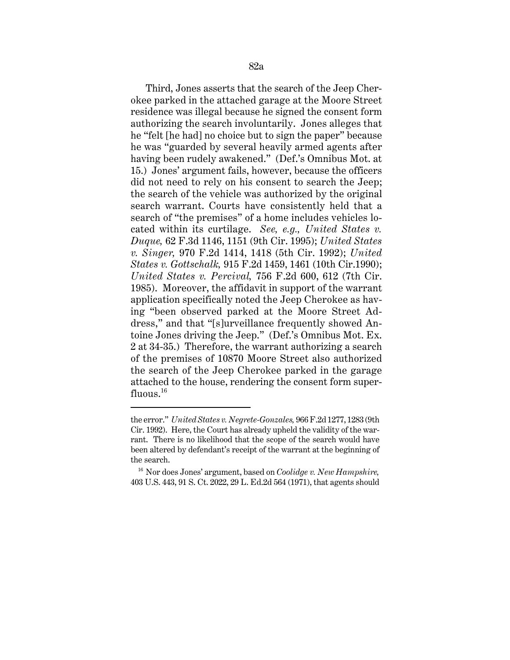Third, Jones asserts that the search of the Jeep Cherokee parked in the attached garage at the Moore Street residence was illegal because he signed the consent form authorizing the search involuntarily. Jones alleges that he "felt [he had] no choice but to sign the paper" because he was "guarded by several heavily armed agents after having been rudely awakened." (Def.'s Omnibus Mot. at 15.) Jones' argument fails, however, because the officers did not need to rely on his consent to search the Jeep; the search of the vehicle was authorized by the original search warrant. Courts have consistently held that a search of "the premises" of a home includes vehicles located within its curtilage. *See, e.g., United States v. Duque,* 62 F.3d 1146, 1151 (9th Cir. 1995); *United States v. Singer,* 970 F.2d 1414, 1418 (5th Cir. 1992); *United States v. Gottschalk,* 915 F.2d 1459, 1461 (10th Cir.1990); *United States v. Percival,* 756 F.2d 600, 612 (7th Cir. 1985). Moreover, the affidavit in support of the warrant application specifically noted the Jeep Cherokee as having "been observed parked at the Moore Street Address," and that "[s]urveillance frequently showed Antoine Jones driving the Jeep." (Def.'s Omnibus Mot. Ex. 2 at 34-35.) Therefore, the warrant authorizing a search of the premises of 10870 Moore Street also authorized the search of the Jeep Cherokee parked in the garage attached to the house, rendering the consent form super $fluous.<sup>16</sup>$ 

 rant. There is no likelihood that the scope of the search would have the error." *United States v. Negrete-Gonzales,* 966 F.2d 1277, 1283 (9th Cir. 1992). Here, the Court has already upheld the validity of the warbeen altered by defendant's receipt of the warrant at the beginning of the search.

<sup>16</sup> Nor does Jones' argument, based on *Coolidge v. New Hampshire,*  403 U.S. 443, 91 S. Ct. 2022, 29 L. Ed.2d 564 (1971), that agents should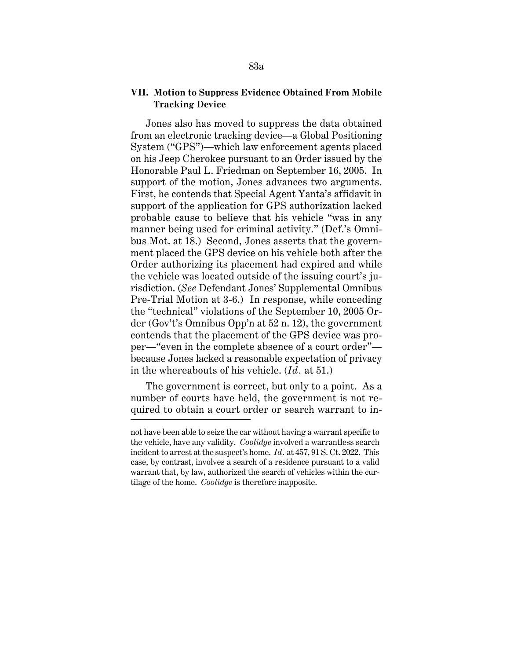### **VII. Motion to Suppress Evidence Obtained From Mobile Tracking Device**

Jones also has moved to suppress the data obtained from an electronic tracking device—a Global Positioning System ("GPS")—which law enforcement agents placed on his Jeep Cherokee pursuant to an Order issued by the Honorable Paul L. Friedman on September 16, 2005. In support of the motion, Jones advances two arguments. First, he contends that Special Agent Yanta's affidavit in support of the application for GPS authorization lacked probable cause to believe that his vehicle "was in any manner being used for criminal activity." (Def.'s Omnibus Mot. at 18.) Second, Jones asserts that the government placed the GPS device on his vehicle both after the Order authorizing its placement had expired and while the vehicle was located outside of the issuing court's jurisdiction. (*See* Defendant Jones' Supplemental Omnibus Pre-Trial Motion at 3-6.) In response, while conceding the "technical" violations of the September 10, 2005 Order (Gov't's Omnibus Opp'n at 52 n. 12), the government contends that the placement of the GPS device was proper—"even in the complete absence of a court order" because Jones lacked a reasonable expectation of privacy in the whereabouts of his vehicle. (*Id .* at 51.)

The government is correct, but only to a point. As a number of courts have held, the government is not required to obtain a court order or search warrant to in-

 case, by contrast, involves a search of a residence pursuant to a valid not have been able to seize the car without having a warrant specific to the vehicle, have any validity. *Coolidge* involved a warrantless search incident to arrest at the suspect's home. *Id.* at 457, 91 S. Ct. 2022. This warrant that, by law, authorized the search of vehicles within the curtilage of the home. *Coolidge* is therefore inapposite.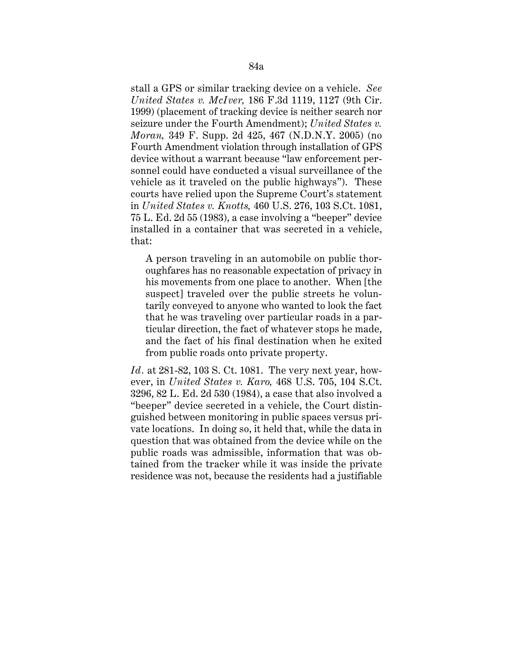stall a GPS or similar tracking device on a vehicle. *See United States v. McIver,* 186 F.3d 1119, 1127 (9th Cir. 1999) (placement of tracking device is neither search nor seizure under the Fourth Amendment); *United States v. Moran,* 349 F. Supp. 2d 425, 467 (N.D.N.Y. 2005) (no Fourth Amendment violation through installation of GPS device without a warrant because "law enforcement personnel could have conducted a visual surveillance of the vehicle as it traveled on the public highways"). These courts have relied upon the Supreme Court's statement in *United States v. Knotts,* 460 U.S. 276, 103 S.Ct. 1081, 75 L. Ed. 2d 55 (1983), a case involving a "beeper" device installed in a container that was secreted in a vehicle, that:

A person traveling in an automobile on public thoroughfares has no reasonable expectation of privacy in his movements from one place to another. When [the suspect] traveled over the public streets he voluntarily conveyed to anyone who wanted to look the fact that he was traveling over particular roads in a particular direction, the fact of whatever stops he made, and the fact of his final destination when he exited from public roads onto private property.

*Id.* at 281-82, 103 S. Ct. 1081. The very next year, however, in *United States v. Karo,* 468 U.S. 705, 104 S.Ct. 3296, 82 L. Ed. 2d 530 (1984), a case that also involved a "beeper" device secreted in a vehicle, the Court distinguished between monitoring in public spaces versus private locations. In doing so, it held that, while the data in question that was obtained from the device while on the public roads was admissible, information that was obtained from the tracker while it was inside the private residence was not, because the residents had a justifiable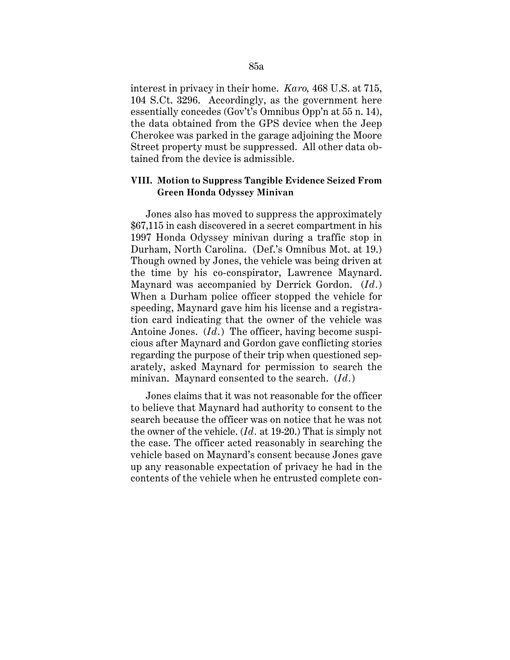interest in privacy in their home. *Karo,* 468 U.S. at 715, 104 S.Ct. 3296. Accordingly, as the government here essentially concedes (Gov't's Omnibus Opp'n at 55 n. 14), the data obtained from the GPS device when the Jeep Cherokee was parked in the garage adjoining the Moore Street property must be suppressed. All other data obtained from the device is admissible.

### **VIII. Motion to Suppress Tangible Evidence Seized From Green Honda Odyssey Minivan**

Jones also has moved to suppress the approximately \$67,115 in cash discovered in a secret compartment in his 1997 Honda Odyssey minivan during a traffic stop in Durham, North Carolina. (Def.'s Omnibus Mot. at 19.) Though owned by Jones, the vehicle was being driven at the time by his co-conspirator, Lawrence Maynard. Maynard was accompanied by Derrick Gordon. (*Id .*) When a Durham police officer stopped the vehicle for speeding, Maynard gave him his license and a registration card indicating that the owner of the vehicle was Antoine Jones. (*Id.*) The officer, having become suspicious after Maynard and Gordon gave conflicting stories regarding the purpose of their trip when questioned separately, asked Maynard for permission to search the minivan. Maynard consented to the search. (*Id.*)

Jones claims that it was not reasonable for the officer to believe that Maynard had authority to consent to the search because the officer was on notice that he was not the owner of the vehicle. (*Id.* at 19-20.) That is simply not the case. The officer acted reasonably in searching the vehicle based on Maynard's consent because Jones gave up any reasonable expectation of privacy he had in the contents of the vehicle when he entrusted complete con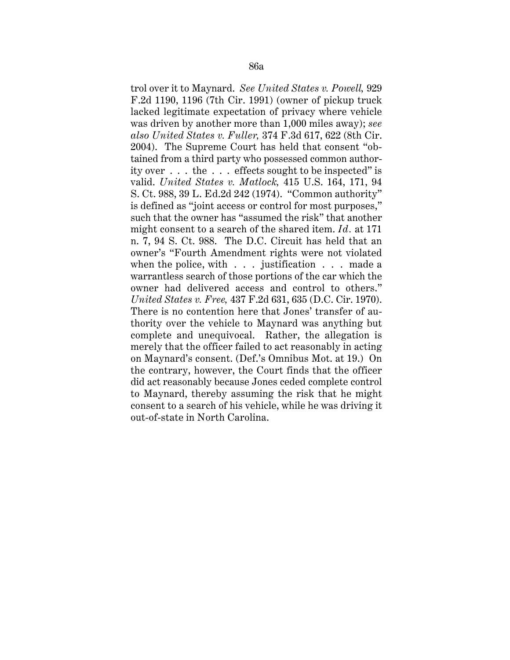trol over it to Maynard. *See United States v. Powell,* 929 F.2d 1190, 1196 (7th Cir. 1991) (owner of pickup truck lacked legitimate expectation of privacy where vehicle was driven by another more than 1,000 miles away); *see also United States v. Fuller,* 374 F.3d 617, 622 (8th Cir. 2004). The Supreme Court has held that consent "obtained from a third party who possessed common authority over . . . the . . . effects sought to be inspected" is valid. *United States v. Matlock,* 415 U.S. 164, 171, 94 S. Ct. 988, 39 L. Ed.2d 242 (1974). "Common authority" is defined as "joint access or control for most purposes," such that the owner has "assumed the risk" that another might consent to a search of the shared item. *Id.* at 171 n. 7, 94 S. Ct. 988. The D.C. Circuit has held that an owner's "Fourth Amendment rights were not violated when the police, with . . . justification . . . made a warrantless search of those portions of the car which the owner had delivered access and control to others." *United States v. Free,* 437 F.2d 631, 635 (D.C. Cir. 1970). There is no contention here that Jones' transfer of authority over the vehicle to Maynard was anything but complete and unequivocal. Rather, the allegation is merely that the officer failed to act reasonably in acting on Maynard's consent. (Def.'s Omnibus Mot. at 19.) On the contrary, however, the Court finds that the officer did act reasonably because Jones ceded complete control to Maynard, thereby assuming the risk that he might consent to a search of his vehicle, while he was driving it out-of-state in North Carolina.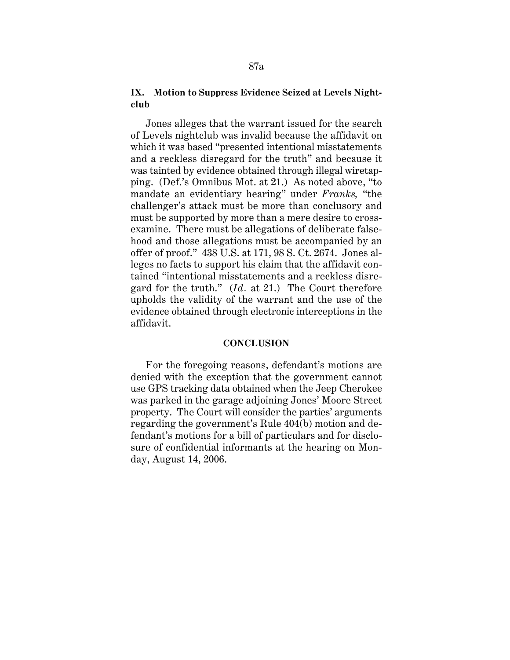## **IX. Motion to Suppress Evidence Seized at Levels Nightclub**

Jones alleges that the warrant issued for the search of Levels nightclub was invalid because the affidavit on which it was based "presented intentional misstatements and a reckless disregard for the truth" and because it was tainted by evidence obtained through illegal wiretapping. (Def.'s Omnibus Mot. at 21.) As noted above, "to mandate an evidentiary hearing" under *Franks,* "the challenger's attack must be more than conclusory and must be supported by more than a mere desire to crossexamine. There must be allegations of deliberate falsehood and those allegations must be accompanied by an offer of proof." 438 U.S. at 171, 98 S. Ct. 2674. Jones alleges no facts to support his claim that the affidavit contained "intentional misstatements and a reckless disregard for the truth." (*Id.* at 21.) The Court therefore upholds the validity of the warrant and the use of the evidence obtained through electronic interceptions in the affidavit.

#### **CONCLUSION**

For the foregoing reasons, defendant's motions are denied with the exception that the government cannot use GPS tracking data obtained when the Jeep Cherokee was parked in the garage adjoining Jones' Moore Street property. The Court will consider the parties' arguments regarding the government's Rule 404(b) motion and defendant's motions for a bill of particulars and for disclosure of confidential informants at the hearing on Monday, August 14, 2006.